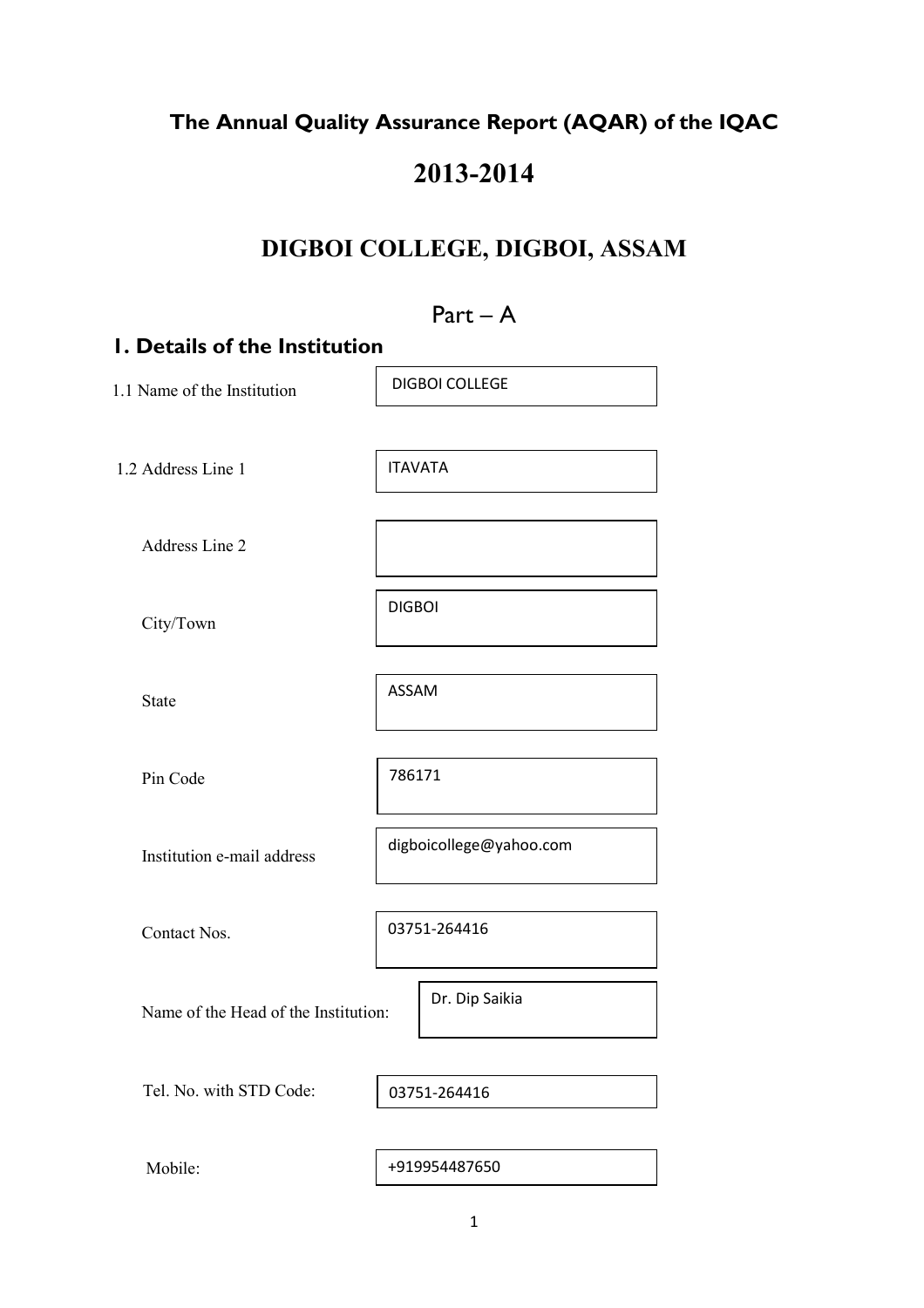## The Annual Quality Assurance Report (AQAR) of the IQAC

## 2013-2014

## DIGBOI COLLEGE, DIGBOI, ASSAM

# Part – A 1. Details of the Institution 1.1 Name of the Institution 1.2 Address Line 1 Address Line 2 City/Town State Pin Code Institution e-mail address Contact Nos. Name of the Head of the Institution: Tel. No. with STD Code: Mobile: 03751-264416 DIGBOI COLLEGE ITAVATA DIGBOI ASSAM 786171 digboicollege@yahoo.com Dr. Dip Saikia +919954487650 03751-264416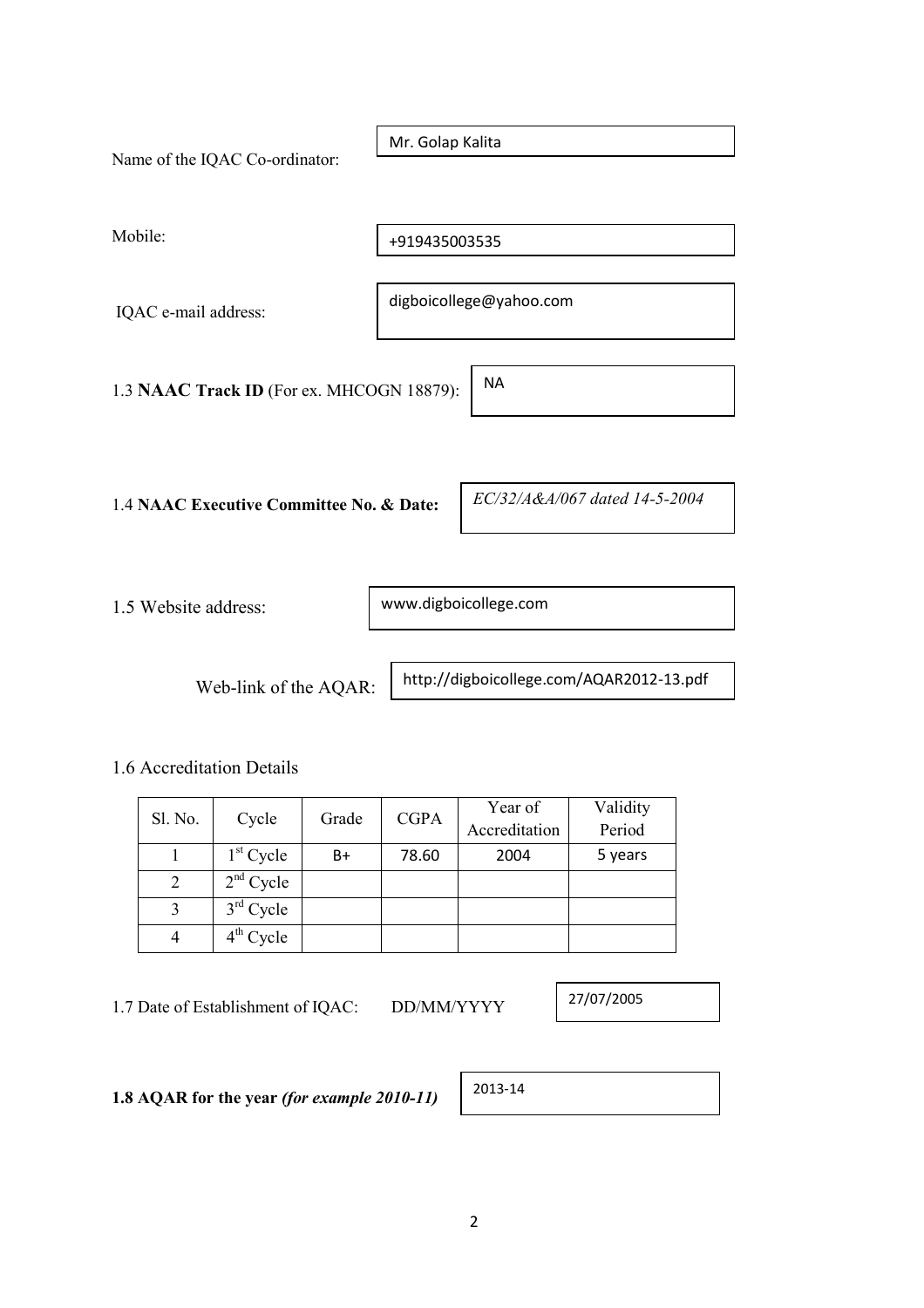| Name of the IQAC Co-ordinator:            | Mr. Golap Kalita              |
|-------------------------------------------|-------------------------------|
| Mobile:                                   | +919435003535                 |
| IQAC e-mail address:                      | digboicollege@yahoo.com       |
| 1.3 NAAC Track ID (For ex. MHCOGN 18879): | <b>NA</b>                     |
| 1.4 NAAC Executive Committee No. & Date:  | EC/32/A&A/067 dated 14-5-2004 |
|                                           |                               |

1.5 Website address:

www.digboicollege.com

Web-link of the AQAR:

http://digboicollege.com/AQAR2012-13.pdf

1.6 Accreditation Details

| Sl. No. | <b>CGPA</b><br>Grade<br>Cycle |    | Year of | Validity      |         |
|---------|-------------------------------|----|---------|---------------|---------|
|         |                               |    |         | Accreditation | Period  |
|         | $1st$ Cycle                   | B+ | 78.60   | 2004          | 5 years |
|         | $2nd$ Cycle                   |    |         |               |         |
|         | $3rd$ Cycle                   |    |         |               |         |
|         | $4th$ Cycle                   |    |         |               |         |

1.7 Date of Establishment of IQAC: DD/MM/YYYY

27/07/2005

1.8 AQAR for the year (for example 2010-11)

| 2013-14 |  |
|---------|--|
|---------|--|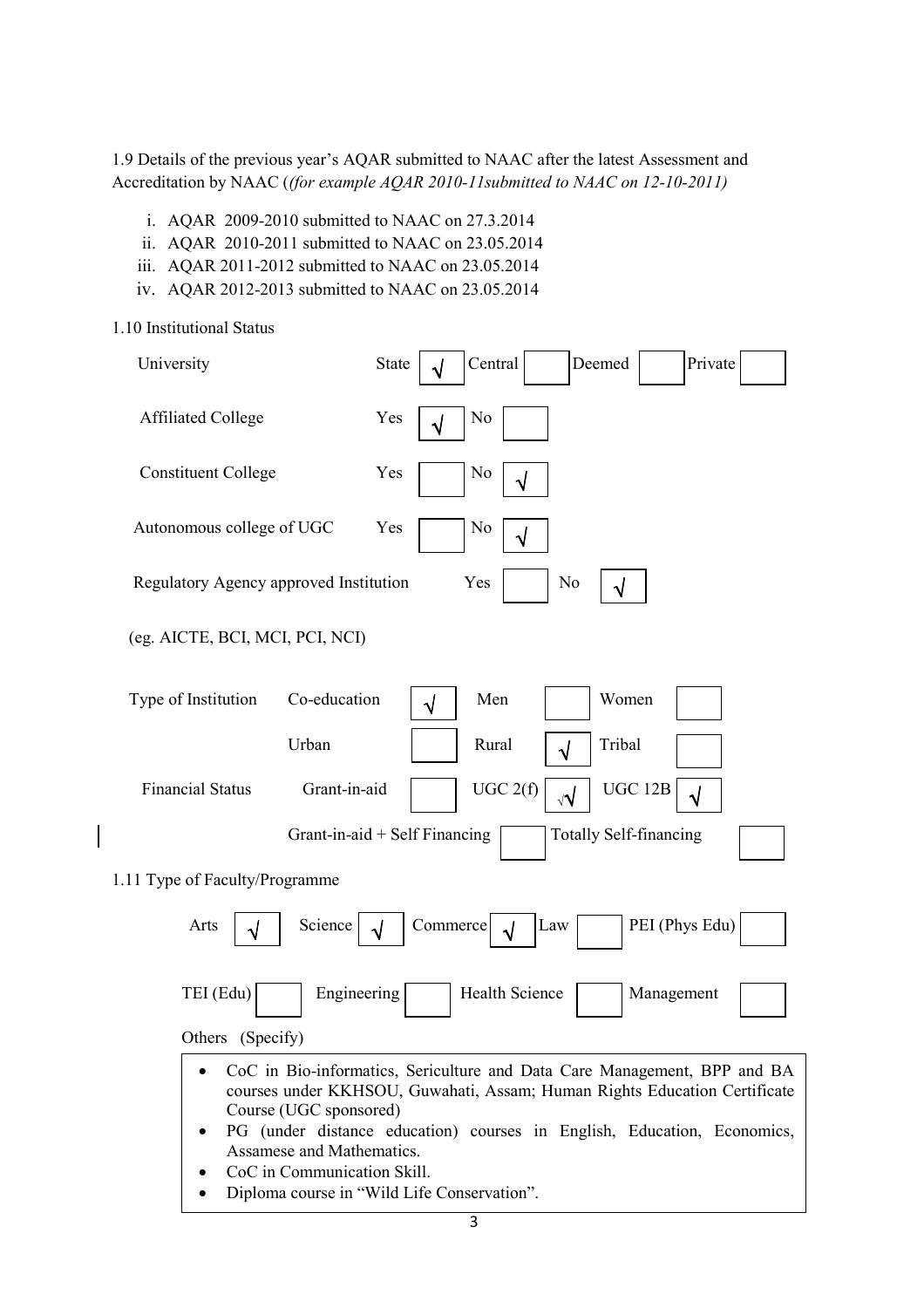1.9 Details of the previous year's AQAR submitted to NAAC after the latest Assessment and Accreditation by NAAC ((for example AQAR 2010-11submitted to NAAC on 12-10-2011)

- i. AQAR 2009-2010 submitted to NAAC on 27.3.2014
- ii. AQAR 2010-2011 submitted to NAAC on 23.05.2014
- iii. AQAR 2011-2012 submitted to NAAC on 23.05.2014
- iv. AQAR 2012-2013 submitted to NAAC on 23.05.2014

1.10 Institutional Status

| University                                                                         | Central<br>Deemed<br><b>State</b><br>Private<br>√                                                                                                                                                                                                                               |
|------------------------------------------------------------------------------------|---------------------------------------------------------------------------------------------------------------------------------------------------------------------------------------------------------------------------------------------------------------------------------|
| <b>Affiliated College</b>                                                          | N <sub>0</sub><br>Yes<br>$\sqrt{}$                                                                                                                                                                                                                                              |
| <b>Constituent College</b>                                                         | Yes<br>N <sub>0</sub><br>√                                                                                                                                                                                                                                                      |
| Autonomous college of UGC                                                          | Yes<br>No<br>√                                                                                                                                                                                                                                                                  |
| Regulatory Agency approved Institution                                             | Yes<br>N <sub>0</sub><br>$\sqrt{}$                                                                                                                                                                                                                                              |
| (eg. AICTE, BCI, MCI, PCI, NCI)                                                    |                                                                                                                                                                                                                                                                                 |
| Type of Institution<br>Co-education                                                | Men<br>Women<br>$\sqrt{ }$                                                                                                                                                                                                                                                      |
| Urban                                                                              | Rural<br>Tribal<br>√                                                                                                                                                                                                                                                            |
| <b>Financial Status</b><br>Grant-in-aid                                            | UGC 2(f)<br>UGC 12B<br>√√<br>$\sqrt{}$                                                                                                                                                                                                                                          |
|                                                                                    | Grant-in-aid + Self Financing<br><b>Totally Self-financing</b>                                                                                                                                                                                                                  |
| 1.11 Type of Faculty/Programme                                                     |                                                                                                                                                                                                                                                                                 |
| Science<br>Arts<br>√                                                               | Commerce<br>PEI (Phys Edu)<br>Law<br>J                                                                                                                                                                                                                                          |
| TEI (Edu)<br>Engineering                                                           | Health Science<br>Management                                                                                                                                                                                                                                                    |
| Others (Specify)                                                                   |                                                                                                                                                                                                                                                                                 |
| Course (UGC sponsored)<br>Assamese and Mathematics.<br>CoC in Communication Skill. | CoC in Bio-informatics, Sericulture and Data Care Management, BPP and BA<br>courses under KKHSOU, Guwahati, Assam; Human Rights Education Certificate<br>PG (under distance education) courses in English, Education, Economics,<br>Diploma course in "Wild Life Conservation". |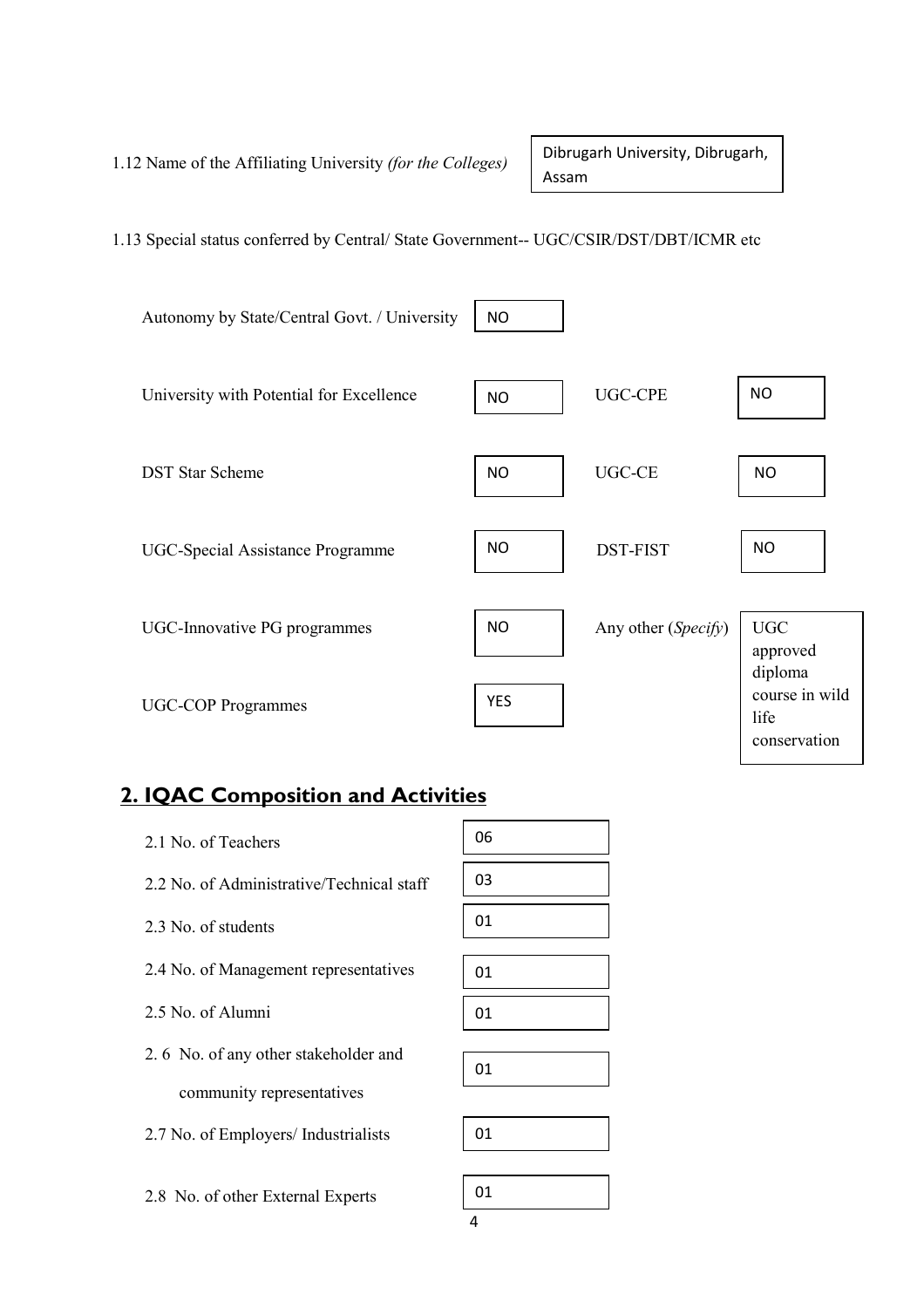1.12 Name of the Affiliating University (for the Colleges)

Dibrugarh University, Dibrugarh, Assam

1.13 Special status conferred by Central/ State Government-- UGC/CSIR/DST/DBT/ICMR etc



## 2. IQAC Composition and Activities

2.8 No. of other External Experts

| 2.1 No. of Teachers                       | 06 |
|-------------------------------------------|----|
| 2.2 No. of Administrative/Technical staff | 03 |
| 2.3 No. of students                       | 01 |
| 2.4 No. of Management representatives     | 01 |
| 2.5 No. of Alumni                         | 01 |
| 2.6 No. of any other stakeholder and      |    |
|                                           | 01 |
| community representatives                 |    |
| 2.7 No. of Employers/ Industrialists      | 01 |
|                                           |    |
| 2.8 No of other External Experts          | 01 |

4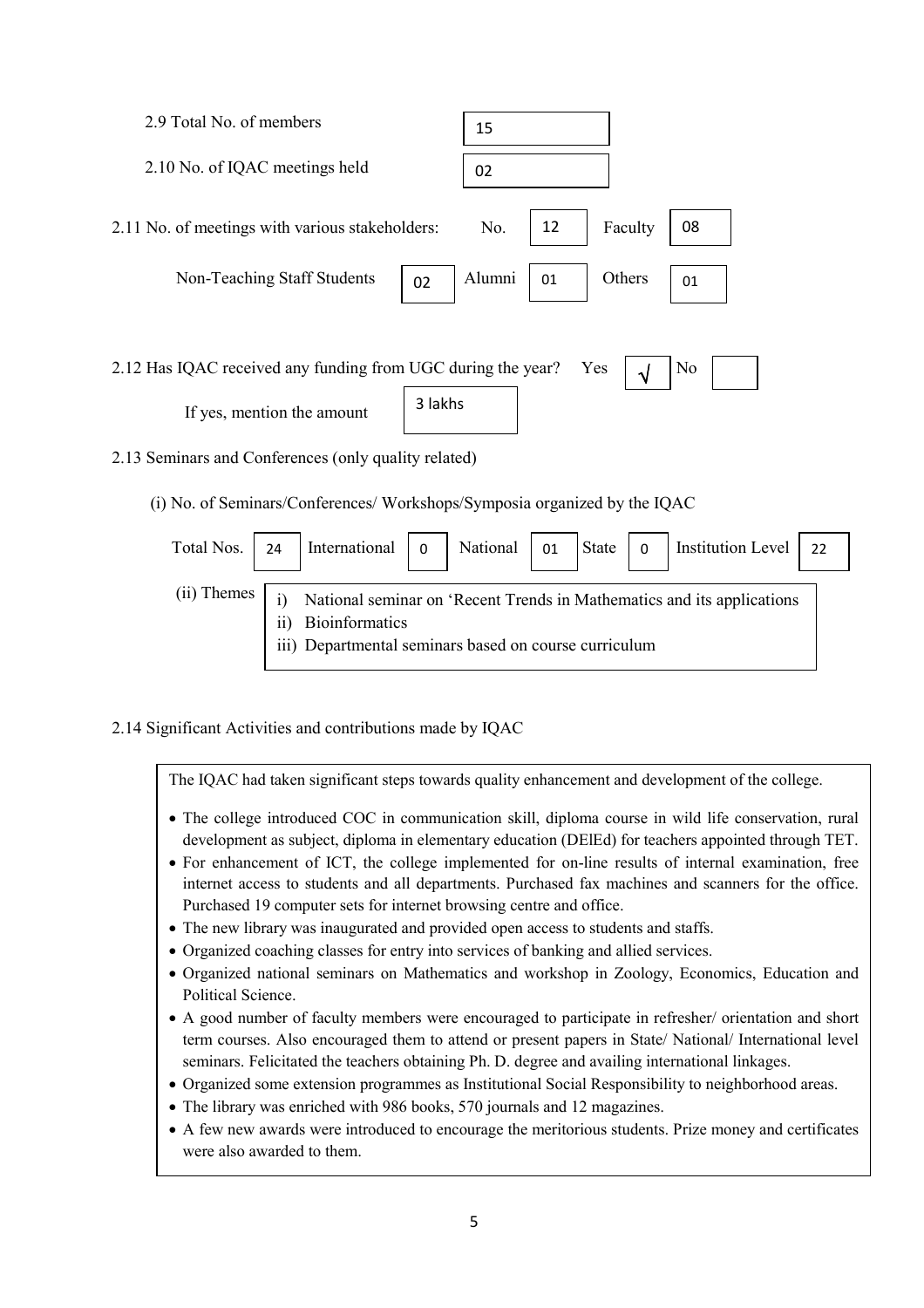

2.13 Seminars and Conferences (only quality related)

(i) No. of Seminars/Conferences/ Workshops/Symposia organized by the IQAC

| Total Nos.  | 24  | International                                                                  | $\overline{0}$ | National | 01 | State | $\overline{0}$ | Institution Level                                                      | 22 |
|-------------|-----|--------------------------------------------------------------------------------|----------------|----------|----|-------|----------------|------------------------------------------------------------------------|----|
| (ii) Themes | 11) | <b>Bioinformatics</b><br>iii) Departmental seminars based on course curriculum |                |          |    |       |                | National seminar on 'Recent Trends in Mathematics and its applications |    |

### 2.14 Significant Activities and contributions made by IQAC

The IQAC had taken significant steps towards quality enhancement and development of the college.

- The college introduced COC in communication skill, diploma course in wild life conservation, rural development as subject, diploma in elementary education (DElEd) for teachers appointed through TET.
- For enhancement of ICT, the college implemented for on-line results of internal examination, free internet access to students and all departments. Purchased fax machines and scanners for the office. Purchased 19 computer sets for internet browsing centre and office.
- The new library was inaugurated and provided open access to students and staffs.
- Organized coaching classes for entry into services of banking and allied services.
- Organized national seminars on Mathematics and workshop in Zoology, Economics, Education and Political Science.
- A good number of faculty members were encouraged to participate in refresher/ orientation and short term courses. Also encouraged them to attend or present papers in State/ National/ International level seminars. Felicitated the teachers obtaining Ph. D. degree and availing international linkages.
- Organized some extension programmes as Institutional Social Responsibility to neighborhood areas.
- The library was enriched with 986 books, 570 journals and 12 magazines.
- A few new awards were introduced to encourage the meritorious students. Prize money and certificates were also awarded to them.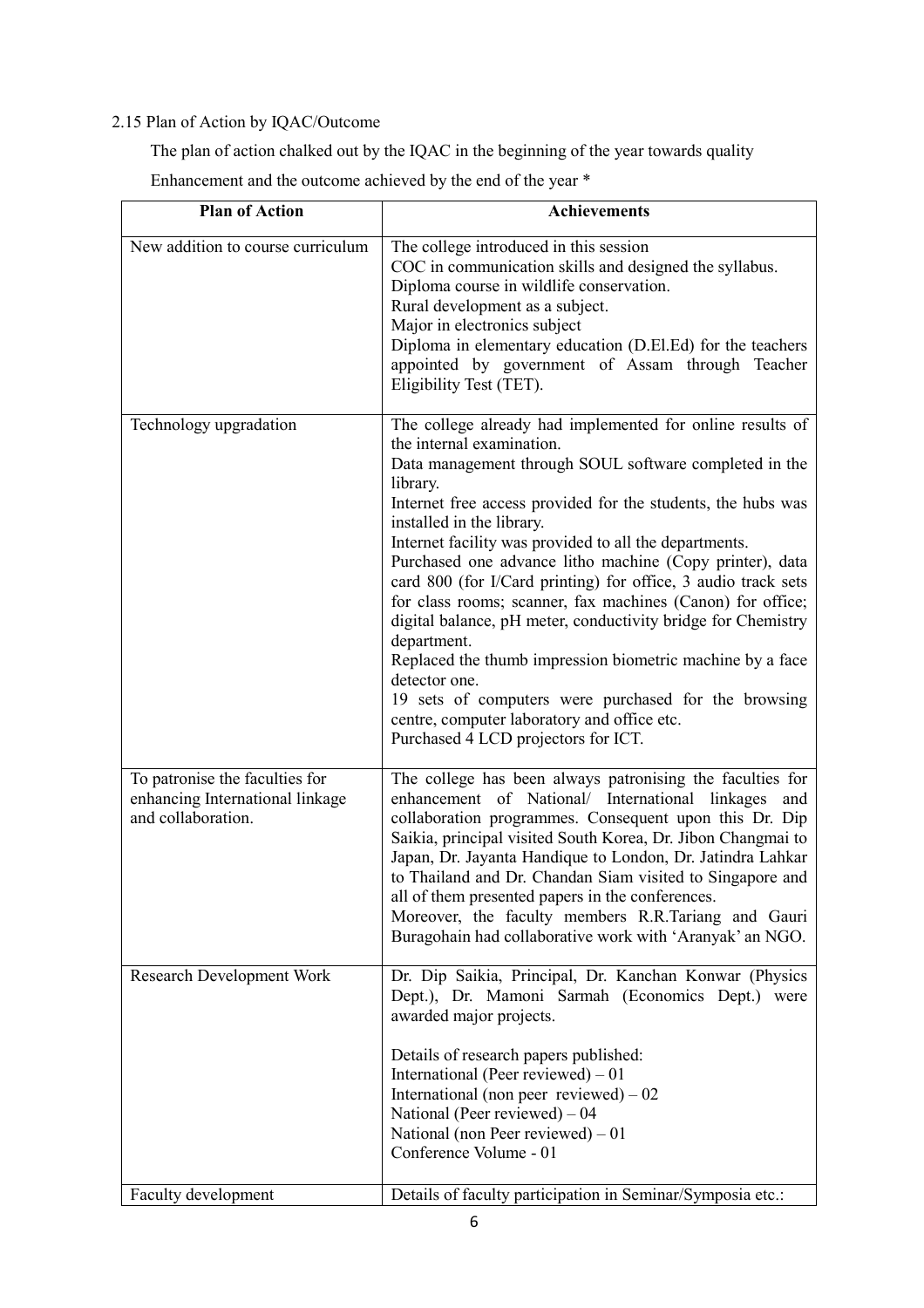## 2.15 Plan of Action by IQAC/Outcome

The plan of action chalked out by the IQAC in the beginning of the year towards quality

Enhancement and the outcome achieved by the end of the year \*

| <b>Plan of Action</b>                                                                   | <b>Achievements</b>                                                                                                                                                                                                                                                                                                                                                                                                                                                                                                                                                                                                                                                                                                                                                                                                       |
|-----------------------------------------------------------------------------------------|---------------------------------------------------------------------------------------------------------------------------------------------------------------------------------------------------------------------------------------------------------------------------------------------------------------------------------------------------------------------------------------------------------------------------------------------------------------------------------------------------------------------------------------------------------------------------------------------------------------------------------------------------------------------------------------------------------------------------------------------------------------------------------------------------------------------------|
| New addition to course curriculum                                                       | The college introduced in this session<br>COC in communication skills and designed the syllabus.<br>Diploma course in wildlife conservation.<br>Rural development as a subject.<br>Major in electronics subject<br>Diploma in elementary education (D.El.Ed) for the teachers<br>appointed by government of Assam through Teacher<br>Eligibility Test (TET).                                                                                                                                                                                                                                                                                                                                                                                                                                                              |
| Technology upgradation                                                                  | The college already had implemented for online results of<br>the internal examination.<br>Data management through SOUL software completed in the<br>library.<br>Internet free access provided for the students, the hubs was<br>installed in the library.<br>Internet facility was provided to all the departments.<br>Purchased one advance litho machine (Copy printer), data<br>card 800 (for I/Card printing) for office, 3 audio track sets<br>for class rooms; scanner, fax machines (Canon) for office;<br>digital balance, pH meter, conductivity bridge for Chemistry<br>department.<br>Replaced the thumb impression biometric machine by a face<br>detector one.<br>19 sets of computers were purchased for the browsing<br>centre, computer laboratory and office etc.<br>Purchased 4 LCD projectors for ICT. |
| To patronise the faculties for<br>enhancing International linkage<br>and collaboration. | The college has been always patronising the faculties for<br>enhancement of National/ International linkages<br>and<br>collaboration programmes. Consequent upon this Dr. Dip<br>Saikia, principal visited South Korea, Dr. Jibon Changmai to<br>Japan, Dr. Jayanta Handique to London, Dr. Jatindra Lahkar<br>to Thailand and Dr. Chandan Siam visited to Singapore and<br>all of them presented papers in the conferences.<br>Moreover, the faculty members R.R.Tariang and Gauri<br>Buragohain had collaborative work with 'Aranyak' an NGO.                                                                                                                                                                                                                                                                           |
| Research Development Work                                                               | Dr. Dip Saikia, Principal, Dr. Kanchan Konwar (Physics<br>Dept.), Dr. Mamoni Sarmah (Economics Dept.) were<br>awarded major projects.<br>Details of research papers published:<br>International (Peer reviewed) $-01$<br>International (non peer reviewed) $-02$<br>National (Peer reviewed) $-04$<br>National (non Peer reviewed) $-01$<br>Conference Volume - 01                                                                                                                                                                                                                                                                                                                                                                                                                                                        |
| Faculty development                                                                     | Details of faculty participation in Seminar/Symposia etc.:                                                                                                                                                                                                                                                                                                                                                                                                                                                                                                                                                                                                                                                                                                                                                                |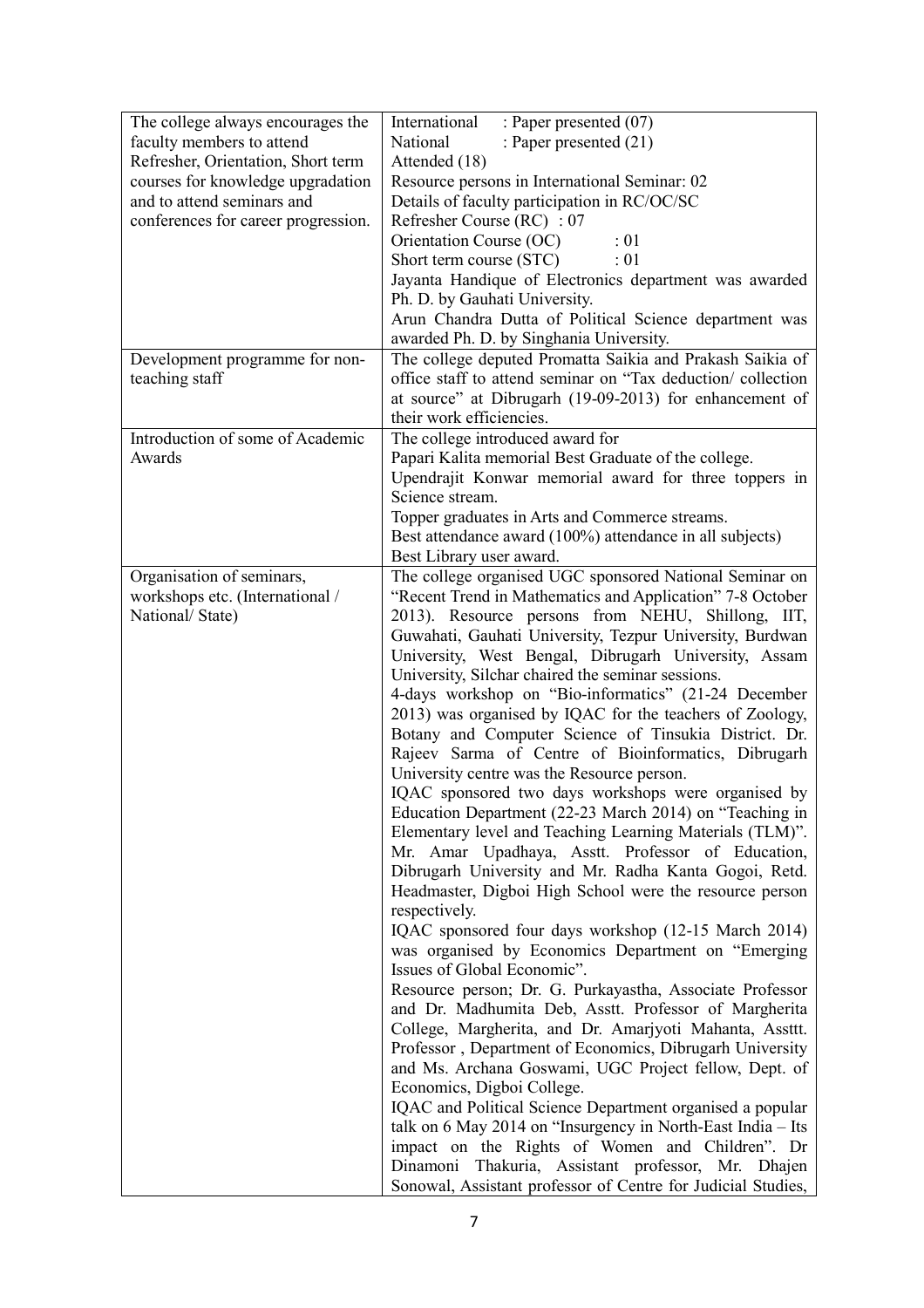| The college always encourages the   | : Paper presented (07)<br>International                                                                        |  |  |  |
|-------------------------------------|----------------------------------------------------------------------------------------------------------------|--|--|--|
| faculty members to attend           | National<br>: Paper presented (21)                                                                             |  |  |  |
| Refresher, Orientation, Short term  | Attended (18)                                                                                                  |  |  |  |
| courses for knowledge upgradation   | Resource persons in International Seminar: 02                                                                  |  |  |  |
| and to attend seminars and          | Details of faculty participation in RC/OC/SC                                                                   |  |  |  |
| conferences for career progression. | Refresher Course (RC) : 07                                                                                     |  |  |  |
|                                     | Orientation Course (OC)<br>$\div 01$                                                                           |  |  |  |
|                                     | Short term course (STC)<br>$\div 01$                                                                           |  |  |  |
|                                     | Jayanta Handique of Electronics department was awarded                                                         |  |  |  |
|                                     | Ph. D. by Gauhati University.<br>Arun Chandra Dutta of Political Science department was                        |  |  |  |
|                                     | awarded Ph. D. by Singhania University.                                                                        |  |  |  |
| Development programme for non-      | The college deputed Promatta Saikia and Prakash Saikia of                                                      |  |  |  |
| teaching staff                      | office staff to attend seminar on "Tax deduction/ collection                                                   |  |  |  |
|                                     | at source" at Dibrugarh (19-09-2013) for enhancement of                                                        |  |  |  |
|                                     | their work efficiencies.                                                                                       |  |  |  |
| Introduction of some of Academic    | The college introduced award for                                                                               |  |  |  |
| Awards                              | Papari Kalita memorial Best Graduate of the college.                                                           |  |  |  |
|                                     | Upendrajit Konwar memorial award for three toppers in                                                          |  |  |  |
|                                     | Science stream.                                                                                                |  |  |  |
|                                     | Topper graduates in Arts and Commerce streams.                                                                 |  |  |  |
|                                     | Best attendance award (100%) attendance in all subjects)                                                       |  |  |  |
|                                     | Best Library user award.                                                                                       |  |  |  |
| Organisation of seminars,           | The college organised UGC sponsored National Seminar on                                                        |  |  |  |
| workshops etc. (International /     | "Recent Trend in Mathematics and Application" 7-8 October<br>2013). Resource persons from NEHU, Shillong, IIT, |  |  |  |
| National/State)                     | Guwahati, Gauhati University, Tezpur University, Burdwan                                                       |  |  |  |
|                                     | University, West Bengal, Dibrugarh University, Assam                                                           |  |  |  |
|                                     | University, Silchar chaired the seminar sessions.                                                              |  |  |  |
|                                     | 4-days workshop on "Bio-informatics" (21-24 December                                                           |  |  |  |
|                                     | 2013) was organised by IQAC for the teachers of Zoology,                                                       |  |  |  |
|                                     | Botany and Computer Science of Tinsukia District. Dr.                                                          |  |  |  |
|                                     | Rajeev Sarma of Centre of Bioinformatics, Dibrugarh                                                            |  |  |  |
|                                     | University centre was the Resource person.                                                                     |  |  |  |
|                                     | IQAC sponsored two days workshops were organised by                                                            |  |  |  |
|                                     | Education Department (22-23 March 2014) on "Teaching in                                                        |  |  |  |
|                                     | Elementary level and Teaching Learning Materials (TLM)".                                                       |  |  |  |
|                                     | Mr. Amar Upadhaya, Asstt. Professor of Education,                                                              |  |  |  |
|                                     | Dibrugarh University and Mr. Radha Kanta Gogoi, Retd.                                                          |  |  |  |
|                                     | Headmaster, Digboi High School were the resource person<br>respectively.                                       |  |  |  |
|                                     | IQAC sponsored four days workshop (12-15 March 2014)                                                           |  |  |  |
|                                     | was organised by Economics Department on "Emerging                                                             |  |  |  |
|                                     | Issues of Global Economic".                                                                                    |  |  |  |
|                                     | Resource person; Dr. G. Purkayastha, Associate Professor                                                       |  |  |  |
|                                     | and Dr. Madhumita Deb, Asstt. Professor of Margherita                                                          |  |  |  |
|                                     | College, Margherita, and Dr. Amarjyoti Mahanta, Assttt.                                                        |  |  |  |
|                                     | Professor, Department of Economics, Dibrugarh University                                                       |  |  |  |
|                                     | and Ms. Archana Goswami, UGC Project fellow, Dept. of                                                          |  |  |  |
|                                     | Economics, Digboi College.                                                                                     |  |  |  |
|                                     | IQAC and Political Science Department organised a popular                                                      |  |  |  |
|                                     | talk on 6 May 2014 on "Insurgency in North-East India - Its                                                    |  |  |  |
|                                     | impact on the Rights of Women and Children". Dr                                                                |  |  |  |
|                                     | Dinamoni Thakuria, Assistant professor, Mr. Dhajen                                                             |  |  |  |
|                                     | Sonowal, Assistant professor of Centre for Judicial Studies,                                                   |  |  |  |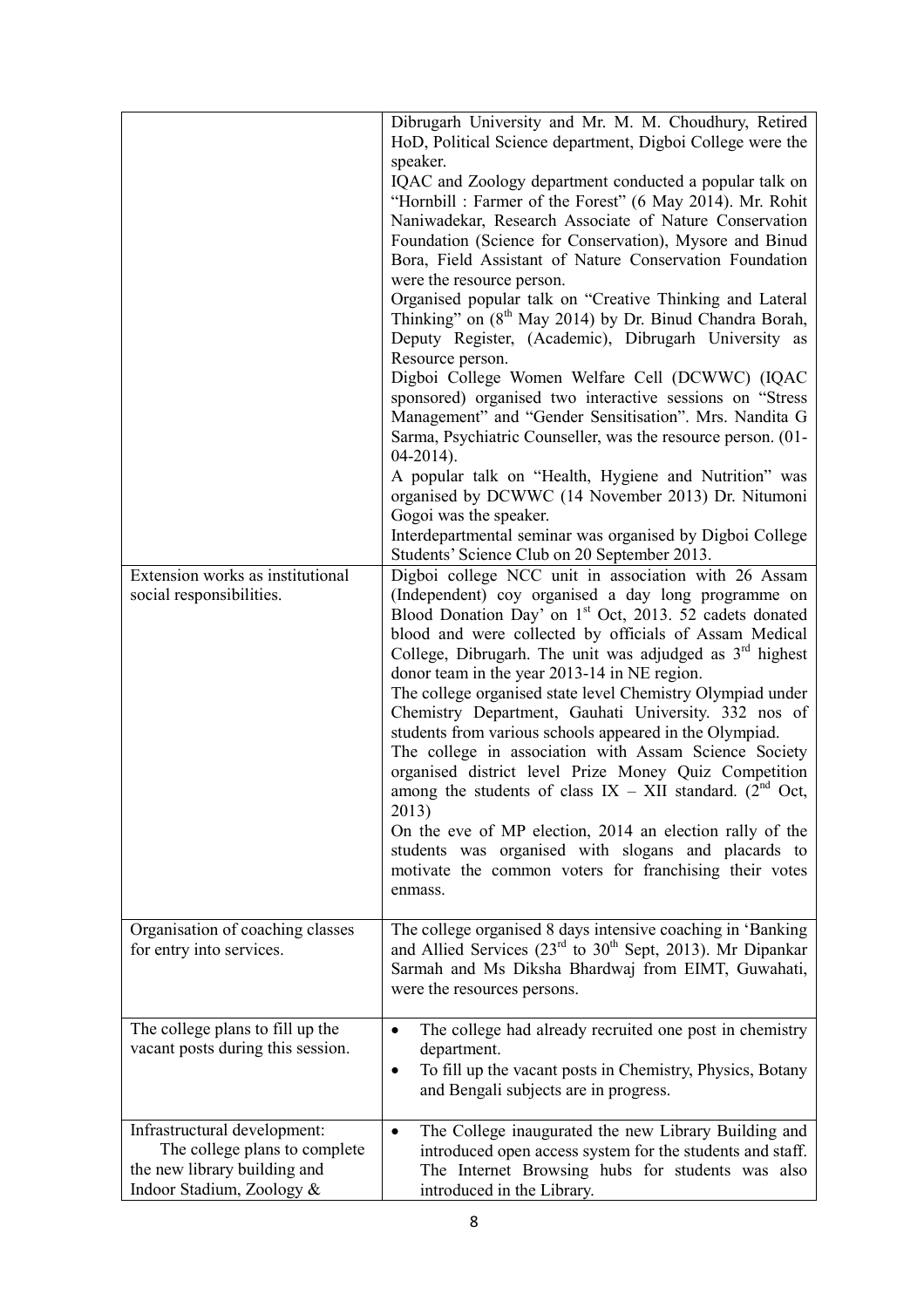| Extension works as institutional<br>social responsibilities.                                                               | Dibrugarh University and Mr. M. M. Choudhury, Retired<br>HoD, Political Science department, Digboi College were the<br>speaker.<br>IQAC and Zoology department conducted a popular talk on<br>"Hornbill: Farmer of the Forest" (6 May 2014). Mr. Rohit<br>Naniwadekar, Research Associate of Nature Conservation<br>Foundation (Science for Conservation), Mysore and Binud<br>Bora, Field Assistant of Nature Conservation Foundation<br>were the resource person.<br>Organised popular talk on "Creative Thinking and Lateral<br>Thinking" on (8 <sup>th</sup> May 2014) by Dr. Binud Chandra Borah,<br>Deputy Register, (Academic), Dibrugarh University as<br>Resource person.<br>Digboi College Women Welfare Cell (DCWWC) (IQAC<br>sponsored) organised two interactive sessions on "Stress<br>Management" and "Gender Sensitisation". Mrs. Nandita G<br>Sarma, Psychiatric Counseller, was the resource person. (01-<br>$04-2014$ ).<br>A popular talk on "Health, Hygiene and Nutrition" was<br>organised by DCWWC (14 November 2013) Dr. Nitumoni<br>Gogoi was the speaker.<br>Interdepartmental seminar was organised by Digboi College<br>Students' Science Club on 20 September 2013.<br>Digboi college NCC unit in association with 26 Assam<br>(Independent) coy organised a day long programme on<br>Blood Donation Day' on 1 <sup>st</sup> Oct, 2013. 52 cadets donated<br>blood and were collected by officials of Assam Medical<br>College, Dibrugarh. The unit was adjudged as $3rd$ highest<br>donor team in the year 2013-14 in NE region.<br>The college organised state level Chemistry Olympiad under<br>Chemistry Department, Gauhati University. 332 nos of<br>students from various schools appeared in the Olympiad.<br>The college in association with Assam Science Society<br>organised district level Prize Money Quiz Competition<br>among the students of class $IX - XII$ standard. (2 <sup>nd</sup> Oct,<br>2013)<br>On the eve of MP election, 2014 an election rally of the<br>students was organised with slogans and placards to<br>motivate the common voters for franchising their votes |
|----------------------------------------------------------------------------------------------------------------------------|------------------------------------------------------------------------------------------------------------------------------------------------------------------------------------------------------------------------------------------------------------------------------------------------------------------------------------------------------------------------------------------------------------------------------------------------------------------------------------------------------------------------------------------------------------------------------------------------------------------------------------------------------------------------------------------------------------------------------------------------------------------------------------------------------------------------------------------------------------------------------------------------------------------------------------------------------------------------------------------------------------------------------------------------------------------------------------------------------------------------------------------------------------------------------------------------------------------------------------------------------------------------------------------------------------------------------------------------------------------------------------------------------------------------------------------------------------------------------------------------------------------------------------------------------------------------------------------------------------------------------------------------------------------------------------------------------------------------------------------------------------------------------------------------------------------------------------------------------------------------------------------------------------------------------------------------------------------------------------------------------------------------------------------------------------------------------------------------------------------------------------|
| Organisation of coaching classes                                                                                           | enmass.<br>The college organised 8 days intensive coaching in 'Banking                                                                                                                                                                                                                                                                                                                                                                                                                                                                                                                                                                                                                                                                                                                                                                                                                                                                                                                                                                                                                                                                                                                                                                                                                                                                                                                                                                                                                                                                                                                                                                                                                                                                                                                                                                                                                                                                                                                                                                                                                                                             |
| for entry into services.                                                                                                   | and Allied Services ( $23rd$ to $30th$ Sept, 2013). Mr Dipankar<br>Sarmah and Ms Diksha Bhardwaj from EIMT, Guwahati,<br>were the resources persons.                                                                                                                                                                                                                                                                                                                                                                                                                                                                                                                                                                                                                                                                                                                                                                                                                                                                                                                                                                                                                                                                                                                                                                                                                                                                                                                                                                                                                                                                                                                                                                                                                                                                                                                                                                                                                                                                                                                                                                               |
| The college plans to fill up the<br>vacant posts during this session.                                                      | The college had already recruited one post in chemistry<br>$\bullet$<br>department.<br>To fill up the vacant posts in Chemistry, Physics, Botany<br>٠<br>and Bengali subjects are in progress.                                                                                                                                                                                                                                                                                                                                                                                                                                                                                                                                                                                                                                                                                                                                                                                                                                                                                                                                                                                                                                                                                                                                                                                                                                                                                                                                                                                                                                                                                                                                                                                                                                                                                                                                                                                                                                                                                                                                     |
| Infrastructural development:<br>The college plans to complete<br>the new library building and<br>Indoor Stadium, Zoology & | The College inaugurated the new Library Building and<br>$\bullet$<br>introduced open access system for the students and staff.<br>The Internet Browsing hubs for students was also<br>introduced in the Library.                                                                                                                                                                                                                                                                                                                                                                                                                                                                                                                                                                                                                                                                                                                                                                                                                                                                                                                                                                                                                                                                                                                                                                                                                                                                                                                                                                                                                                                                                                                                                                                                                                                                                                                                                                                                                                                                                                                   |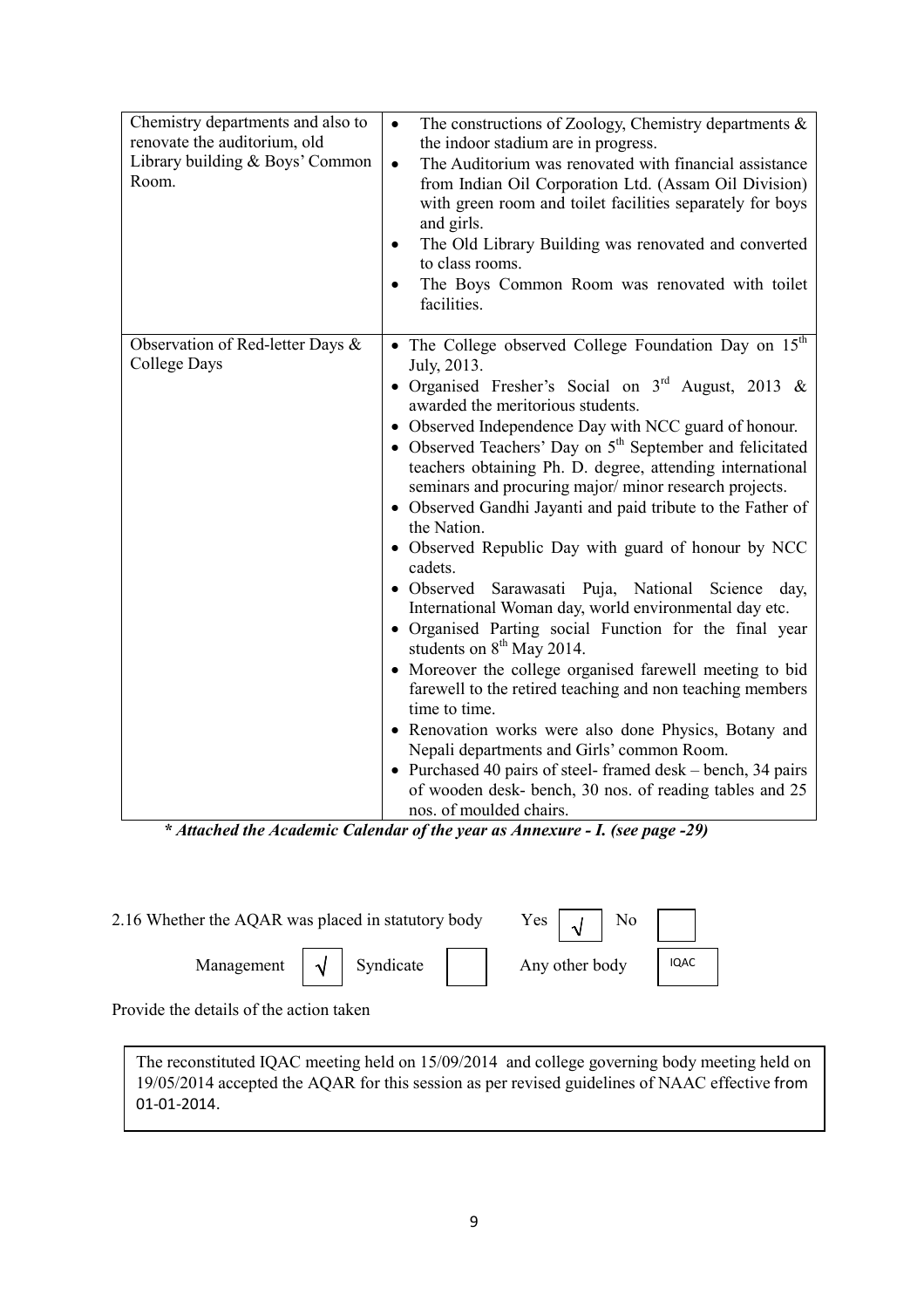| Chemistry departments and also to<br>renovate the auditorium, old<br>Library building & Boys' Common<br>Room. | The constructions of Zoology, Chemistry departments $\&$<br>$\bullet$<br>the indoor stadium are in progress.<br>The Auditorium was renovated with financial assistance<br>$\bullet$<br>from Indian Oil Corporation Ltd. (Assam Oil Division)<br>with green room and toilet facilities separately for boys<br>and girls.<br>The Old Library Building was renovated and converted<br>٠<br>to class rooms.<br>The Boys Common Room was renovated with toilet<br>facilities.                                                                                                                                                                                                                                                                                                                                                                                                                                                                                                                                                                                                                                                                                                                 |
|---------------------------------------------------------------------------------------------------------------|------------------------------------------------------------------------------------------------------------------------------------------------------------------------------------------------------------------------------------------------------------------------------------------------------------------------------------------------------------------------------------------------------------------------------------------------------------------------------------------------------------------------------------------------------------------------------------------------------------------------------------------------------------------------------------------------------------------------------------------------------------------------------------------------------------------------------------------------------------------------------------------------------------------------------------------------------------------------------------------------------------------------------------------------------------------------------------------------------------------------------------------------------------------------------------------|
| Observation of Red-letter Days &<br>College Days                                                              | • The College observed College Foundation Day on 15 <sup>th</sup><br>July, 2013.<br>• Organised Fresher's Social on $3rd$ August, 2013 &<br>awarded the meritorious students.<br>• Observed Independence Day with NCC guard of honour.<br>• Observed Teachers' Day on $5th$ September and felicitated<br>teachers obtaining Ph. D. degree, attending international<br>seminars and procuring major/minor research projects.<br>• Observed Gandhi Jayanti and paid tribute to the Father of<br>the Nation.<br>• Observed Republic Day with guard of honour by NCC<br>cadets.<br>· Observed Sarawasati Puja, National Science day,<br>International Woman day, world environmental day etc.<br>· Organised Parting social Function for the final year<br>students on $8th$ May 2014.<br>• Moreover the college organised farewell meeting to bid<br>farewell to the retired teaching and non teaching members<br>time to time.<br>• Renovation works were also done Physics, Botany and<br>Nepali departments and Girls' common Room.<br>• Purchased 40 pairs of steel-framed desk – bench, 34 pairs<br>of wooden desk- bench, 30 nos. of reading tables and 25<br>nos. of moulded chairs. |

\* Attached the Academic Calendar of the year as Annexure - I. (see page -29)

| 2.16 Whether the AQAR was placed in statutory body | $Yes \mid A \mid No \mid$                               |                |          |
|----------------------------------------------------|---------------------------------------------------------|----------------|----------|
|                                                    | Management $\vert \sqrt{\vert}$ Syndicate $\vert \vert$ | Any other body | $I$ IQAC |

Provide the details of the action taken

The reconstituted IQAC meeting held on 15/09/2014 and college governing body meeting held on 19/05/2014 accepted the AQAR for this session as per revised guidelines of NAAC effective from 01-01-2014.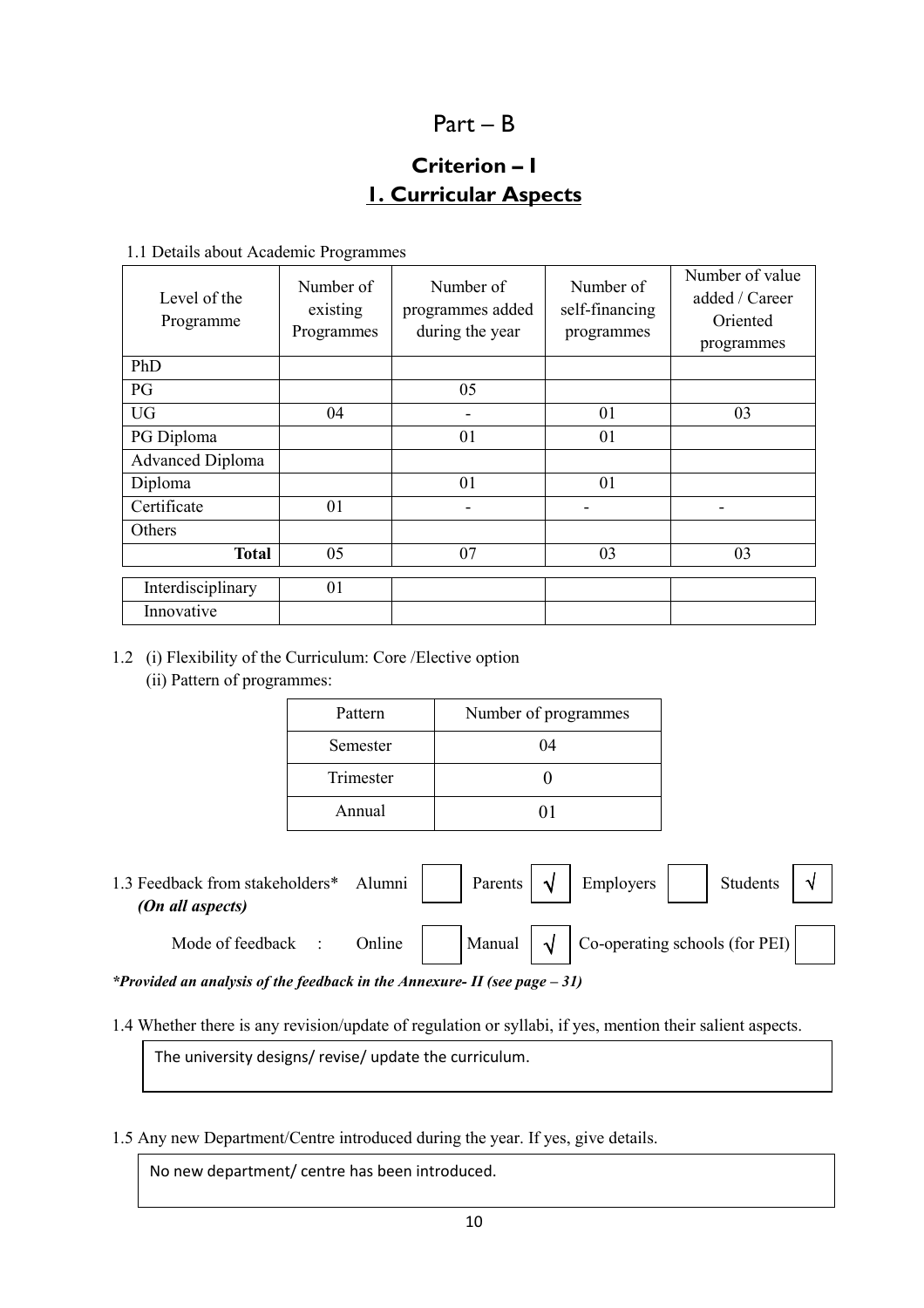## Part – B

## Criterion – I 1. Curricular Aspects

1.1 Details about Academic Programmes

| Level of the<br>Programme | Number of<br>existing<br>Programmes | Number of<br>programmes added<br>during the year | Number of<br>self-financing<br>programmes | Number of value<br>added / Career<br>Oriented<br>programmes |
|---------------------------|-------------------------------------|--------------------------------------------------|-------------------------------------------|-------------------------------------------------------------|
| PhD                       |                                     |                                                  |                                           |                                                             |
| PG                        |                                     | 05                                               |                                           |                                                             |
| <b>UG</b>                 | 04                                  |                                                  | 01                                        | 03                                                          |
| PG Diploma                |                                     | 01                                               | 01                                        |                                                             |
| <b>Advanced Diploma</b>   |                                     |                                                  |                                           |                                                             |
| Diploma                   |                                     | 01                                               | 01                                        |                                                             |
| Certificate               | 01                                  |                                                  |                                           |                                                             |
| Others                    |                                     |                                                  |                                           |                                                             |
| <b>Total</b>              | 05                                  | 07                                               | 03                                        | 03                                                          |
| Interdisciplinary         | 01                                  |                                                  |                                           |                                                             |
| Innovative                |                                     |                                                  |                                           |                                                             |

1.2 (i) Flexibility of the Curriculum: Core /Elective option (ii) Pattern of programmes:

| Pattern   | Number of programmes |
|-----------|----------------------|
| Semester  | 04                   |
| Trimester |                      |
| Annual    |                      |

1.3 Feedback from stakeholders\* Alumni | | Parents  $\vert \sqrt{2} \vert$  Employers | | Students (On all aspects) Mode of feedback : Online Manual  $\sqrt{\phantom{a}}$  Co-operating schools (for PEI) Employers √

\*Provided an analysis of the feedback in the Annexure- II (see page  $-31$ )

1.4 Whether there is any revision/update of regulation or syllabi, if yes, mention their salient aspects.

The university designs/ revise/ update the curriculum.

1.5 Any new Department/Centre introduced during the year. If yes, give details.

No new department/ centre has been introduced.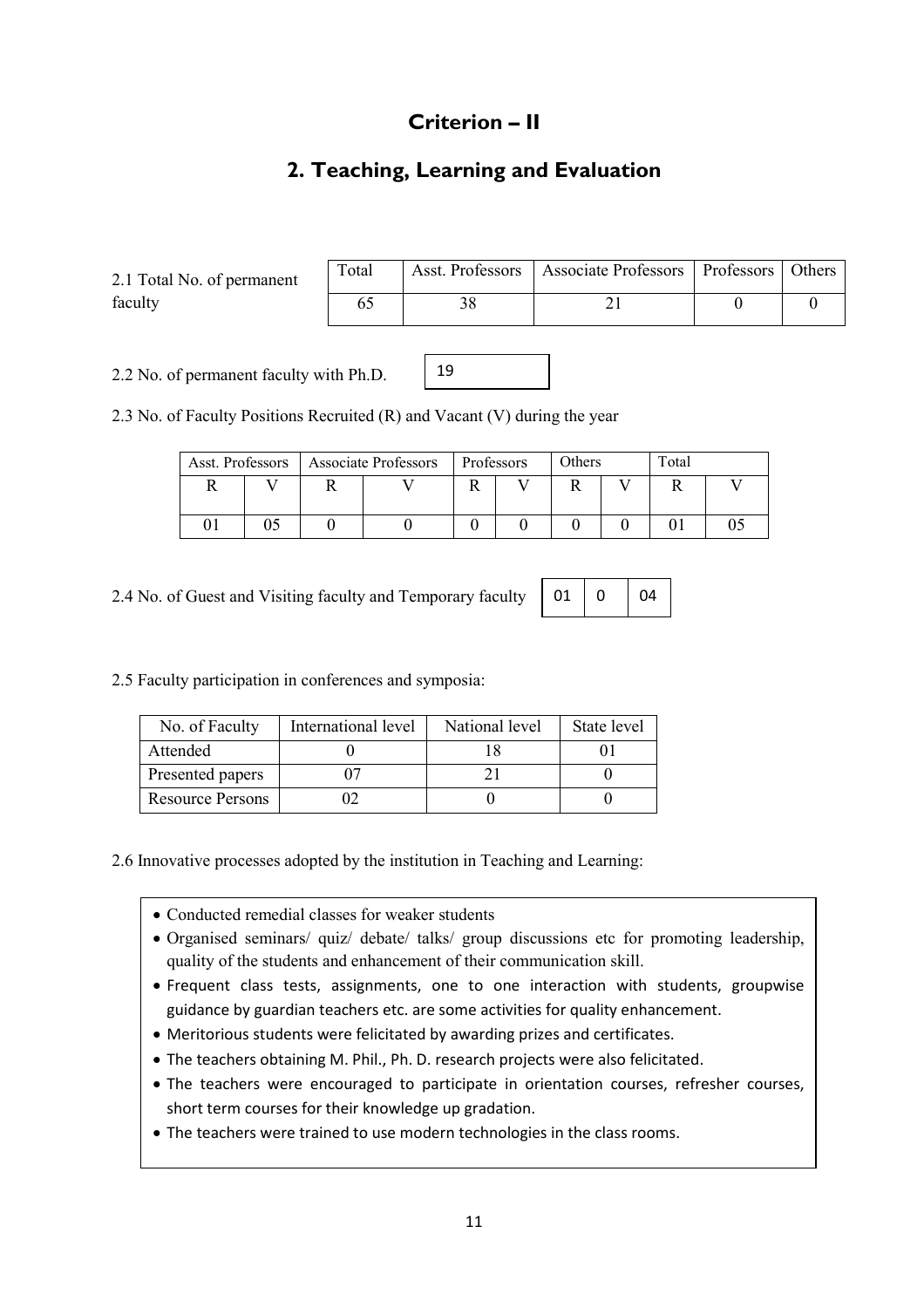## Criterion – II

## 2. Teaching, Learning and Evaluation

2.1 Total No. of permanent faculty

| Total | Asst. Professors   Associate Professors   Professors   Others |  |
|-------|---------------------------------------------------------------|--|
|       |                                                               |  |

2.2 No. of permanent faculty with Ph.D.

| . |  |  |
|---|--|--|
|   |  |  |
|   |  |  |
|   |  |  |
|   |  |  |

 $|_{19}$ 

2.3 No. of Faculty Positions Recruited (R) and Vacant (V) during the year

|  |  | Asst. Professors   Associate Professors |  | Professors   |  | Others |  | Total |  |
|--|--|-----------------------------------------|--|--------------|--|--------|--|-------|--|
|  |  |                                         |  | $\mathbf{v}$ |  |        |  |       |  |
|  |  |                                         |  |              |  |        |  |       |  |

2.4 No. of Guest and Visiting faculty and Temporary faculty

| 01 |  | 04 |
|----|--|----|
|----|--|----|

2.5 Faculty participation in conferences and symposia:

| No. of Faculty          | International level | National level | State level |
|-------------------------|---------------------|----------------|-------------|
| Attended                |                     |                |             |
| Presented papers        |                     |                |             |
| <b>Resource Persons</b> |                     |                |             |

2.6 Innovative processes adopted by the institution in Teaching and Learning:

- Conducted remedial classes for weaker students
- Organised seminars/ quiz/ debate/ talks/ group discussions etc for promoting leadership, quality of the students and enhancement of their communication skill.
- Frequent class tests, assignments, one to one interaction with students, groupwise guidance by guardian teachers etc. are some activities for quality enhancement.
- Meritorious students were felicitated by awarding prizes and certificates.
- The teachers obtaining M. Phil., Ph. D. research projects were also felicitated.
- The teachers were encouraged to participate in orientation courses, refresher courses, short term courses for their knowledge up gradation.
- The teachers were trained to use modern technologies in the class rooms.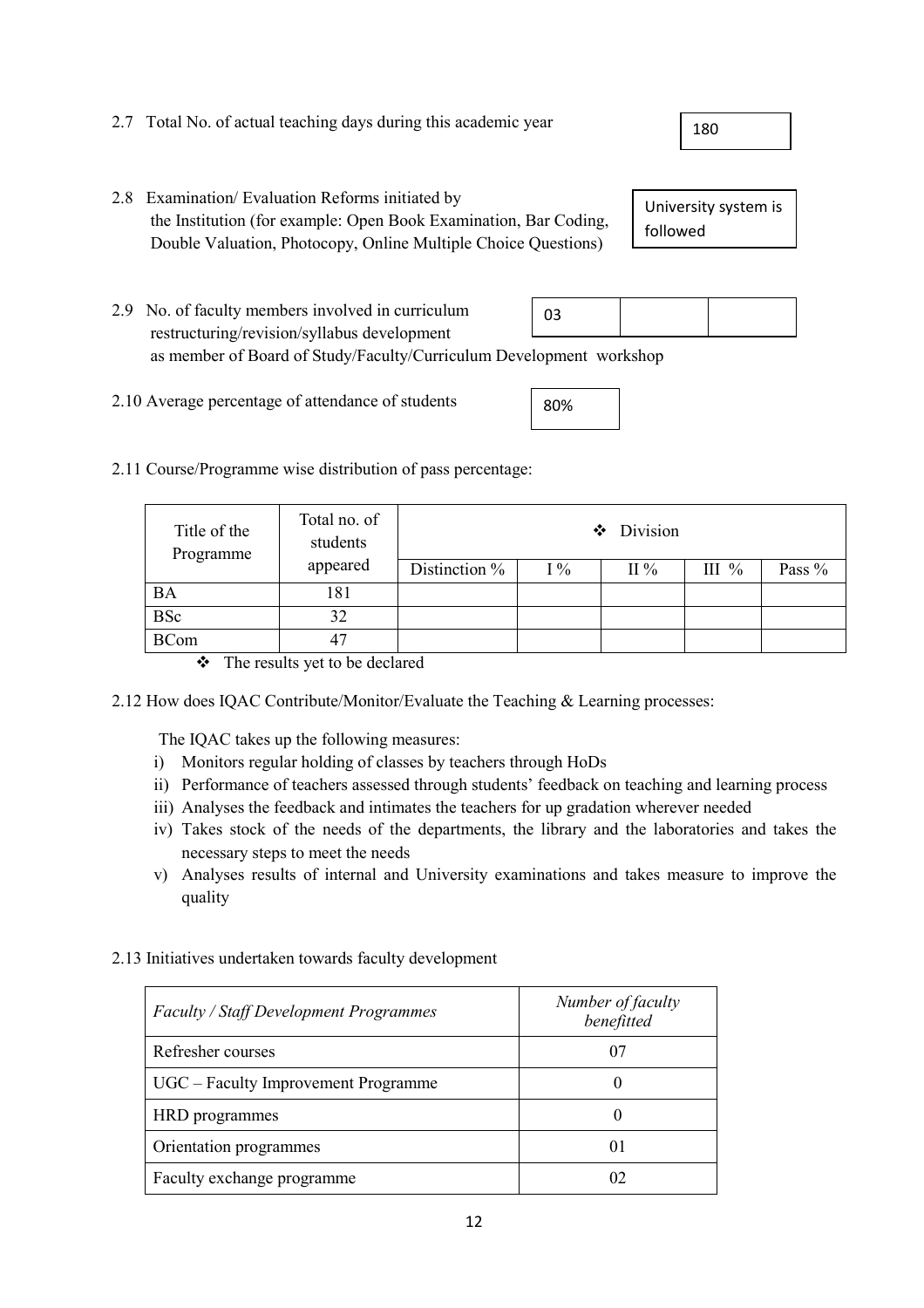| 2.7 Total No. of actual teaching days during this academic year |  |
|-----------------------------------------------------------------|--|
|-----------------------------------------------------------------|--|

2.8 Examination/ Evaluation Reforms initiated by the Institution (for example: Open Book Examination, Bar Coding, Double Valuation, Photocopy, Online Multiple Choice Questions)

University system is followed

- 2.9 No. of faculty members involved in curriculum restructuring/revision/syllabus development as member of Board of Study/Faculty/Curriculum Development workshop 03
- 2.10 Average percentage of attendance of students
- 2.11 Course/Programme wise distribution of pass percentage:

| Title of the<br>Programme | Total no. of<br>students | $\bullet$ Division |       |                 |          |        |
|---------------------------|--------------------------|--------------------|-------|-----------------|----------|--------|
|                           | appeared                 | Distinction $%$    | $1\%$ | $\mathrm{II}$ % | III $\%$ | Pass % |
| <b>BA</b>                 | 181                      |                    |       |                 |          |        |
| <b>BSc</b>                | 32                       |                    |       |                 |          |        |
| <b>BCom</b>               | 47                       |                    |       |                 |          |        |

The results yet to be declared

2.12 How does IQAC Contribute/Monitor/Evaluate the Teaching & Learning processes:

The IQAC takes up the following measures:

- i) Monitors regular holding of classes by teachers through HoDs
- ii) Performance of teachers assessed through students' feedback on teaching and learning process
- iii) Analyses the feedback and intimates the teachers for up gradation wherever needed
- iv) Takes stock of the needs of the departments, the library and the laboratories and takes the necessary steps to meet the needs
- v) Analyses results of internal and University examinations and takes measure to improve the quality

| <b>Faculty / Staff Development Programmes</b> | Number of faculty<br>benefitted |
|-----------------------------------------------|---------------------------------|
| Refresher courses                             | 07                              |
| UGC – Faculty Improvement Programme           |                                 |
| HRD programmes                                |                                 |
| Orientation programmes                        | 01                              |
| Faculty exchange programme                    | 02                              |

2.13 Initiatives undertaken towards faculty development

180

80%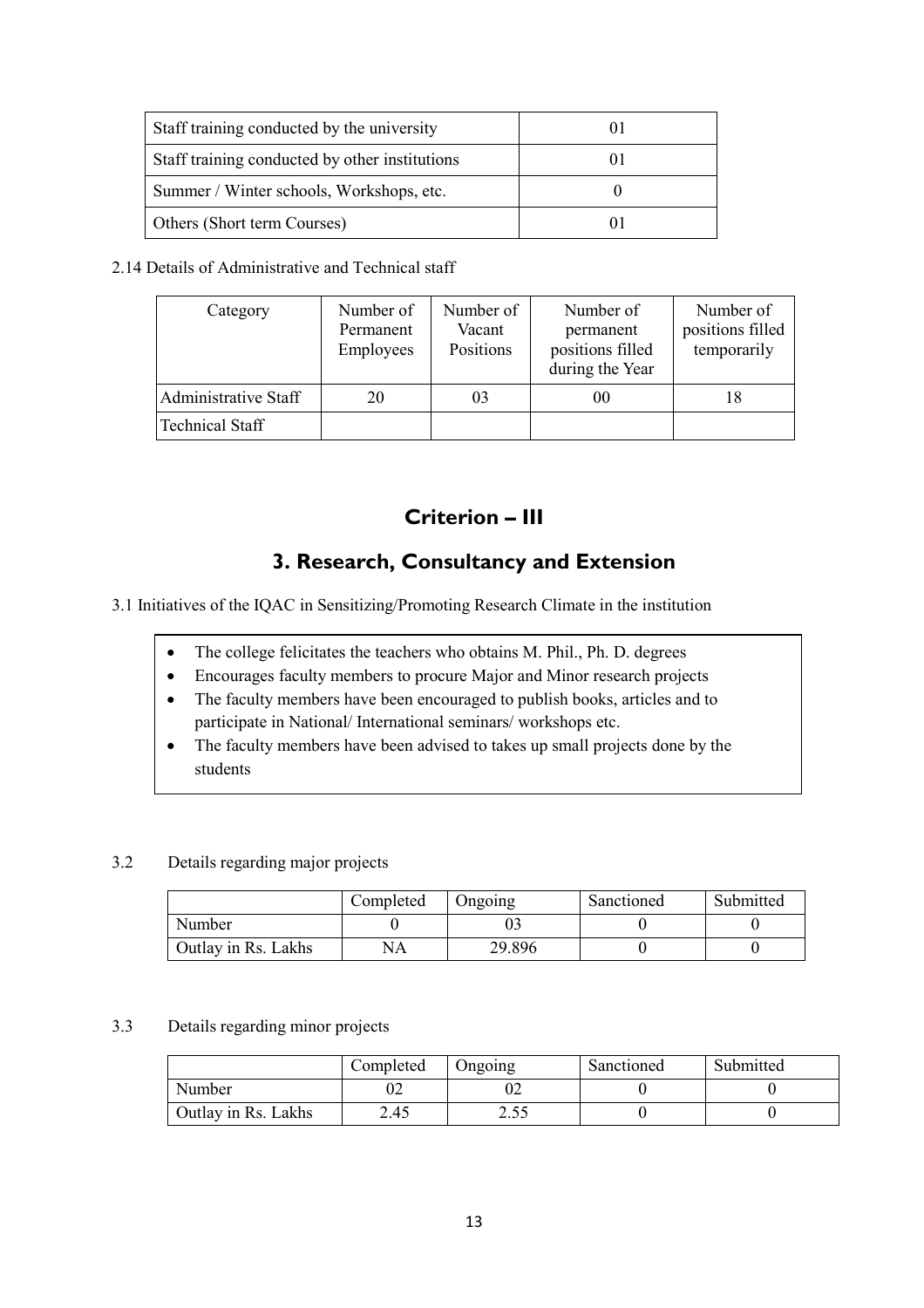| Staff training conducted by the university     |  |
|------------------------------------------------|--|
| Staff training conducted by other institutions |  |
| Summer / Winter schools, Workshops, etc.       |  |
| Others (Short term Courses)                    |  |

#### 2.14 Details of Administrative and Technical staff

| Category               | Number of<br>Permanent<br>Employees | Number of<br>Vacant<br>Positions | Number of<br>permanent<br>positions filled<br>during the Year | Number of<br>positions filled<br>temporarily |
|------------------------|-------------------------------------|----------------------------------|---------------------------------------------------------------|----------------------------------------------|
| Administrative Staff   | 20                                  | 03                               | 00                                                            | 18                                           |
| <b>Technical Staff</b> |                                     |                                  |                                                               |                                              |

## Criterion – III

## 3. Research, Consultancy and Extension

3.1 Initiatives of the IQAC in Sensitizing/Promoting Research Climate in the institution

- The college felicitates the teachers who obtains M. Phil., Ph. D. degrees
- Encourages faculty members to procure Major and Minor research projects
- The faculty members have been encouraged to publish books, articles and to participate in National/ International seminars/ workshops etc.
- The faculty members have been advised to takes up small projects done by the students

### 3.2 Details regarding major projects

|                     | Completed | Ongoing | Sanctioned | Submitted |
|---------------------|-----------|---------|------------|-----------|
| Number              |           |         |            |           |
| Outlay in Rs. Lakhs | NA        | 29.896  |            |           |

#### 3.3 Details regarding minor projects

|                     | Completed | Jngoing | Sanctioned | Submitted |
|---------------------|-----------|---------|------------|-----------|
| Number              |           | U2      |            |           |
| Outlay in Rs. Lakhs | 2.45      | ں ں ب   |            |           |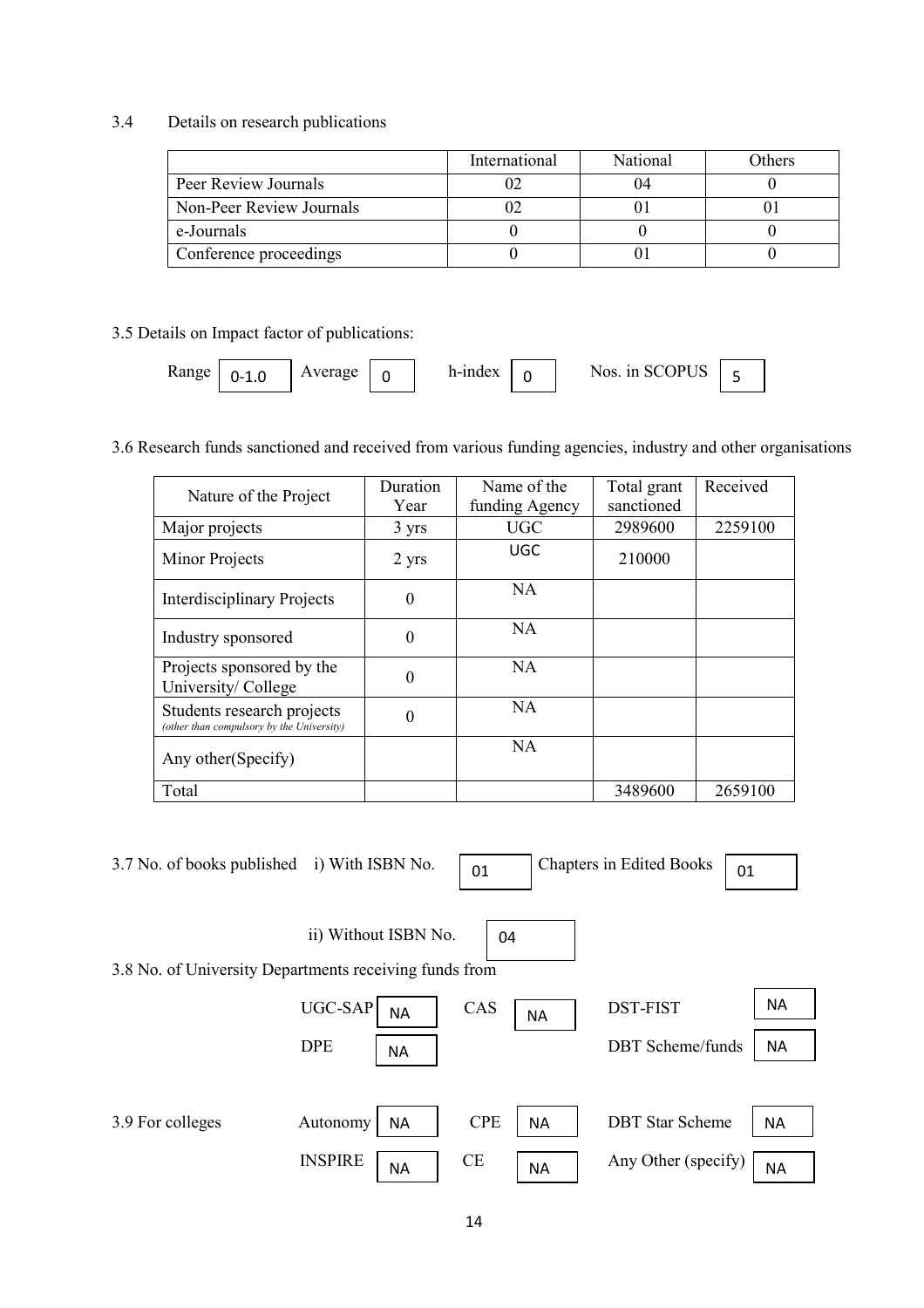## 3.4 Details on research publications

|                          | International | National | Others |
|--------------------------|---------------|----------|--------|
| Peer Review Journals     |               |          |        |
| Non-Peer Review Journals |               |          |        |
| e-Journals               |               |          |        |
| Conference proceedings   |               |          |        |

### 3.5 Details on Impact factor of publications:

| Range | --<br>⊥.u | verage<br>丷 |  | h-index<br>** **** |  | $\Omega$ of $\Omega$<br>Nos in SCOPU | - |  |
|-------|-----------|-------------|--|--------------------|--|--------------------------------------|---|--|
|-------|-----------|-------------|--|--------------------|--|--------------------------------------|---|--|

3.6 Research funds sanctioned and received from various funding agencies, industry and other organisations

| Nature of the Project                                                   | Duration<br>Year | Name of the<br>funding Agency | Total grant<br>sanctioned | Received |
|-------------------------------------------------------------------------|------------------|-------------------------------|---------------------------|----------|
| Major projects                                                          | 3 yrs            | <b>UGC</b>                    | 2989600                   | 2259100  |
| Minor Projects                                                          | 2 yrs            | UGC                           | 210000                    |          |
| <b>Interdisciplinary Projects</b>                                       | $\Omega$         | <b>NA</b>                     |                           |          |
| Industry sponsored                                                      | $\Omega$         | NA                            |                           |          |
| Projects sponsored by the<br>University/College                         | 0                | NA                            |                           |          |
| Students research projects<br>(other than compulsory by the University) |                  | NA                            |                           |          |
| Any other (Specify)                                                     |                  | <b>NA</b>                     |                           |          |
| Total                                                                   |                  |                               | 3489600                   | 2659100  |

| 3.7 No. of books published<br>i) With ISBN No.         |                             | 01         | <b>Chapters in Edited Books</b>     | 01        |
|--------------------------------------------------------|-----------------------------|------------|-------------------------------------|-----------|
| 3.8 No. of University Departments receiving funds from | ii) Without ISBN No.        | 04         |                                     |           |
|                                                        | <b>UGC-SAP</b><br><b>NA</b> | CAS        | <b>DST-FIST</b><br><b>NA</b>        | <b>NA</b> |
|                                                        | <b>DPE</b><br><b>NA</b>     |            | <b>DBT</b> Scheme/funds             | <b>NA</b> |
|                                                        |                             |            |                                     |           |
| 3.9 For colleges                                       | Autonomy<br><b>NA</b>       | <b>CPE</b> | <b>DBT</b> Star Scheme<br><b>NA</b> | <b>NA</b> |
|                                                        | <b>INSPIRE</b><br><b>NA</b> | <b>CE</b>  | Any Other (specify)<br><b>NA</b>    | <b>NA</b> |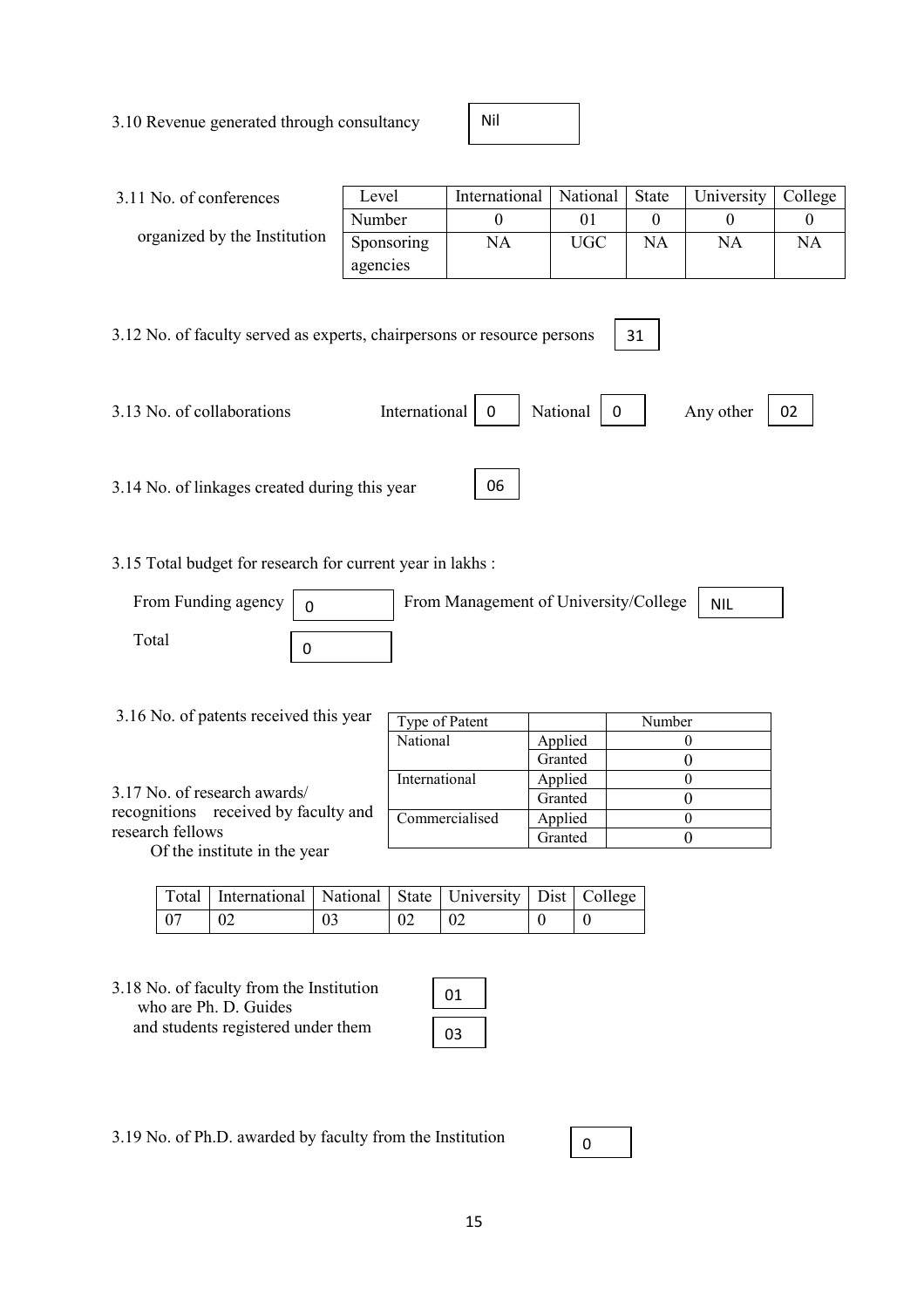3.10 Revenue generated through consultancy

Nil

| 3.11 No. of conferences                                                                                                                                | Level         | International  | National             | <b>State</b> | University | College  |
|--------------------------------------------------------------------------------------------------------------------------------------------------------|---------------|----------------|----------------------|--------------|------------|----------|
|                                                                                                                                                        | Number        | $\theta$       | 01                   | $\Omega$     | $\theta$   | $\theta$ |
| organized by the Institution                                                                                                                           | Sponsoring    | NA             | <b>UGC</b>           | NA           | NA         | NA       |
|                                                                                                                                                        | agencies      |                |                      |              |            |          |
| 3.12 No. of faculty served as experts, chairpersons or resource persons<br>3.13 No. of collaborations<br>3.14 No. of linkages created during this year | International | $\Omega$<br>06 | National<br>$\Omega$ | 31           | Any other  | 02       |

3.15 Total budget for research for current year in lakhs :

| From Funding agency | From Management of University/College | NIL |
|---------------------|---------------------------------------|-----|
| ™otal               |                                       |     |

| 3.16 No. of patents received this year | Type of Patent |         | Number |
|----------------------------------------|----------------|---------|--------|
|                                        | National       | Applied |        |
|                                        |                | Granted |        |
|                                        | International  | Applied |        |
| 3.17 No. of research awards/           |                | Granted |        |
| recognitions received by faculty and   | Commercialised | Applied |        |
| research fellows                       |                | Granted |        |
| Of the institute in the year           |                |         |        |

|      | Total   International   National   State   University   Dist   College |    |    |             |  |
|------|------------------------------------------------------------------------|----|----|-------------|--|
| - 07 | $\perp$ 02                                                             | 03 | 02 | $\sqrt{02}$ |  |

3.18 No. of faculty from the Institution who are Ph. D. Guides and students registered under them

| 1 |  |
|---|--|
|   |  |

3.19 No. of Ph.D. awarded by faculty from the Institution

| $\overline{\phantom{a}}$ |
|--------------------------|
|--------------------------|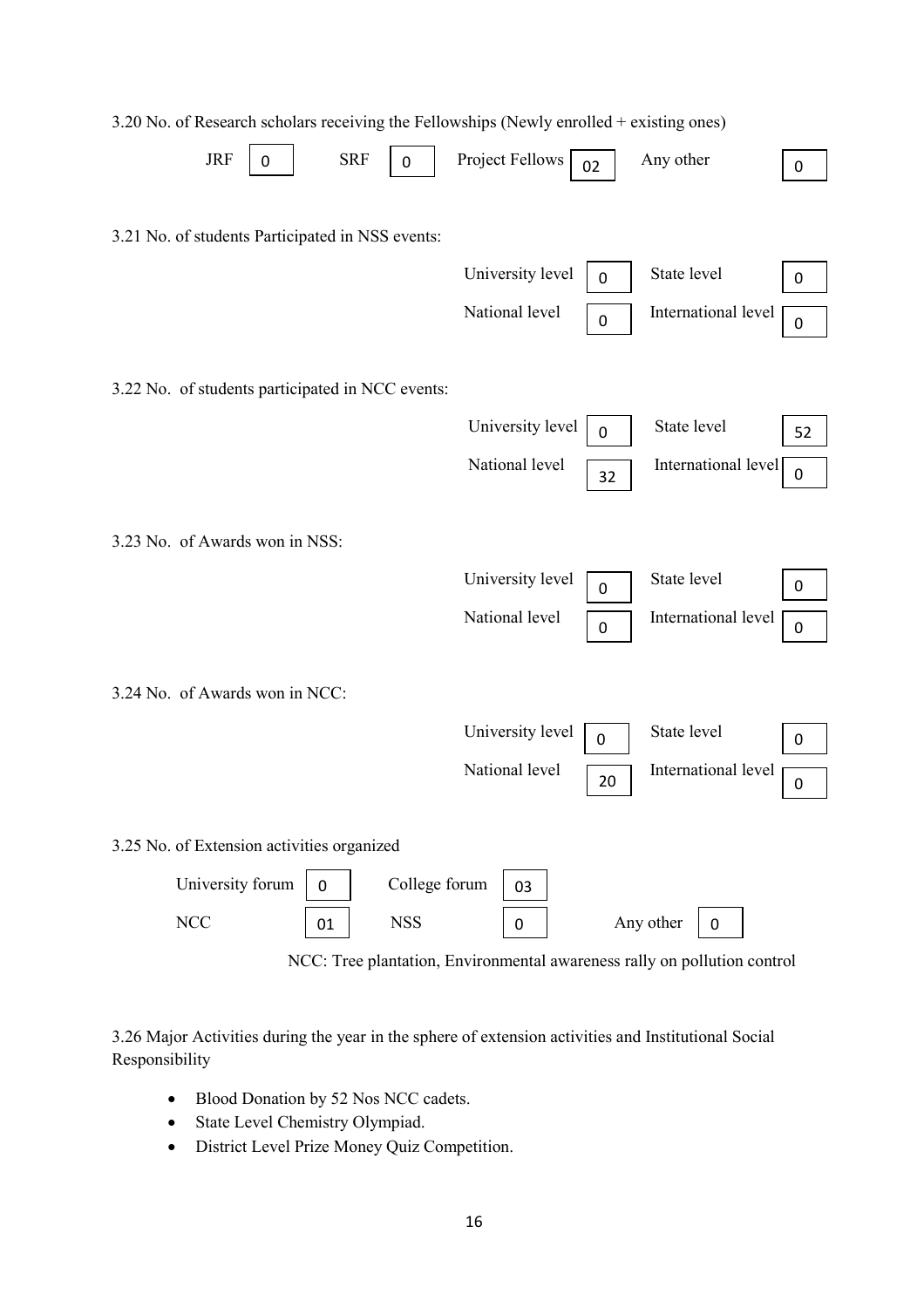| $2.20$ Two. Of INCREASED SCHOOLS TOOLLERS and I CHO WOMPS (TWWT) CHONOLS CARDING ONCE |                  |             |                          |                  |
|---------------------------------------------------------------------------------------|------------------|-------------|--------------------------|------------------|
| <b>SRF</b><br><b>JRF</b><br>0<br>0                                                    | Project Fellows  | 02          | Any other                | $\boldsymbol{0}$ |
| 3.21 No. of students Participated in NSS events:                                      | University level | $\mathbf 0$ | State level              | $\boldsymbol{0}$ |
|                                                                                       | National level   | $\mathbf 0$ | International level      | 0                |
| 3.22 No. of students participated in NCC events:                                      |                  |             |                          |                  |
|                                                                                       | University level | $\mathbf 0$ | State level              | 52               |
|                                                                                       | National level   | 32          | International level      | $\boldsymbol{0}$ |
| 3.23 No. of Awards won in NSS:                                                        |                  |             |                          |                  |
|                                                                                       | University level | 0           | State level              | 0                |
|                                                                                       | National level   | $\pmb{0}$   | International level      | $\pmb{0}$        |
| 3.24 No. of Awards won in NCC:                                                        |                  |             |                          |                  |
|                                                                                       | University level | 0           | State level              | 0                |
|                                                                                       | National level   | 20          | International level      | 0                |
| 3.25 No. of Extension activities organized                                            |                  |             |                          |                  |
| University forum<br>College forum<br>$\mathbf 0$                                      | 03               |             |                          |                  |
| <b>NCC</b><br><b>NSS</b><br>01                                                        | $\pmb{0}$        |             | Any other<br>$\mathbf 0$ |                  |

### 3.20 No. of Research scholars receiving the Fellowships (Newly enrolled + existing ones)

NCC: Tree plantation, Environmental awareness rally on pollution control

3.26 Major Activities during the year in the sphere of extension activities and Institutional Social Responsibility

- Blood Donation by 52 Nos NCC cadets.
- State Level Chemistry Olympiad.
- District Level Prize Money Quiz Competition.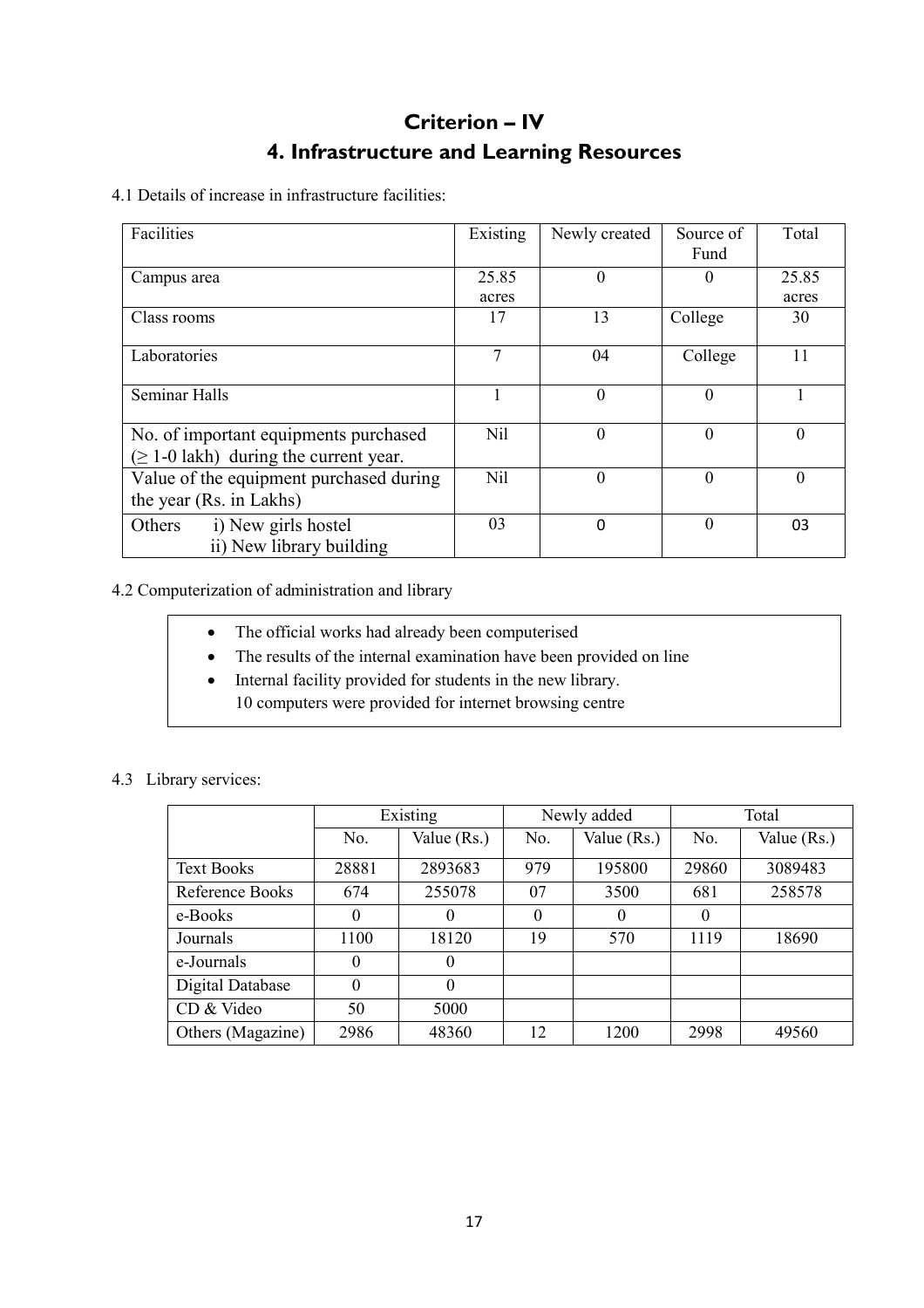## Criterion – IV 4. Infrastructure and Learning Resources

4.1 Details of increase in infrastructure facilities:

| Facilities                                  | Existing   | Newly created | Source of | Total          |
|---------------------------------------------|------------|---------------|-----------|----------------|
|                                             |            |               | Fund      |                |
| Campus area                                 | 25.85      | $\Omega$      | $\theta$  | 25.85          |
|                                             | acres      |               |           | acres          |
| Class rooms                                 | 17         | 13            | College   | 30             |
|                                             |            |               |           |                |
| Laboratories                                | 7          | 04            | College   | 11             |
|                                             |            |               |           |                |
| <b>Seminar Halls</b>                        |            | $\Omega$      | $\theta$  |                |
|                                             |            |               |           |                |
| No. of important equipments purchased       | Nil        | $\theta$      | $\theta$  | $\overline{0}$ |
| $(\geq 1$ -0 lakh) during the current year. |            |               |           |                |
| Value of the equipment purchased during     | <b>Nil</b> | $\Omega$      | $\theta$  | $\theta$       |
| the year (Rs. in Lakhs)                     |            |               |           |                |
| i) New girls hostel<br>Others               | 03         | $\Omega$      | $\Omega$  | 03             |
| ii) New library building                    |            |               |           |                |

4.2 Computerization of administration and library

- The official works had already been computerised
- The results of the internal examination have been provided on line
- Internal facility provided for students in the new library. 10 computers were provided for internet browsing centre

|                   |          | Existing    |          | Newly added | Total    |             |  |
|-------------------|----------|-------------|----------|-------------|----------|-------------|--|
|                   | No.      | Value (Rs.) | No.      | Value (Rs.) | No.      | Value (Rs.) |  |
| <b>Text Books</b> | 28881    | 2893683     | 979      | 195800      | 29860    | 3089483     |  |
| Reference Books   | 674      | 255078      | 07       | 3500        | 681      | 258578      |  |
| e-Books           | $\theta$ | $\theta$    | $\theta$ | $\theta$    | $\theta$ |             |  |
| Journals          | 1100     | 18120       | 19       | 570         | 1119     | 18690       |  |
| e-Journals        | $\theta$ | $\theta$    |          |             |          |             |  |
| Digital Database  | 0        | $\Omega$    |          |             |          |             |  |
| CD & Video        | 50       | 5000        |          |             |          |             |  |
| Others (Magazine) | 2986     | 48360       | 12       | 1200        | 2998     | 49560       |  |

### 4.3 Library services: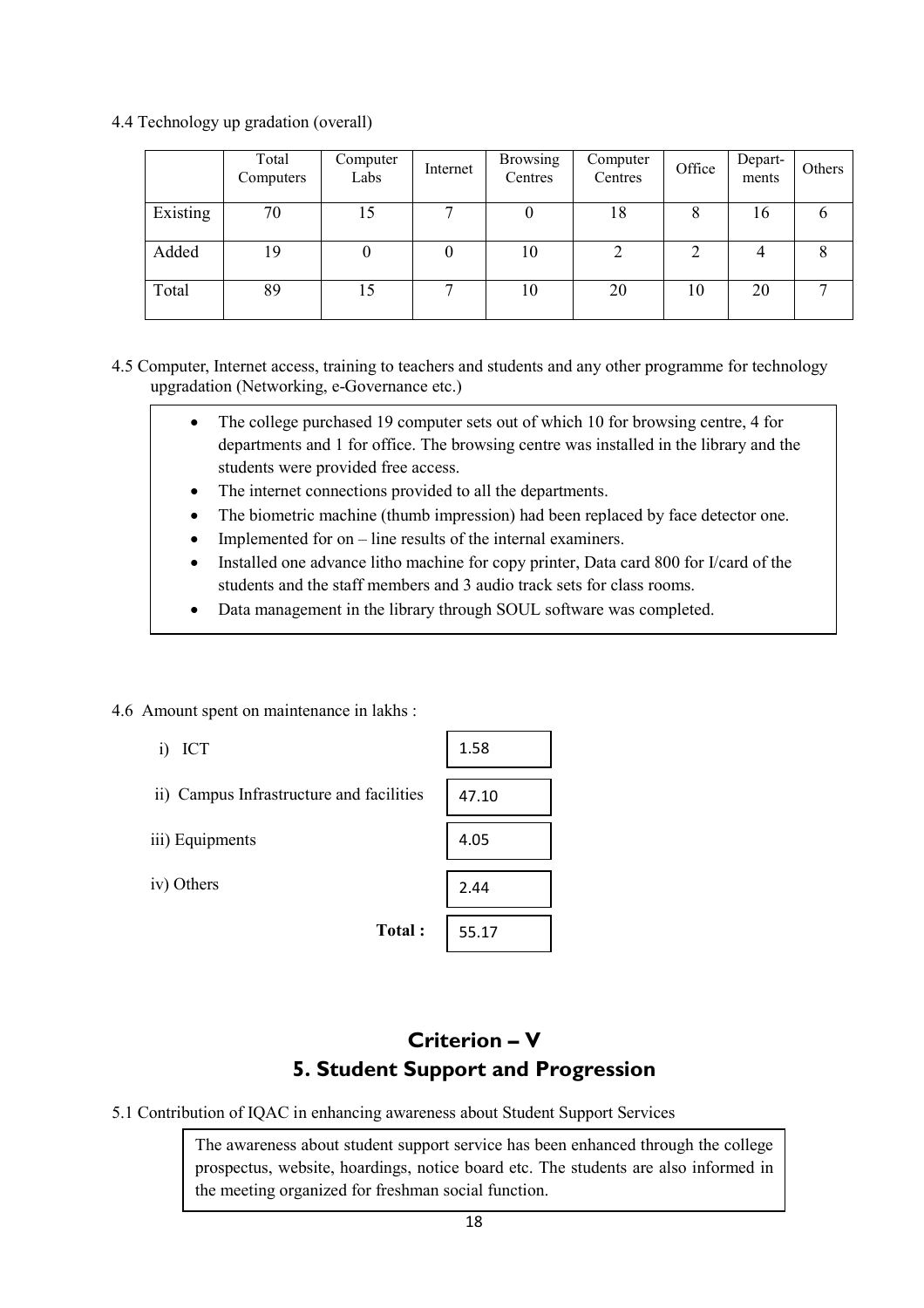4.4 Technology up gradation (overall)

|          | Total<br>Computers | Computer<br>Labs | Internet | <b>Browsing</b><br>Centres | Computer<br>Centres | Office | Depart-<br>ments | Others       |
|----------|--------------------|------------------|----------|----------------------------|---------------------|--------|------------------|--------------|
| Existing | 70                 | 15               | ⇁        |                            | 18                  | 8      | 16               |              |
| Added    | 19                 |                  | 0        | 10                         |                     | C      |                  | 8            |
| Total    | 89                 | 15               | −        | 10                         | 20                  | 10     | 20               | $\mathbf{r}$ |

4.5 Computer, Internet access, training to teachers and students and any other programme for technology upgradation (Networking, e-Governance etc.)

- The college purchased 19 computer sets out of which 10 for browsing centre, 4 for departments and 1 for office. The browsing centre was installed in the library and the students were provided free access.
- The internet connections provided to all the departments.
- The biometric machine (thumb impression) had been replaced by face detector one.
- Implemented for on line results of the internal examiners.
- Installed one advance litho machine for copy printer, Data card 800 for I/card of the students and the staff members and 3 audio track sets for class rooms.
- Data management in the library through SOUL software was completed.
- 4.6 Amount spent on maintenance in lakhs :
	- i) ICT
	- ii) Campus Infrastructure and faciliti
	- iii) Equipments
	- iv) Others

| ICT<br>1)                                | 1.58  |
|------------------------------------------|-------|
|                                          |       |
| ii) Campus Infrastructure and facilities | 47.10 |
|                                          |       |
| iii) Equipments                          | 4.05  |
|                                          |       |
| iv) Others                               | 2.44  |
|                                          |       |
| Total:                                   | 55.17 |

## Criterion – V 5. Student Support and Progression

5.1 Contribution of IQAC in enhancing awareness about Student Support Services

The awareness about student support service has been enhanced through the college prospectus, website, hoardings, notice board etc. The students are also informed in the meeting organized for freshman social function.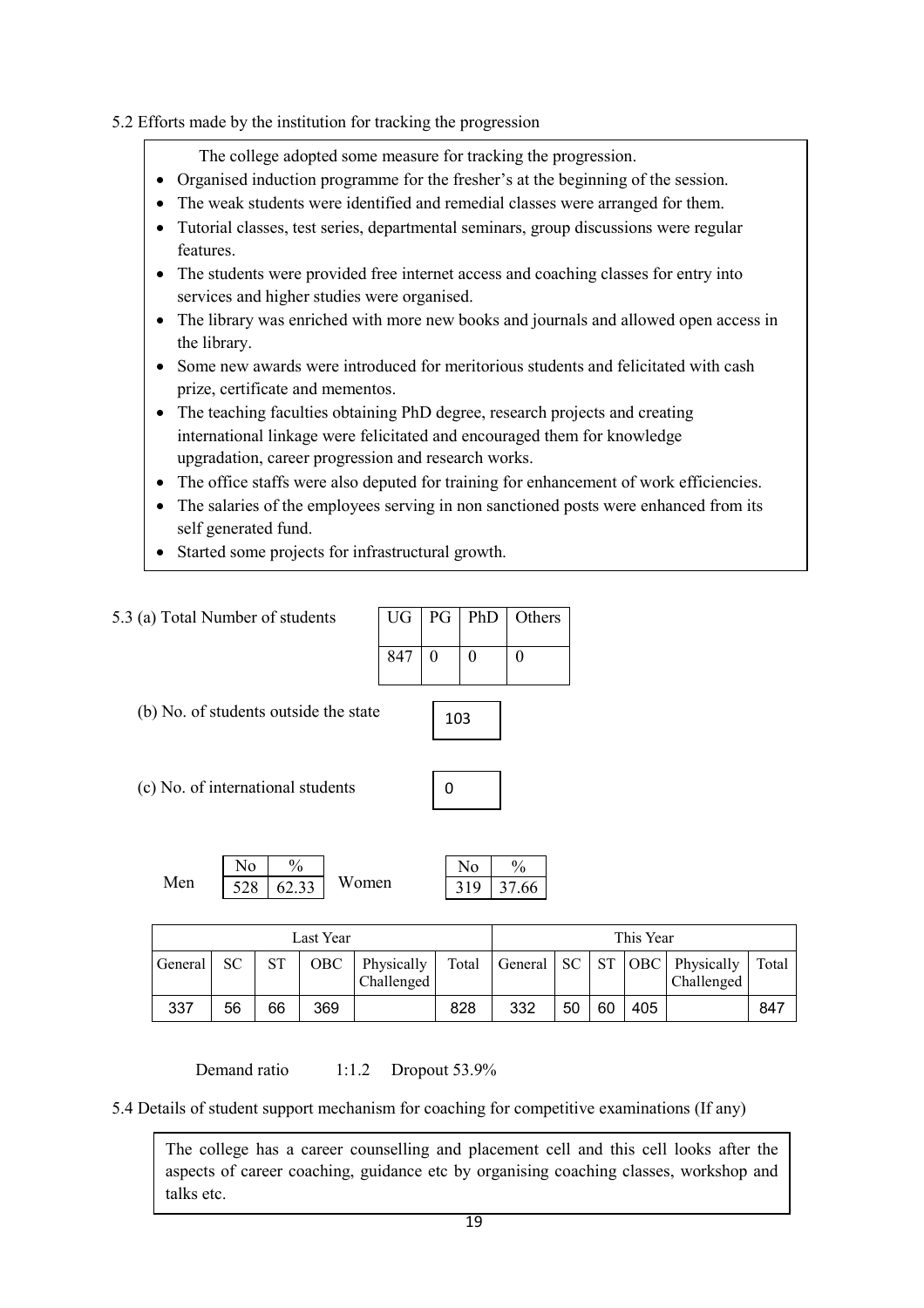### 5.2 Efforts made by the institution for tracking the progression

The college adopted some measure for tracking the progression.

- Organised induction programme for the fresher's at the beginning of the session.
- The weak students were identified and remedial classes were arranged for them.
- UG PG Ph. D. Others • Tutorial classes, test series, departmental seminars, group discussions were regular features.
- The students were provided free internet access and coaching classes for entry into services and higher studies were organised.
- The library was enriched with more new books and journals and allowed open access in the library.
- Some new awards were introduced for meritorious students and felicitated with cash prize, certificate and mementos.
- The teaching faculties obtaining PhD degree, research projects and creating international linkage were felicitated and encouraged them for knowledge upgradation, career progression and research works.
- The office staffs were also deputed for training for enhancement of work efficiencies.
- The salaries of the employees serving in non sanctioned posts were enhanced from its self generated fund.
- Started some projects for infrastructural growth.

| 5.3 (a) Total Number of students                    | UG  | PG | <b>PhD</b>            | Others                 |
|-----------------------------------------------------|-----|----|-----------------------|------------------------|
|                                                     | 847 | 0  | $\Omega$              | 0                      |
| (b) No. of students outside the state               | 103 |    |                       |                        |
| (c) No. of international students                   |     | 0  |                       |                        |
| $\frac{0}{0}$<br>No<br>Men<br>Women<br>528<br>62.33 |     |    | N <sub>o</sub><br>319 | $\frac{0}{0}$<br>37.66 |

| Last Year |    |    |     |                          |       |              | This Year |    |     |                                     |       |
|-----------|----|----|-----|--------------------------|-------|--------------|-----------|----|-----|-------------------------------------|-------|
| General   | SС | ST | OBC | Physically<br>Challenged | Total | General   SC |           |    |     | ST   OBC   Physically<br>Challenged | Total |
| 337       | 56 | 66 | 369 |                          | 828   | 332          | 50        | 60 | 405 |                                     | 847   |

Demand ratio 1:1.2 Dropout 53.9%

5.4 Details of student support mechanism for coaching for competitive examinations (If any)

 $t$ alks etc. The college has a career counselling and placement cell and this cell looks after the aspects of career coaching, guidance etc by organising coaching classes, workshop and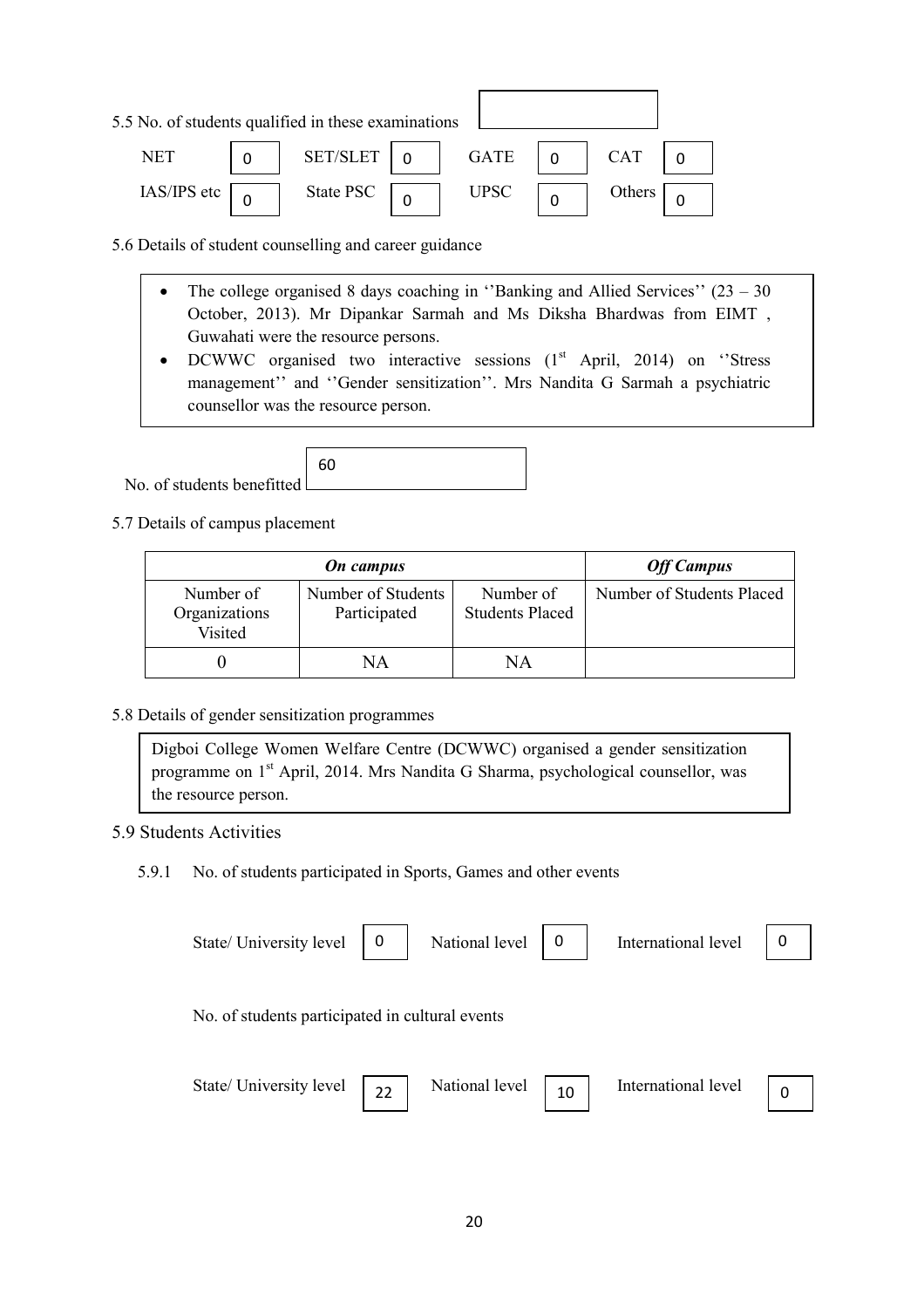| 5.5 No. of students qualified in these examinations |           |             |            |  |
|-----------------------------------------------------|-----------|-------------|------------|--|
| NET                                                 | SET/SLET  | <b>GATE</b> | <b>CAT</b> |  |
| IAS/IPS etc                                         | State PSC | <b>UPSC</b> | Others     |  |

5.6 Details of student counselling and career guidance

- The college organised 8 days coaching in "Banking and Allied Services"  $(23 30)$ October, 2013). Mr Dipankar Sarmah and Ms Diksha Bhardwas from EIMT , Guwahati were the resource persons.
- DCWWC organised two interactive sessions  $(1<sup>st</sup>$  April, 2014) on 'Stress management'' and ''Gender sensitization''. Mrs Nandita G Sarmah a psychiatric counsellor was the resource person.

 No. of students benefitted 60

5.7 Details of campus placement

|                                       | <b>On</b> campus                   |                                     |                           |  |  |  |
|---------------------------------------|------------------------------------|-------------------------------------|---------------------------|--|--|--|
| Number of<br>Organizations<br>Visited | Number of Students<br>Participated | Number of<br><b>Students Placed</b> | Number of Students Placed |  |  |  |
|                                       | NΑ                                 | NΑ                                  |                           |  |  |  |

#### 5.8 Details of gender sensitization programmes

Digboi College Women Welfare Centre (DCWWC) organised a gender sensitization programme on 1st April, 2014. Mrs Nandita G Sharma, psychological counsellor, was the resource person.

### 5.9 Students Activities

5.9.1 No. of students participated in Sports, Games and other events

| State/ University level                         | 0  | National level | 0  | International level | 0 |
|-------------------------------------------------|----|----------------|----|---------------------|---|
| No. of students participated in cultural events |    |                |    |                     |   |
| State/ University level                         | 22 | National level | 10 | International level |   |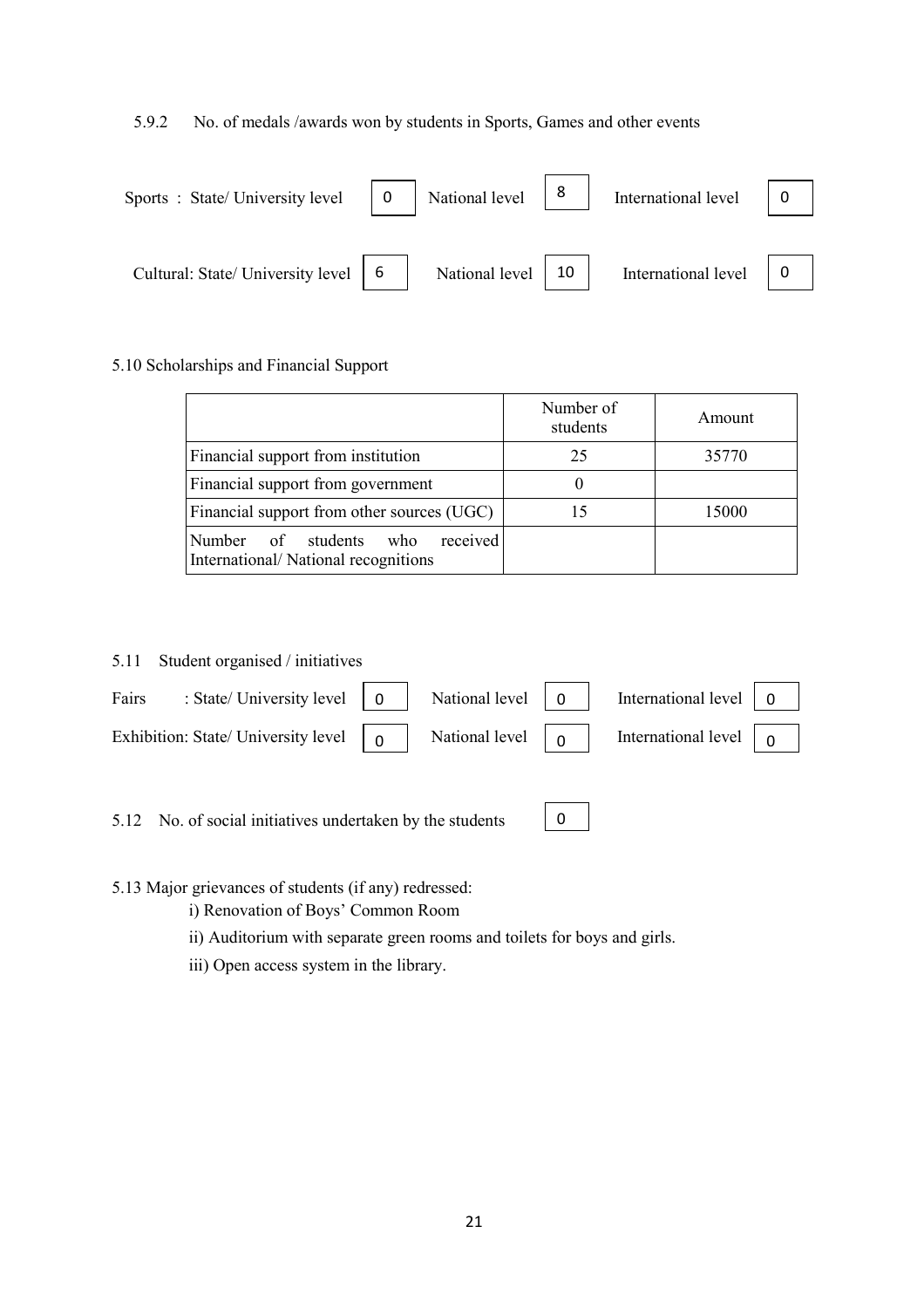#### 5.9.2 No. of medals /awards won by students in Sports, Games and other events

| Sports : State/University level $\begin{vmatrix} 0 \\ 1 \end{vmatrix}$ National level $\begin{vmatrix} 8 \\ 1 \end{vmatrix}$ |                           | International level $\begin{vmatrix} 0 \\ 0 \end{vmatrix}$ |  |
|------------------------------------------------------------------------------------------------------------------------------|---------------------------|------------------------------------------------------------|--|
| Cultural: State/ University level $\begin{bmatrix} 6 \\ \end{bmatrix}$                                                       | National level $\vert$ 10 | International level $\begin{bmatrix} 0 \\ 0 \end{bmatrix}$ |  |

#### 5.10 Scholarships and Financial Support

|                                                                              | Number of<br>students | Amount |
|------------------------------------------------------------------------------|-----------------------|--------|
| Financial support from institution                                           | 25                    | 35770  |
| Financial support from government                                            |                       |        |
| Financial support from other sources (UGC)                                   | 15                    | 15000  |
| received<br>Number of students<br>who<br>International/National recognitions |                       |        |

#### 5.11 Student organised / initiatives

| Fairs : State/University level $\begin{vmatrix} 0 \\ 1 \end{vmatrix}$ National level $\begin{vmatrix} 0 \\ 0 \end{vmatrix}$ International level $\begin{vmatrix} 0 \\ 1 \end{vmatrix}$      |  |  |  |
|---------------------------------------------------------------------------------------------------------------------------------------------------------------------------------------------|--|--|--|
| Exhibition: State/ University level $\begin{bmatrix} 0 \\ 0 \end{bmatrix}$ National level $\begin{bmatrix} 0 \\ 0 \end{bmatrix}$ International level $\begin{bmatrix} 0 \\ 0 \end{bmatrix}$ |  |  |  |
|                                                                                                                                                                                             |  |  |  |

5.12 No. of social initiatives undertaken by the students

0

5.13 Major grievances of students (if any) redressed:

- i) Renovation of Boys' Common Room
- ii) Auditorium with separate green rooms and toilets for boys and girls.
- iii) Open access system in the library.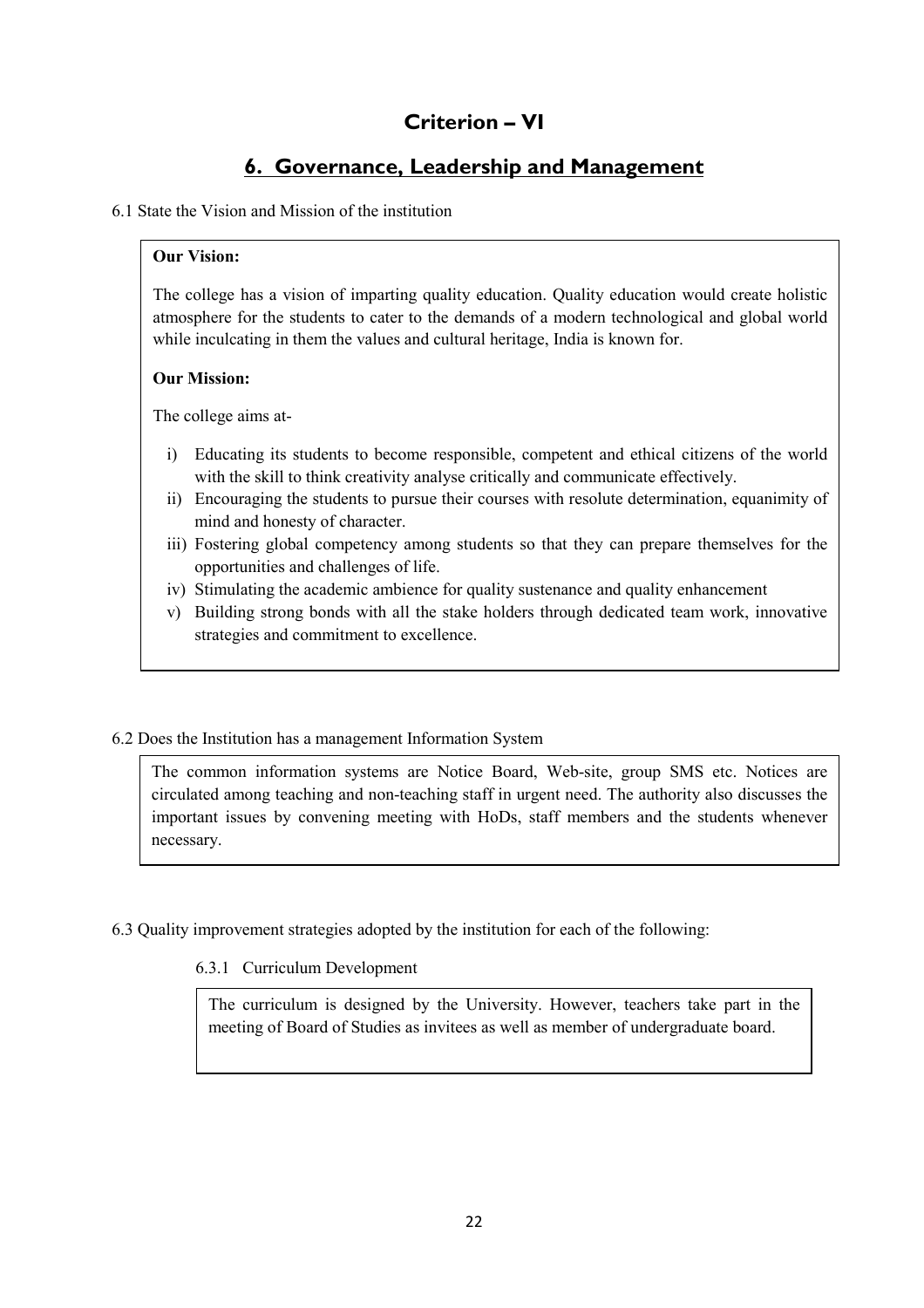## Criterion – VI

## 6. Governance, Leadership and Management

#### 6.1 State the Vision and Mission of the institution

#### Our Vision:

The college has a vision of imparting quality education. Quality education would create holistic atmosphere for the students to cater to the demands of a modern technological and global world while inculcating in them the values and cultural heritage, India is known for.

#### Our Mission:

The college aims at-

- i) Educating its students to become responsible, competent and ethical citizens of the world with the skill to think creativity analyse critically and communicate effectively.
- ii) Encouraging the students to pursue their courses with resolute determination, equanimity of mind and honesty of character.
- iii) Fostering global competency among students so that they can prepare themselves for the opportunities and challenges of life.
- iv) Stimulating the academic ambience for quality sustenance and quality enhancement
- v) Building strong bonds with all the stake holders through dedicated team work, innovative strategies and commitment to excellence.

#### 6.2 Does the Institution has a management Information System

The common information systems are Notice Board, Web-site, group SMS etc. Notices are circulated among teaching and non-teaching staff in urgent need. The authority also discusses the important issues by convening meeting with HoDs, staff members and the students whenever necessary.

6.3 Quality improvement strategies adopted by the institution for each of the following:

#### 6.3.1 Curriculum Development

The curriculum is designed by the University. However, teachers take part in the meeting of Board of Studies as invitees as well as member of undergraduate board.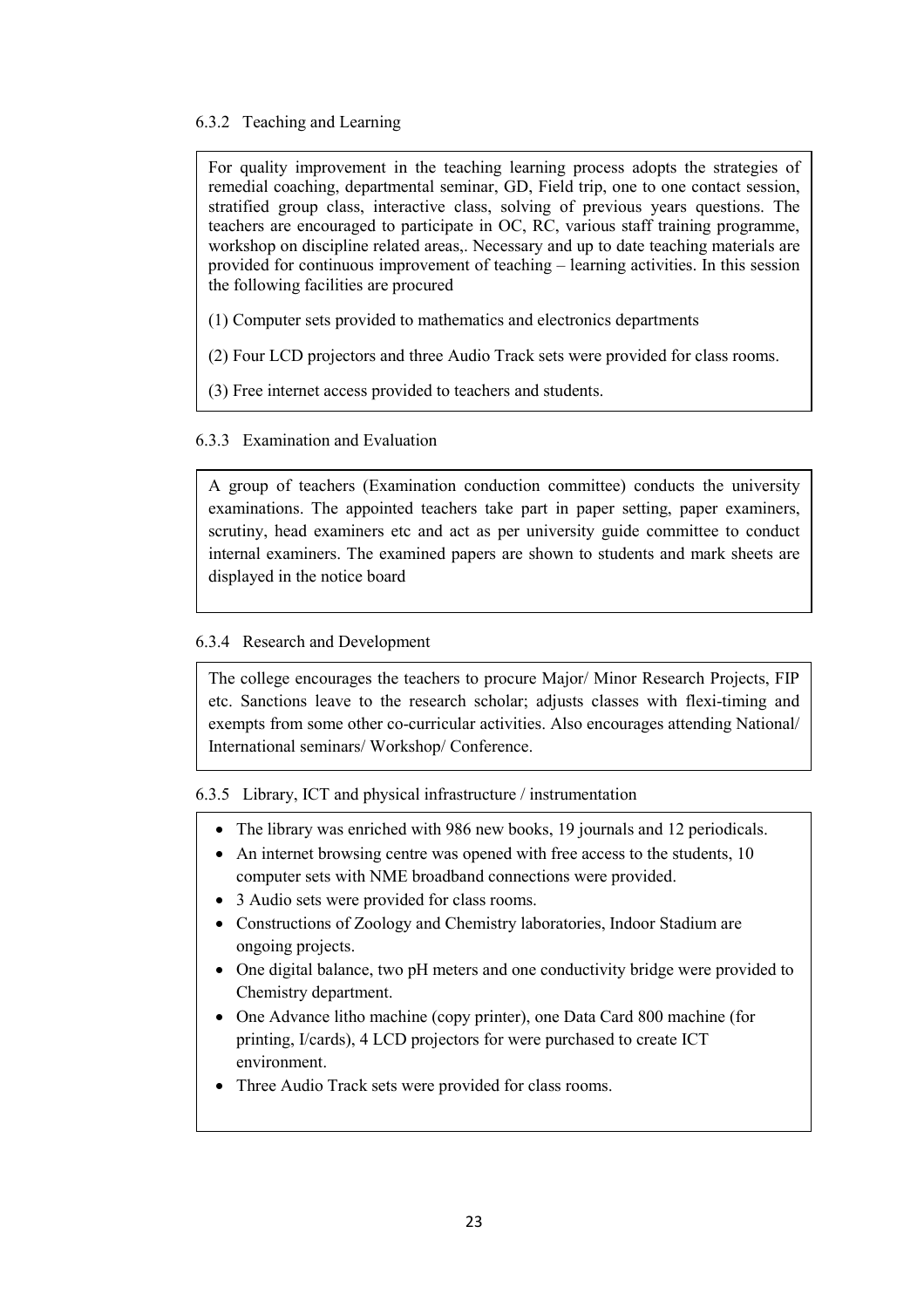#### 6.3.2 Teaching and Learning

For quality improvement in the teaching learning process adopts the strategies of remedial coaching, departmental seminar, GD, Field trip, one to one contact session, stratified group class, interactive class, solving of previous years questions. The teachers are encouraged to participate in OC, RC, various staff training programme, workshop on discipline related areas,. Necessary and up to date teaching materials are provided for continuous improvement of teaching – learning activities. In this session the following facilities are procured

- (1) Computer sets provided to mathematics and electronics departments
- (2) Four LCD projectors and three Audio Track sets were provided for class rooms.
- (3) Free internet access provided to teachers and students.

### 6.3.3 Examination and Evaluation

A group of teachers (Examination conduction committee) conducts the university examinations. The appointed teachers take part in paper setting, paper examiners, scrutiny, head examiners etc and act as per university guide committee to conduct internal examiners. The examined papers are shown to students and mark sheets are displayed in the notice board

#### 6.3.4 Research and Development

The college encourages the teachers to procure Major/ Minor Research Projects, FIP etc. Sanctions leave to the research scholar; adjusts classes with flexi-timing and exempts from some other co-curricular activities. Also encourages attending National/ International seminars/ Workshop/ Conference.

6.3.5 Library, ICT and physical infrastructure / instrumentation

- The library was enriched with 986 new books, 19 journals and 12 periodicals.
- An internet browsing centre was opened with free access to the students, 10 computer sets with NME broadband connections were provided.
- 3 Audio sets were provided for class rooms.
- Constructions of Zoology and Chemistry laboratories, Indoor Stadium are ongoing projects.
- One digital balance, two pH meters and one conductivity bridge were provided to Chemistry department.
- One Advance litho machine (copy printer), one Data Card 800 machine (for printing, I/cards), 4 LCD projectors for were purchased to create ICT environment.
- Three Audio Track sets were provided for class rooms.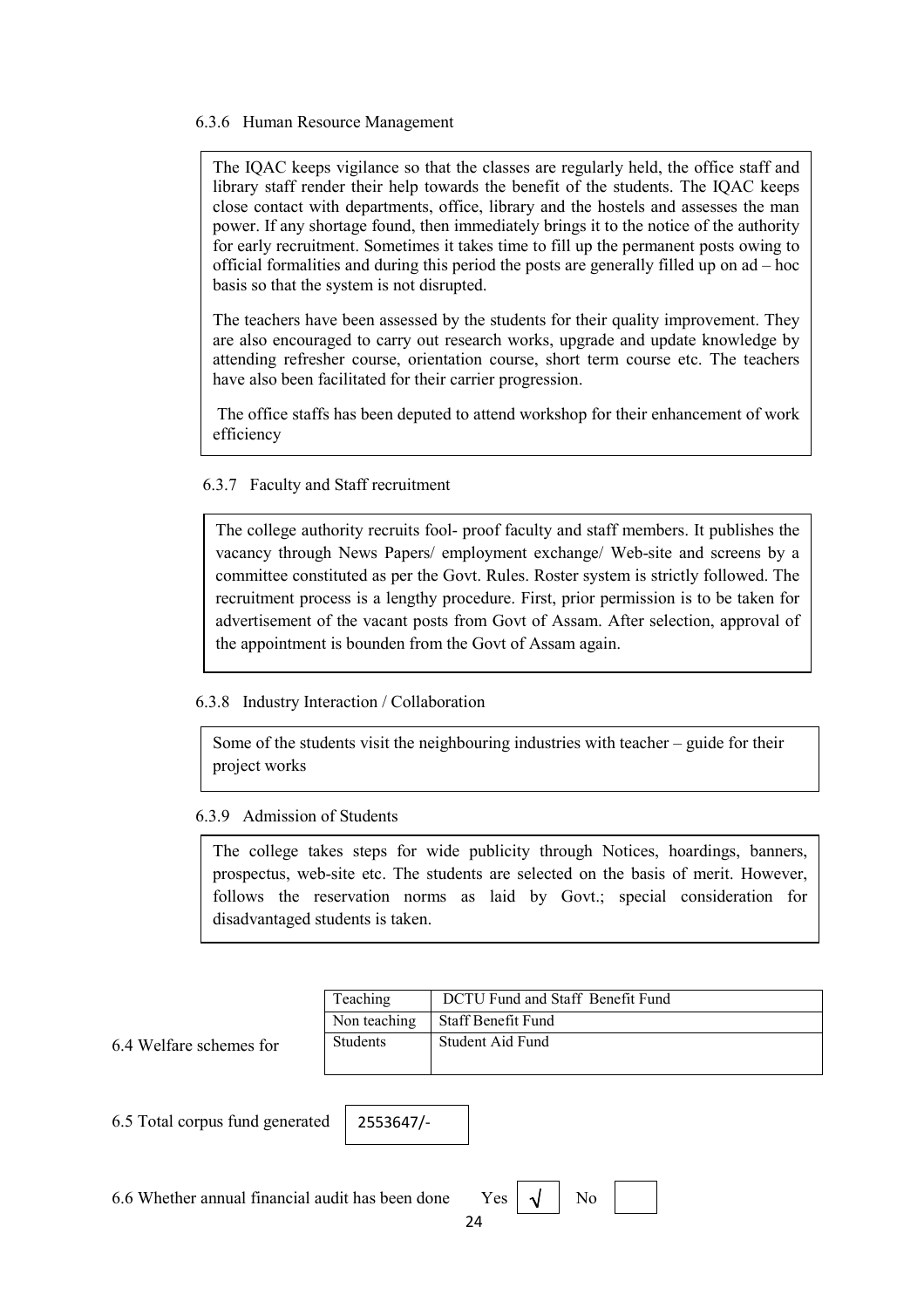#### 6.3.6 Human Resource Management

The IQAC keeps vigilance so that the classes are regularly held, the office staff and library staff render their help towards the benefit of the students. The IQAC keeps close contact with departments, office, library and the hostels and assesses the man power. If any shortage found, then immediately brings it to the notice of the authority for early recruitment. Sometimes it takes time to fill up the permanent posts owing to official formalities and during this period the posts are generally filled up on ad – hoc basis so that the system is not disrupted.

The teachers have been assessed by the students for their quality improvement. They are also encouraged to carry out research works, upgrade and update knowledge by attending refresher course, orientation course, short term course etc. The teachers have also been facilitated for their carrier progression.

 The office staffs has been deputed to attend workshop for their enhancement of work efficiency

#### 6.3.7 Faculty and Staff recruitment

The college authority recruits fool- proof faculty and staff members. It publishes the vacancy through News Papers/ employment exchange/ Web-site and screens by a committee constituted as per the Govt. Rules. Roster system is strictly followed. The recruitment process is a lengthy procedure. First, prior permission is to be taken for advertisement of the vacant posts from Govt of Assam. After selection, approval of the appointment is bounden from the Govt of Assam again.

#### 6.3.8 Industry Interaction / Collaboration

Some of the students visit the neighbouring industries with teacher – guide for their project works

#### 6.3.9 Admission of Students

The college takes steps for wide publicity through Notices, hoardings, banners, prospectus, web-site etc. The students are selected on the basis of merit. However, follows the reservation norms as laid by Govt.; special consideration for disadvantaged students is taken.

| Teaching        | DCTU Fund and Staff Benefit Fund |
|-----------------|----------------------------------|
| Non teaching    | Staff Benefit Fund               |
| <b>Students</b> | Student Aid Fund                 |

### 6.4 Welfare schemes for

6.5 Total corpus fund generated

| 6.6 Whether annual financial audit has been done Yes $\vert \sqrt{\vert}$ No |  |  |  |
|------------------------------------------------------------------------------|--|--|--|
|------------------------------------------------------------------------------|--|--|--|

2553647/-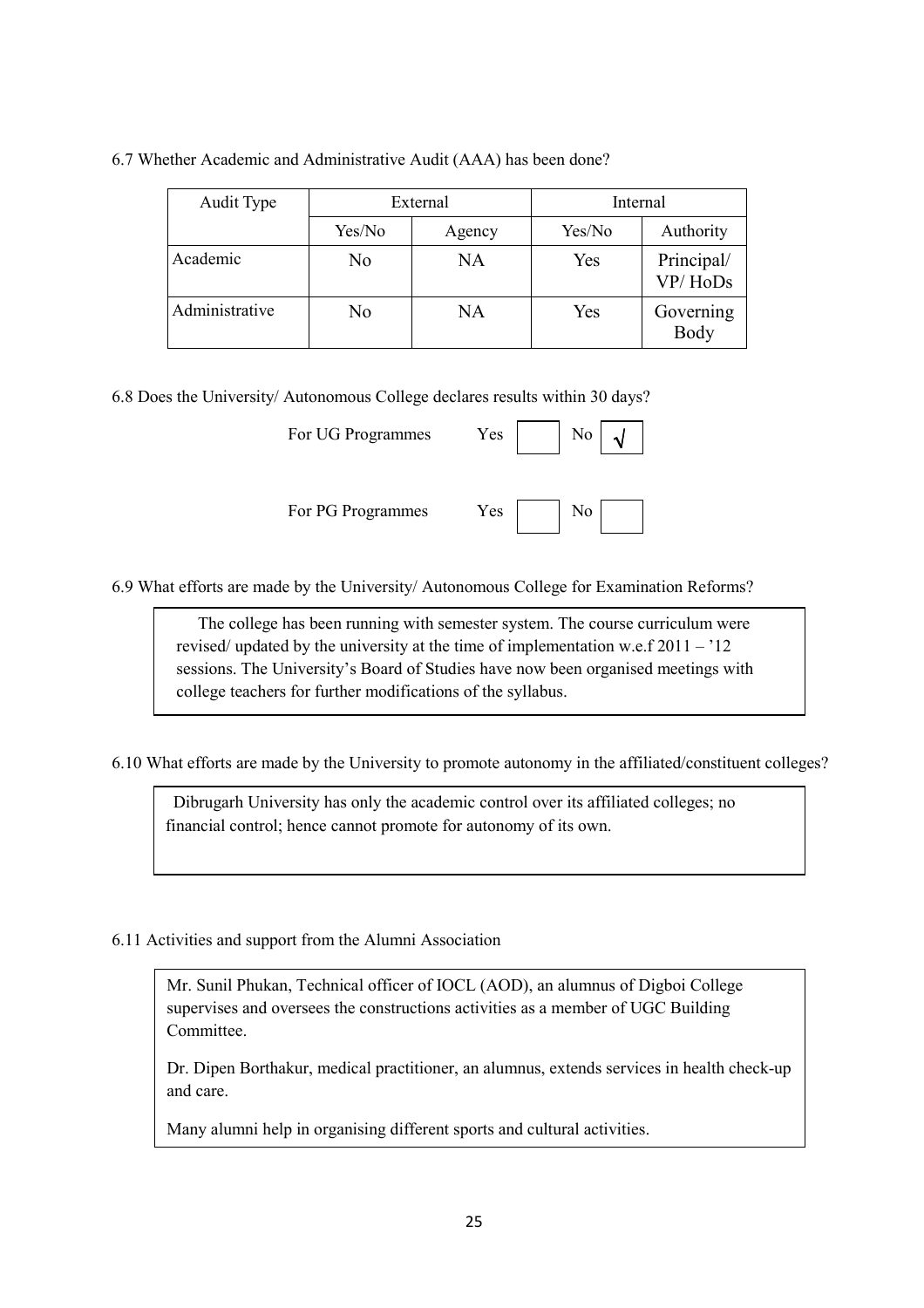| Audit Type     | External |        | Internal |                       |
|----------------|----------|--------|----------|-----------------------|
|                | Yes/No   | Agency | Yes/No   | Authority             |
| Academic       | No       | NA     | Yes      | Principal/<br>VP/HoDs |
| Administrative | No       | NA     | Yes      | Governing<br>Body     |

#### 6.7 Whether Academic and Administrative Audit (AAA) has been done?

6.8 Does the University/ Autonomous College declares results within 30 days?

| For UG Programmes | Yes | No             |  |
|-------------------|-----|----------------|--|
| For PG Programmes | Yes | N <sub>0</sub> |  |

6.9 What efforts are made by the University/ Autonomous College for Examination Reforms?

 The college has been running with semester system. The course curriculum were revised/ updated by the university at the time of implementation w.e.f  $2011 - 12$ sessions. The University's Board of Studies have now been organised meetings with college teachers for further modifications of the syllabus.

6.10 What efforts are made by the University to promote autonomy in the affiliated/constituent colleges?

 Dibrugarh University has only the academic control over its affiliated colleges; no financial control; hence cannot promote for autonomy of its own.

6.11 Activities and support from the Alumni Association

Mr. Sunil Phukan, Technical officer of IOCL (AOD), an alumnus of Digboi College supervises and oversees the constructions activities as a member of UGC Building Committee.

Dr. Dipen Borthakur, medical practitioner, an alumnus, extends services in health check-up and care.

Many alumni help in organising different sports and cultural activities.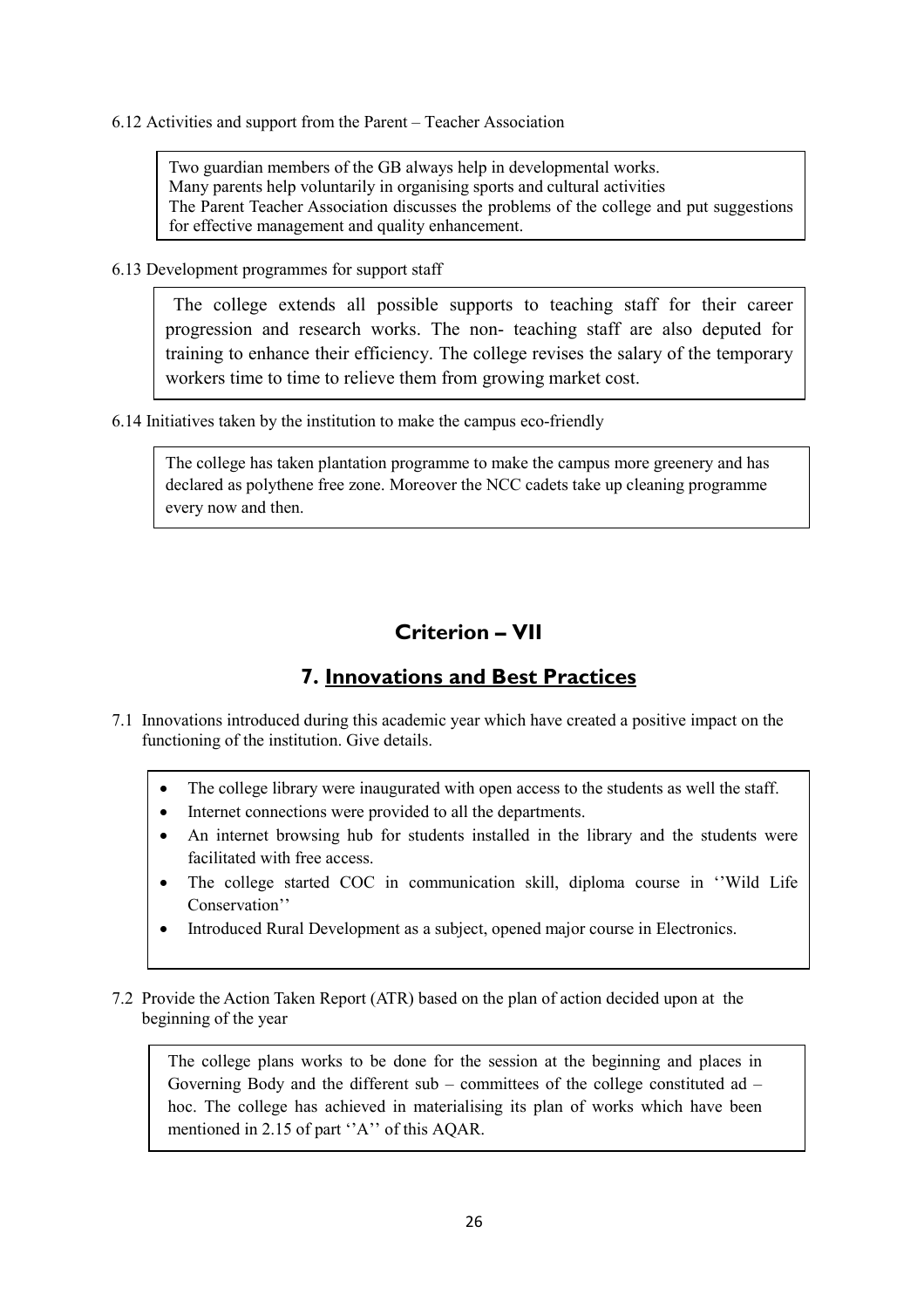6.12 Activities and support from the Parent – Teacher Association

Two guardian members of the GB always help in developmental works. Many parents help voluntarily in organising sports and cultural activities The Parent Teacher Association discusses the problems of the college and put suggestions for effective management and quality enhancement.

6.13 Development programmes for support staff

 The college extends all possible supports to teaching staff for their career progression and research works. The non- teaching staff are also deputed for training to enhance their efficiency. The college revises the salary of the temporary workers time to time to relieve them from growing market cost.

6.14 Initiatives taken by the institution to make the campus eco-friendly

The college has taken plantation programme to make the campus more greenery and has declared as polythene free zone. Moreover the NCC cadets take up cleaning programme every now and then.

## Criterion – VII

## 7. Innovations and Best Practices

- 7.1 Innovations introduced during this academic year which have created a positive impact on the functioning of the institution. Give details.
	- The college library were inaugurated with open access to the students as well the staff.
	- Internet connections were provided to all the departments.
	- An internet browsing hub for students installed in the library and the students were facilitated with free access.
	- The college started COC in communication skill, diploma course in ''Wild Life Conservation''
	- Introduced Rural Development as a subject, opened major course in Electronics.
- 7.2 Provide the Action Taken Report (ATR) based on the plan of action decided upon at the beginning of the year

The college plans works to be done for the session at the beginning and places in Governing Body and the different sub – committees of the college constituted ad – hoc. The college has achieved in materialising its plan of works which have been mentioned in 2.15 of part ''A'' of this AQAR.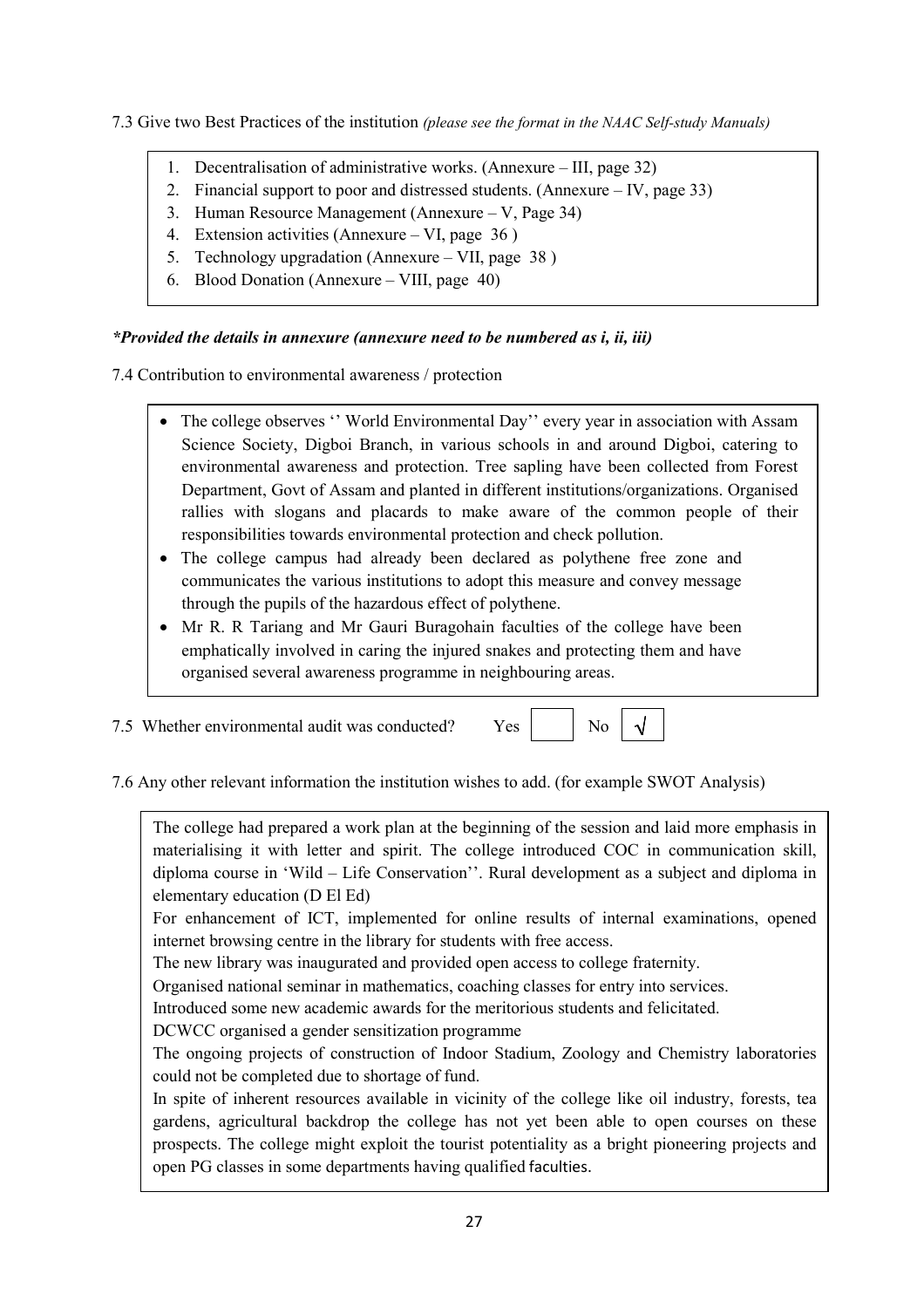- 7.3 Give two Best Practices of the institution (please see the format in the NAAC Self-study Manuals)
	- 1. Decentralisation of administrative works. (Annexure III, page 32)
	- 2. Financial support to poor and distressed students. (Annexure IV, page 33)
	- 3. Human Resource Management (Annexure V, Page 34)
	- 4. Extension activities (Annexure VI, page 36 )
	- 5. Technology upgradation (Annexure VII, page 38 )
	- 6. Blood Donation (Annexure VIII, page 40)

#### \*Provided the details in annexure (annexure need to be numbered as i, ii, iii)

7.4 Contribution to environmental awareness / protection

- The college observes "World Environmental Day" every year in association with Assam Science Society, Digboi Branch, in various schools in and around Digboi, catering to environmental awareness and protection. Tree sapling have been collected from Forest Department, Govt of Assam and planted in different institutions/organizations. Organised rallies with slogans and placards to make aware of the common people of their responsibilities towards environmental protection and check pollution.
- The college campus had already been declared as polythene free zone and communicates the various institutions to adopt this measure and convey message through the pupils of the hazardous effect of polythene.
- Mr R. R Tariang and Mr Gauri Buragohain faculties of the college have been emphatically involved in caring the injured snakes and protecting them and have organised several awareness programme in neighbouring areas.

7.5 Whether environmental audit was conducted? Yes



7.6 Any other relevant information the institution wishes to add. (for example SWOT Analysis)

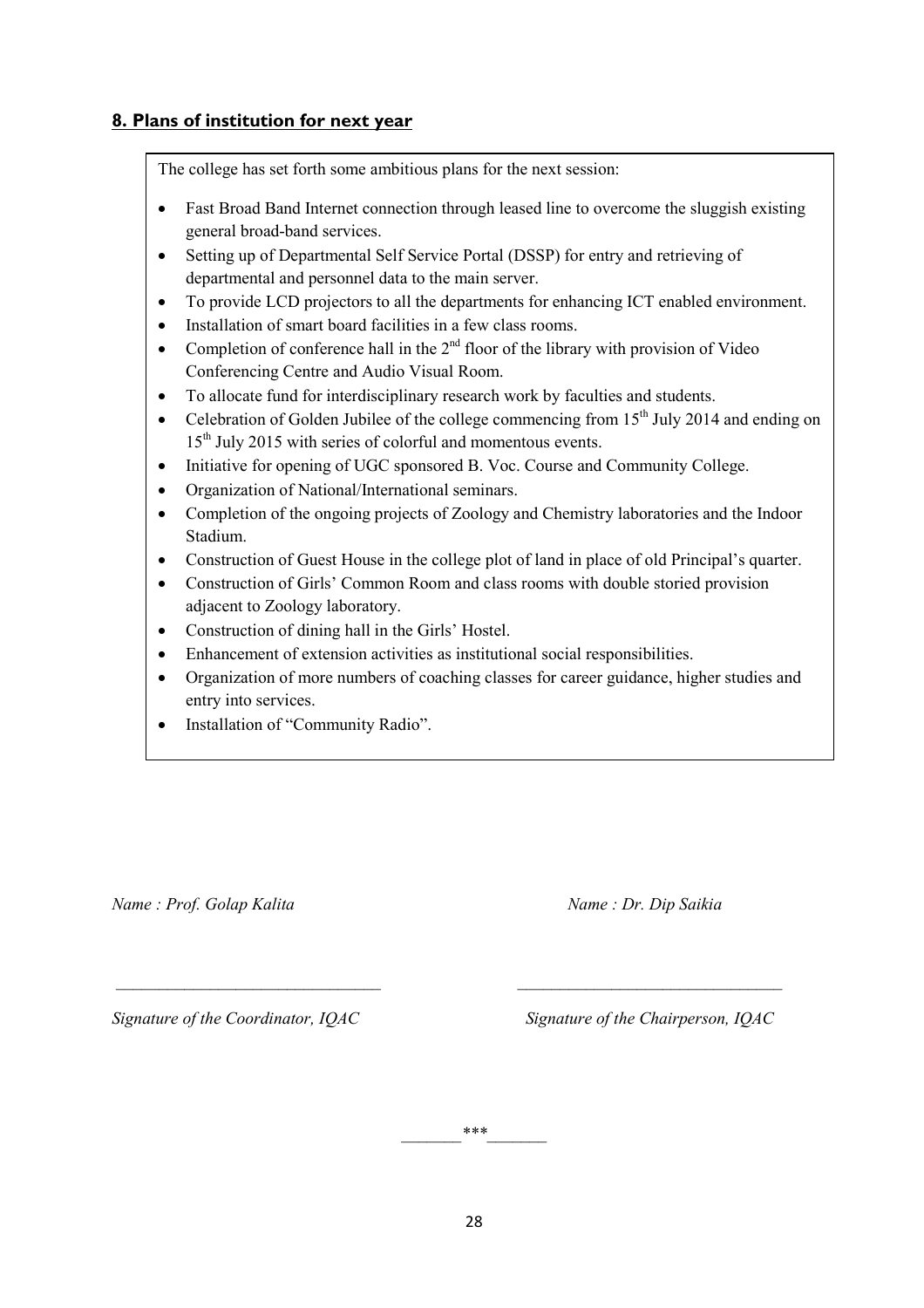### 8. Plans of institution for next year

The college has set forth some ambitious plans for the next session:

- Fast Broad Band Internet connection through leased line to overcome the sluggish existing general broad-band services.
- Setting up of Departmental Self Service Portal (DSSP) for entry and retrieving of departmental and personnel data to the main server.
- To provide LCD projectors to all the departments for enhancing ICT enabled environment.
- Installation of smart board facilities in a few class rooms.
- Completion of conference hall in the  $2<sup>nd</sup>$  floor of the library with provision of Video Conferencing Centre and Audio Visual Room.
- To allocate fund for interdisciplinary research work by faculties and students.
- Celebration of Golden Jubilee of the college commencing from  $15<sup>th</sup>$  July 2014 and ending on 15<sup>th</sup> July 2015 with series of colorful and momentous events.
- Initiative for opening of UGC sponsored B. Voc. Course and Community College.
- Organization of National/International seminars.
- Completion of the ongoing projects of Zoology and Chemistry laboratories and the Indoor Stadium.
- Construction of Guest House in the college plot of land in place of old Principal's quarter.
- Construction of Girls' Common Room and class rooms with double storied provision adjacent to Zoology laboratory.
- Construction of dining hall in the Girls' Hostel.
- Enhancement of extension activities as institutional social responsibilities.
- Organization of more numbers of coaching classes for career guidance, higher studies and entry into services.
- Installation of "Community Radio".

Name : Prof. Golap Kalita Name : Dr. Dip Saikia

Signature of the Coordinator, IOAC Signature of the Chairperson, IOAC

 $***$ 

\_\_\_\_\_\_\_\_\_\_\_\_\_\_\_\_\_\_\_\_\_\_\_\_\_\_\_\_\_\_\_ \_\_\_\_\_\_\_\_\_\_\_\_\_\_\_\_\_\_\_\_\_\_\_\_\_\_\_\_\_\_\_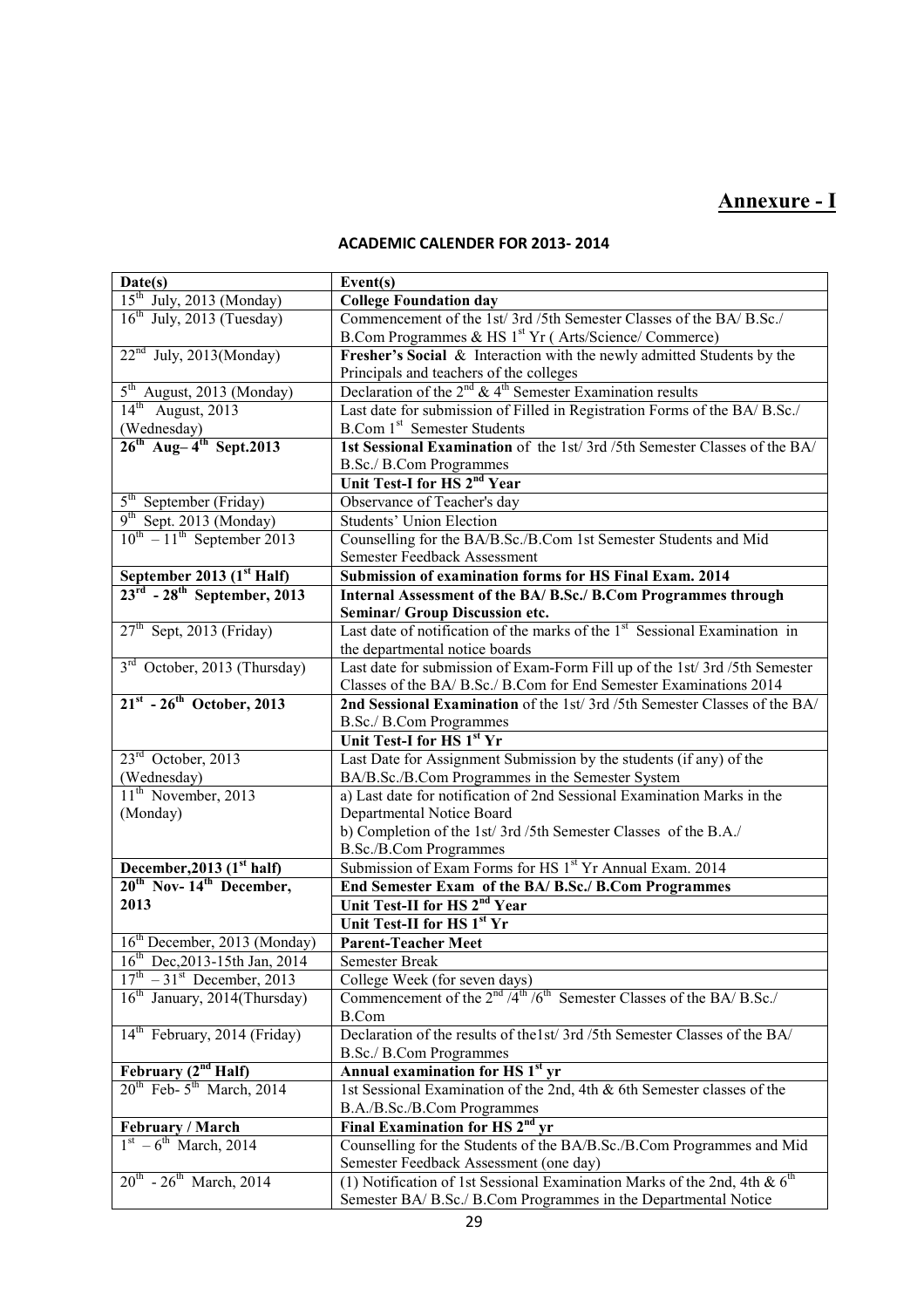## Annexure - I

### ACADEMIC CALENDER FOR 2013- 2014

| Date(s)                                                                          | Event(s)                                                                                        |  |
|----------------------------------------------------------------------------------|-------------------------------------------------------------------------------------------------|--|
| 15 <sup>th</sup> July, 2013 (Monday)                                             | <b>College Foundation day</b>                                                                   |  |
| $16th$ July, 2013 (Tuesday)                                                      | Commencement of the 1st/3rd/5th Semester Classes of the BA/B.Sc./                               |  |
|                                                                                  | B.Com Programmes & HS 1 <sup>st</sup> Yr (Arts/Science/Commerce)                                |  |
| $22nd$ July, 2013(Monday)                                                        | Fresher's Social & Interaction with the newly admitted Students by the                          |  |
|                                                                                  | Principals and teachers of the colleges                                                         |  |
| $5th$ August, 2013 (Monday)                                                      | Declaration of the $2^{nd}$ & 4 <sup>th</sup> Semester Examination results                      |  |
| $14th$ August, 2013                                                              | Last date for submission of Filled in Registration Forms of the BA/ B.Sc./                      |  |
| $\frac{\text{(Wednesday)}}{\text{26}^{\text{th}}}$ Aug-4 <sup>th</sup> Sept.2013 | B.Com 1 <sup>st</sup> Semester Students                                                         |  |
|                                                                                  | 1st Sessional Examination of the 1st/3rd/5th Semester Classes of the BA/                        |  |
|                                                                                  | B.Sc./ B.Com Programmes                                                                         |  |
|                                                                                  | Unit Test-I for HS 2 <sup>nd</sup> Year                                                         |  |
| $5th$ September (Friday)                                                         | Observance of Teacher's day                                                                     |  |
| 9 <sup>th</sup> Sept. 2013 (Monday)                                              | <b>Students' Union Election</b>                                                                 |  |
| $10^{\text{th}} - 11^{\text{th}}$ September 2013                                 | Counselling for the BA/B.Sc./B.Com 1st Semester Students and Mid                                |  |
|                                                                                  | Semester Feedback Assessment                                                                    |  |
| September 2013 (1st Half)                                                        | Submission of examination forms for HS Final Exam. 2014                                         |  |
| $23^{\text{rd}}$ - $28^{\text{th}}$ September, 2013                              | Internal Assessment of the BA/ B.Sc./ B.Com Programmes through                                  |  |
|                                                                                  | Seminar/ Group Discussion etc.                                                                  |  |
| $27th$ Sept, 2013 (Friday)                                                       | Last date of notification of the marks of the 1 <sup>st</sup> Sessional Examination in          |  |
|                                                                                  | the departmental notice boards                                                                  |  |
| 3 <sup>rd</sup> October, 2013 (Thursday)                                         | Last date for submission of Exam-Form Fill up of the 1st/3rd /5th Semester                      |  |
|                                                                                  | Classes of the BA/ B.Sc./ B.Com for End Semester Examinations 2014                              |  |
| $21^{st}$ - $26^{th}$ October, 2013                                              | 2nd Sessional Examination of the 1st/3rd/5th Semester Classes of the BA/                        |  |
|                                                                                  | B.Sc./ B.Com Programmes                                                                         |  |
|                                                                                  | Unit Test-I for HS 1st Yr                                                                       |  |
| 23 <sup>rd</sup> October, 2013                                                   | Last Date for Assignment Submission by the students (if any) of the                             |  |
| $\frac{\text{(Wednesday)}}{11^{\text{th}}}$ November, 2013                       | BA/B.Sc./B.Com Programmes in the Semester System                                                |  |
|                                                                                  | a) Last date for notification of 2nd Sessional Examination Marks in the                         |  |
| (Monday)                                                                         | Departmental Notice Board                                                                       |  |
|                                                                                  | b) Completion of the 1st/3rd/5th Semester Classes of the B.A./<br><b>B.Sc./B.Com Programmes</b> |  |
|                                                                                  | Submission of Exam Forms for HS 1st Yr Annual Exam. 2014                                        |  |
| December, 2013 $(1st half)$<br>20 <sup>th</sup> Nov-14 <sup>th</sup> December,   | End Semester Exam of the BA/ B.Sc./ B.Com Programmes                                            |  |
| 2013                                                                             | Unit Test-II for HS 2 <sup>nd</sup> Year                                                        |  |
|                                                                                  | Unit Test-II for HS 1st Yr                                                                      |  |
| $16th$ December, 2013 (Monday)                                                   | <b>Parent-Teacher Meet</b>                                                                      |  |
| $16^{th}$ Dec, 2013-15th Jan, 2014                                               | <b>Semester Break</b>                                                                           |  |
| $17^{th}$ – 31 <sup>st</sup> December, 2013                                      | College Week (for seven days)                                                                   |  |
| $16th$ January, 2014(Thursday)                                                   | Commencement of the $2nd/4th/6th$ Semester Classes of the BA/ B.Sc./                            |  |
|                                                                                  | <b>B.Com</b>                                                                                    |  |
| 14 <sup>th</sup> February, 2014 (Friday)                                         | Declaration of the results of the 1st/3rd /5th Semester Classes of the BA/                      |  |
|                                                                                  | B.Sc./ B.Com Programmes                                                                         |  |
|                                                                                  | <b>Annual examination for HS 1st yr</b>                                                         |  |
| February $(2^{nd}$ Half)<br>20 <sup>th</sup> Feb-5 <sup>th</sup> March, 2014     | 1st Sessional Examination of the 2nd, 4th & 6th Semester classes of the                         |  |
|                                                                                  | B.A./B.Sc./B.Com Programmes                                                                     |  |
| February / March                                                                 | Final Examination for HS 2 <sup>nd</sup> yr                                                     |  |
| $1st - 6th$ March, 2014                                                          | Counselling for the Students of the BA/B.Sc./B.Com Programmes and Mid                           |  |
|                                                                                  | Semester Feedback Assessment (one day)                                                          |  |
| $20^{th}$ - $26^{th}$ March, 2014                                                | (1) Notification of 1st Sessional Examination Marks of the 2nd, 4th & 6 <sup>th</sup>           |  |
|                                                                                  | Semester BA/ B.Sc./ B.Com Programmes in the Departmental Notice                                 |  |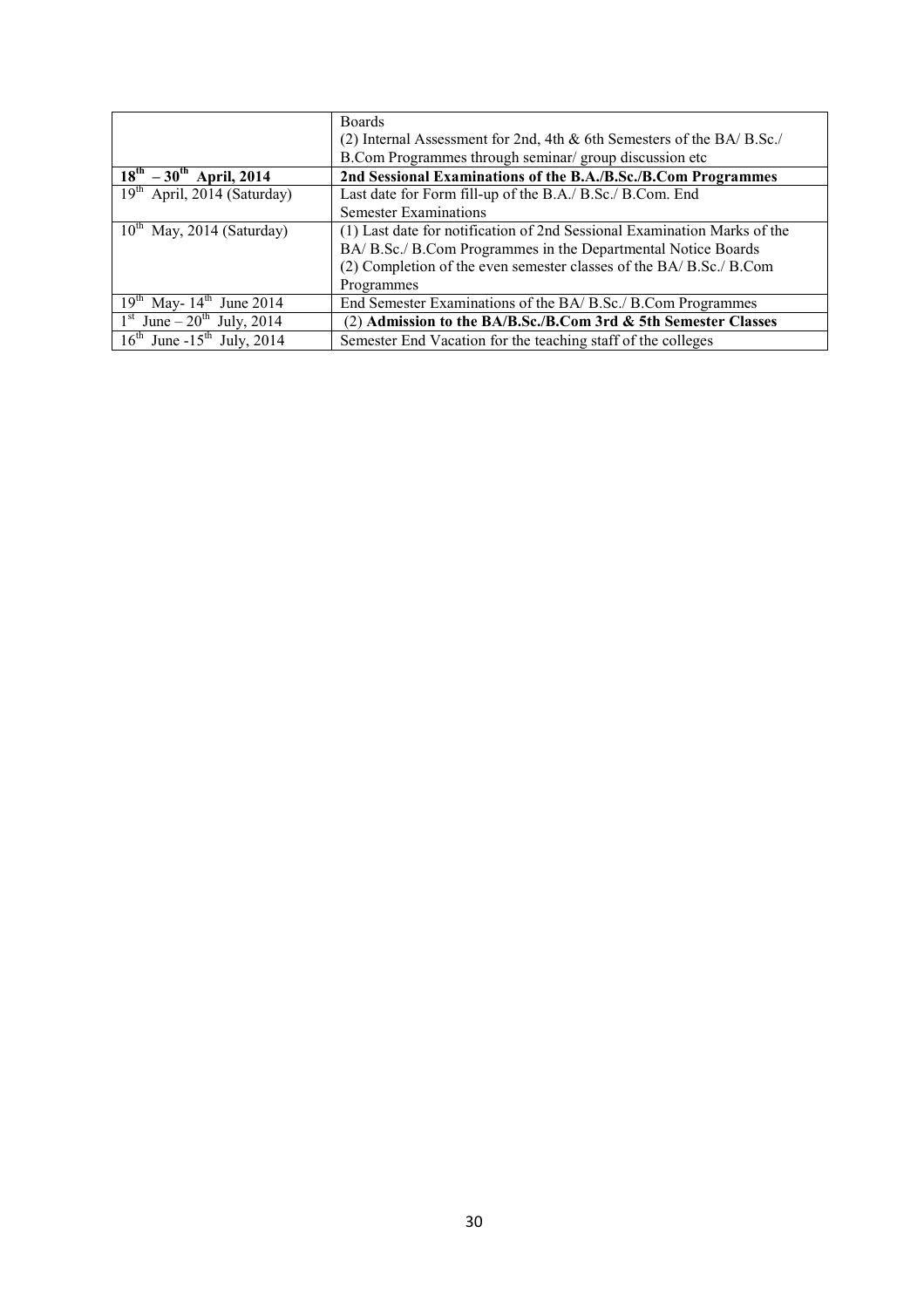|                                             | <b>Boards</b>                                                             |  |
|---------------------------------------------|---------------------------------------------------------------------------|--|
|                                             | (2) Internal Assessment for 2nd, 4th $\&$ 6th Semesters of the BA/ B.Sc./ |  |
|                                             | B.Com Programmes through seminar/ group discussion etc                    |  |
| $18^{th} - 30^{th}$ April, 2014             | 2nd Sessional Examinations of the B.A./B.Sc./B.Com Programmes             |  |
| $19th$ April, 2014 (Saturday)               | Last date for Form fill-up of the B.A./ B.Sc./ B.Com. End                 |  |
|                                             | <b>Semester Examinations</b>                                              |  |
| $10^{th}$ May, 2014 (Saturday)              | (1) Last date for notification of 2nd Sessional Examination Marks of the  |  |
|                                             | BA/ B.Sc./ B.Com Programmes in the Departmental Notice Boards             |  |
|                                             | (2) Completion of the even semester classes of the BA/ B.Sc./ B.Com       |  |
|                                             | Programmes                                                                |  |
| $19^{th}$ May- $14^{th}$ June 2014          | End Semester Examinations of the BA/ B.Sc./ B.Com Programmes              |  |
| $1st$ June – $20th$ July, 2014              | (2) Admission to the BA/B.Sc./B.Com 3rd & 5th Semester Classes            |  |
| $16^{th}$ June -15 <sup>th</sup> July, 2014 | Semester End Vacation for the teaching staff of the colleges              |  |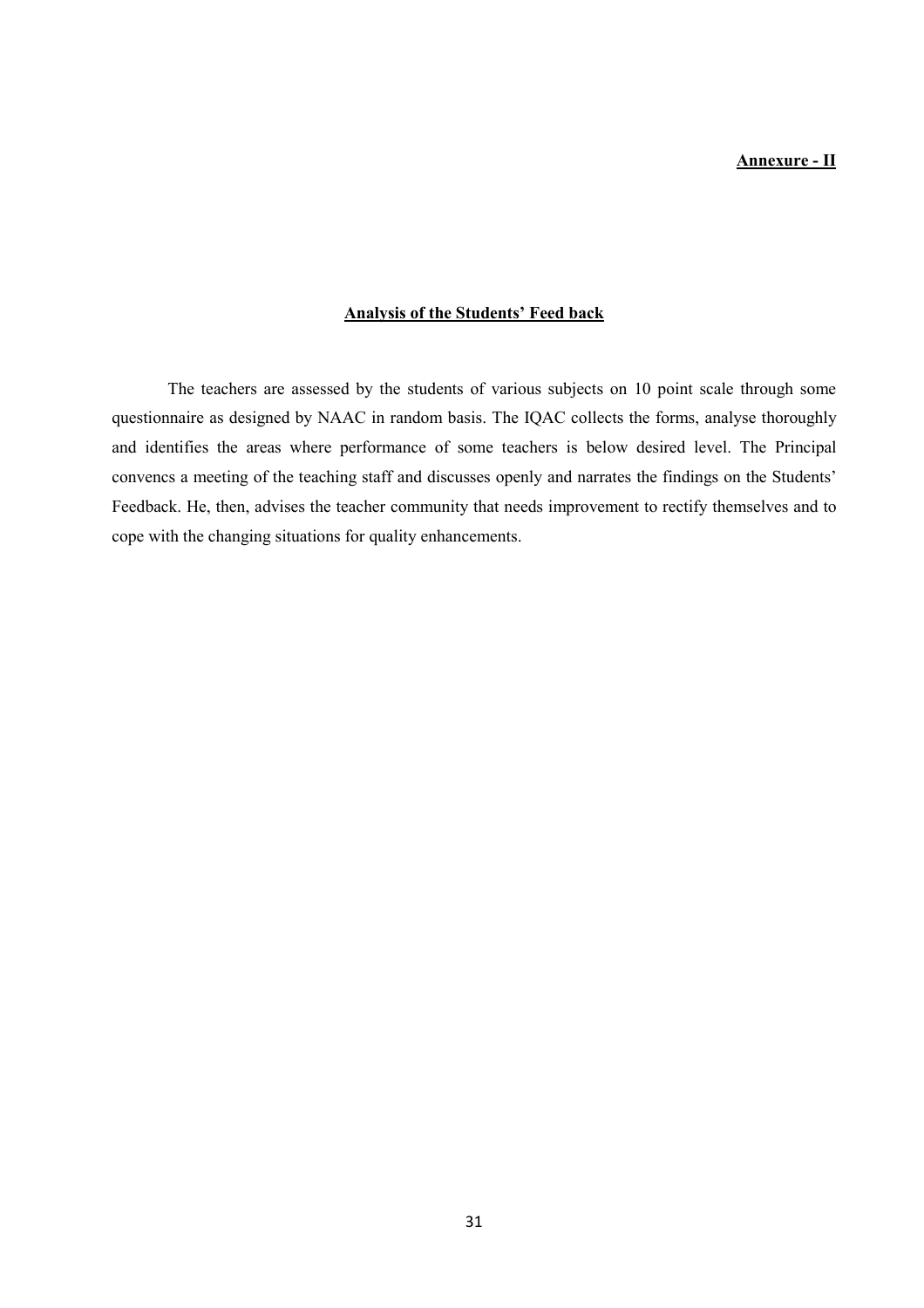#### Annexure - II

#### Analysis of the Students' Feed back

The teachers are assessed by the students of various subjects on 10 point scale through some questionnaire as designed by NAAC in random basis. The IQAC collects the forms, analyse thoroughly and identifies the areas where performance of some teachers is below desired level. The Principal convencs a meeting of the teaching staff and discusses openly and narrates the findings on the Students' Feedback. He, then, advises the teacher community that needs improvement to rectify themselves and to cope with the changing situations for quality enhancements.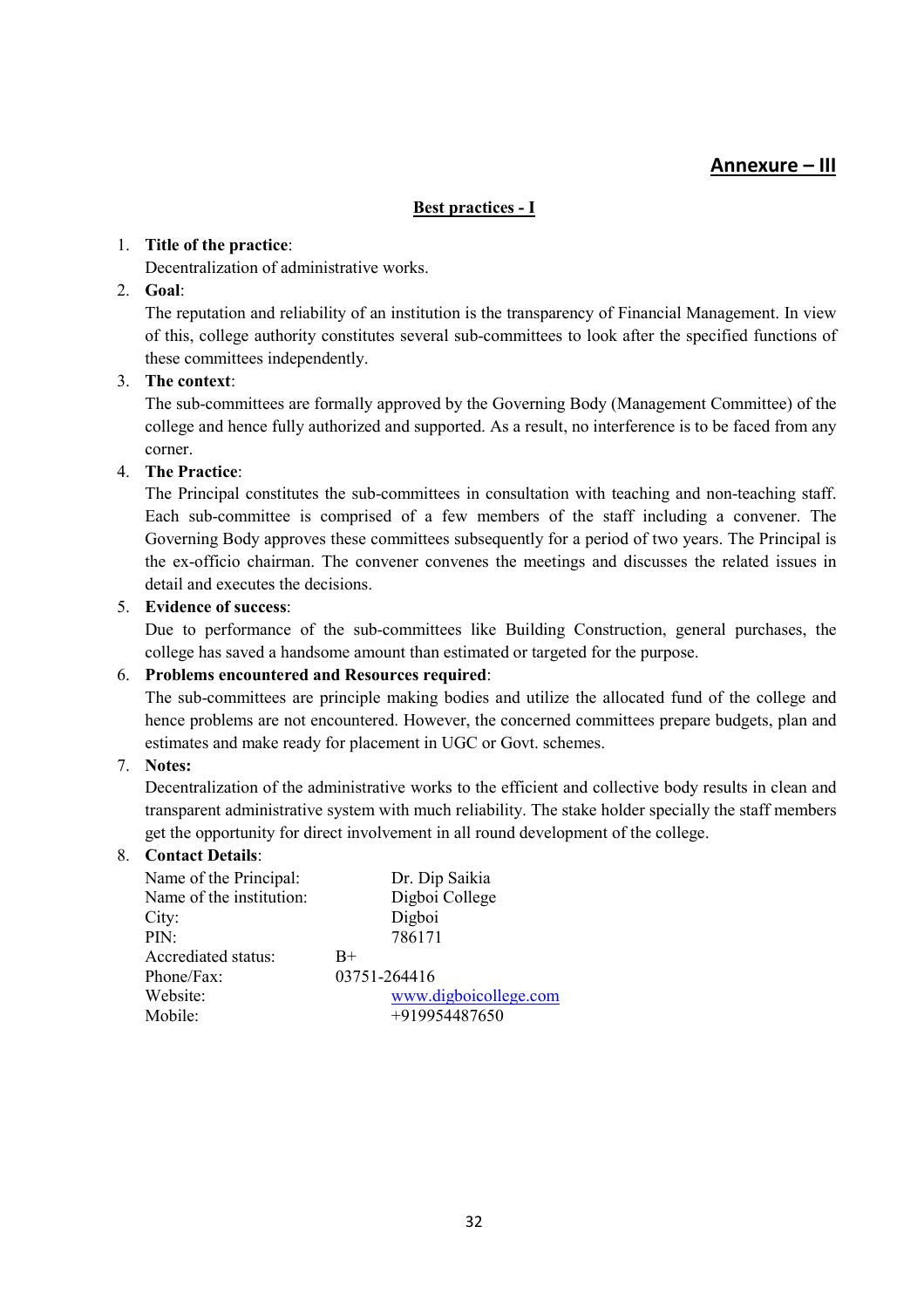### Annexure – III

#### Best practices - I

#### 1. Title of the practice:

Decentralization of administrative works.

### 2. Goal:

The reputation and reliability of an institution is the transparency of Financial Management. In view of this, college authority constitutes several sub-committees to look after the specified functions of these committees independently.

#### 3. The context:

The sub-committees are formally approved by the Governing Body (Management Committee) of the college and hence fully authorized and supported. As a result, no interference is to be faced from any corner.

#### 4. The Practice:

The Principal constitutes the sub-committees in consultation with teaching and non-teaching staff. Each sub-committee is comprised of a few members of the staff including a convener. The Governing Body approves these committees subsequently for a period of two years. The Principal is the ex-officio chairman. The convener convenes the meetings and discusses the related issues in detail and executes the decisions.

#### 5. Evidence of success:

Due to performance of the sub-committees like Building Construction, general purchases, the college has saved a handsome amount than estimated or targeted for the purpose.

#### 6. Problems encountered and Resources required:

The sub-committees are principle making bodies and utilize the allocated fund of the college and hence problems are not encountered. However, the concerned committees prepare budgets, plan and estimates and make ready for placement in UGC or Govt. schemes.

#### 7. Notes:

Decentralization of the administrative works to the efficient and collective body results in clean and transparent administrative system with much reliability. The stake holder specially the staff members get the opportunity for direct involvement in all round development of the college.

#### 8. Contact Details:

| Name of the Principal:   | Dr. Dip Saikia        |
|--------------------------|-----------------------|
| Name of the institution: | Digboi College        |
| City:                    | Digboi                |
| PIN:                     | 786171                |
| Accrediated status:      | $_{\rm B+}$           |
| Phone/Fax:               | 03751-264416          |
| Website:                 | www.digboicollege.com |
| Mobile:                  | +919954487650         |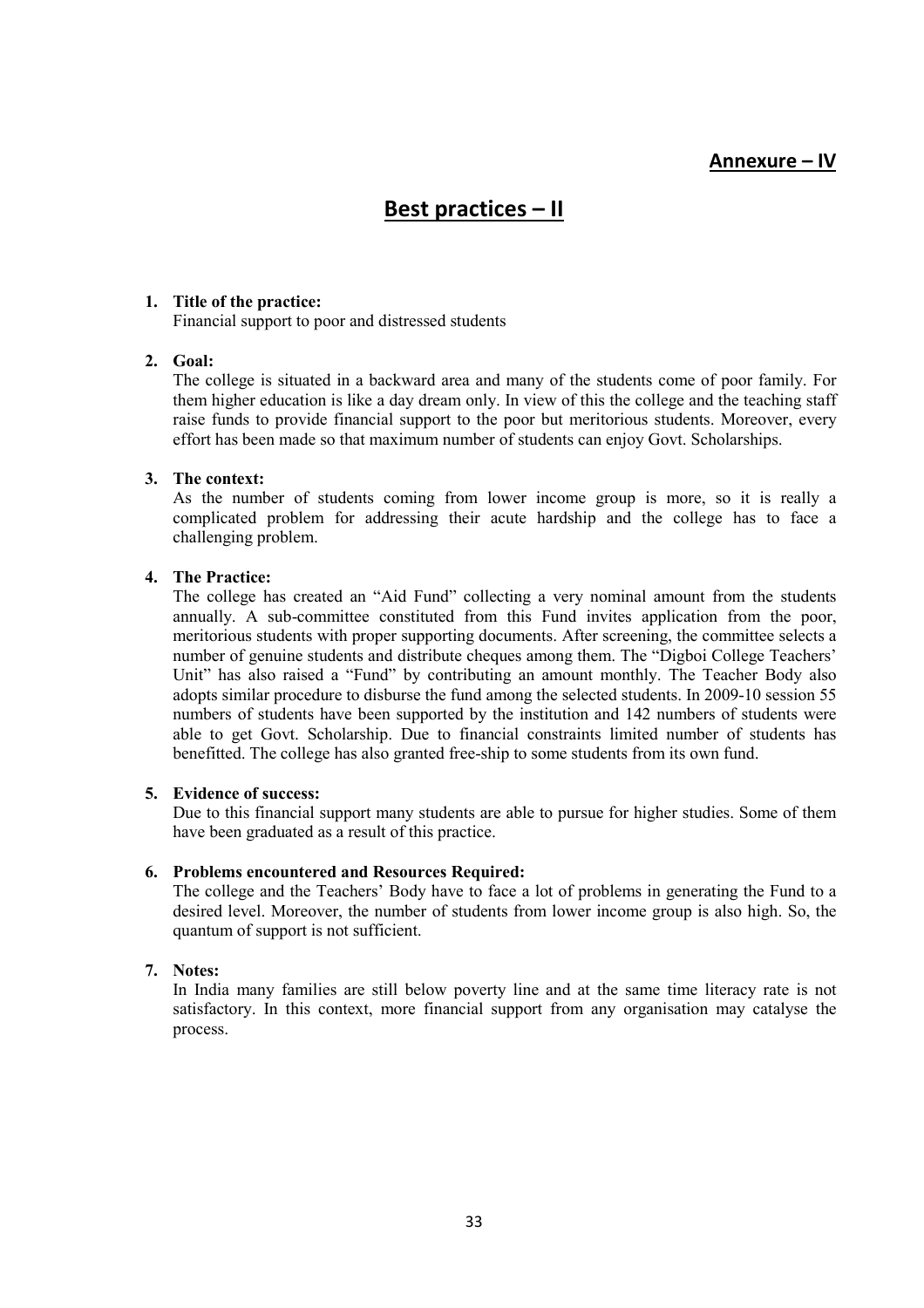### Annexure – IV

## Best practices – II

#### 1. Title of the practice:

Financial support to poor and distressed students

#### 2. Goal:

The college is situated in a backward area and many of the students come of poor family. For them higher education is like a day dream only. In view of this the college and the teaching staff raise funds to provide financial support to the poor but meritorious students. Moreover, every effort has been made so that maximum number of students can enjoy Govt. Scholarships.

#### 3. The context:

As the number of students coming from lower income group is more, so it is really a complicated problem for addressing their acute hardship and the college has to face a challenging problem.

#### 4. The Practice:

The college has created an "Aid Fund" collecting a very nominal amount from the students annually. A sub-committee constituted from this Fund invites application from the poor, meritorious students with proper supporting documents. After screening, the committee selects a number of genuine students and distribute cheques among them. The "Digboi College Teachers' Unit" has also raised a "Fund" by contributing an amount monthly. The Teacher Body also adopts similar procedure to disburse the fund among the selected students. In 2009-10 session 55 numbers of students have been supported by the institution and 142 numbers of students were able to get Govt. Scholarship. Due to financial constraints limited number of students has benefitted. The college has also granted free-ship to some students from its own fund.

#### 5. Evidence of success:

Due to this financial support many students are able to pursue for higher studies. Some of them have been graduated as a result of this practice.

#### 6. Problems encountered and Resources Required:

The college and the Teachers' Body have to face a lot of problems in generating the Fund to a desired level. Moreover, the number of students from lower income group is also high. So, the quantum of support is not sufficient.

#### 7. Notes:

In India many families are still below poverty line and at the same time literacy rate is not satisfactory. In this context, more financial support from any organisation may catalyse the process.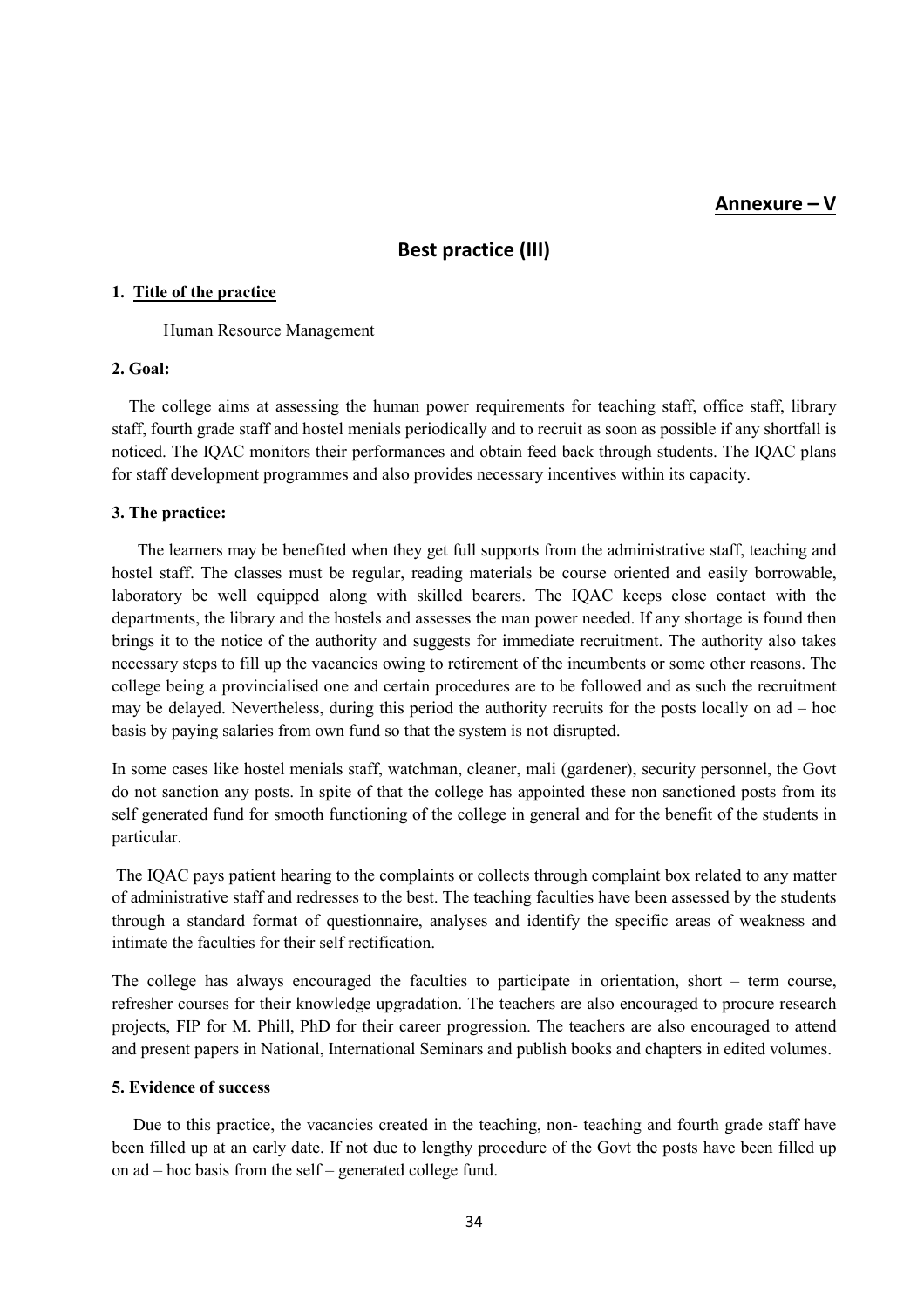#### Annexure – V

### Best practice (III)

#### 1. Title of the practice

Human Resource Management

#### 2. Goal:

 The college aims at assessing the human power requirements for teaching staff, office staff, library staff, fourth grade staff and hostel menials periodically and to recruit as soon as possible if any shortfall is noticed. The IQAC monitors their performances and obtain feed back through students. The IQAC plans for staff development programmes and also provides necessary incentives within its capacity.

#### 3. The practice:

 The learners may be benefited when they get full supports from the administrative staff, teaching and hostel staff. The classes must be regular, reading materials be course oriented and easily borrowable, laboratory be well equipped along with skilled bearers. The IQAC keeps close contact with the departments, the library and the hostels and assesses the man power needed. If any shortage is found then brings it to the notice of the authority and suggests for immediate recruitment. The authority also takes necessary steps to fill up the vacancies owing to retirement of the incumbents or some other reasons. The college being a provincialised one and certain procedures are to be followed and as such the recruitment may be delayed. Nevertheless, during this period the authority recruits for the posts locally on ad – hoc basis by paying salaries from own fund so that the system is not disrupted.

In some cases like hostel menials staff, watchman, cleaner, mali (gardener), security personnel, the Govt do not sanction any posts. In spite of that the college has appointed these non sanctioned posts from its self generated fund for smooth functioning of the college in general and for the benefit of the students in particular.

 The IQAC pays patient hearing to the complaints or collects through complaint box related to any matter of administrative staff and redresses to the best. The teaching faculties have been assessed by the students through a standard format of questionnaire, analyses and identify the specific areas of weakness and intimate the faculties for their self rectification.

The college has always encouraged the faculties to participate in orientation, short – term course, refresher courses for their knowledge upgradation. The teachers are also encouraged to procure research projects, FIP for M. Phill, PhD for their career progression. The teachers are also encouraged to attend and present papers in National, International Seminars and publish books and chapters in edited volumes.

#### 5. Evidence of success

 Due to this practice, the vacancies created in the teaching, non- teaching and fourth grade staff have been filled up at an early date. If not due to lengthy procedure of the Govt the posts have been filled up on ad – hoc basis from the self – generated college fund.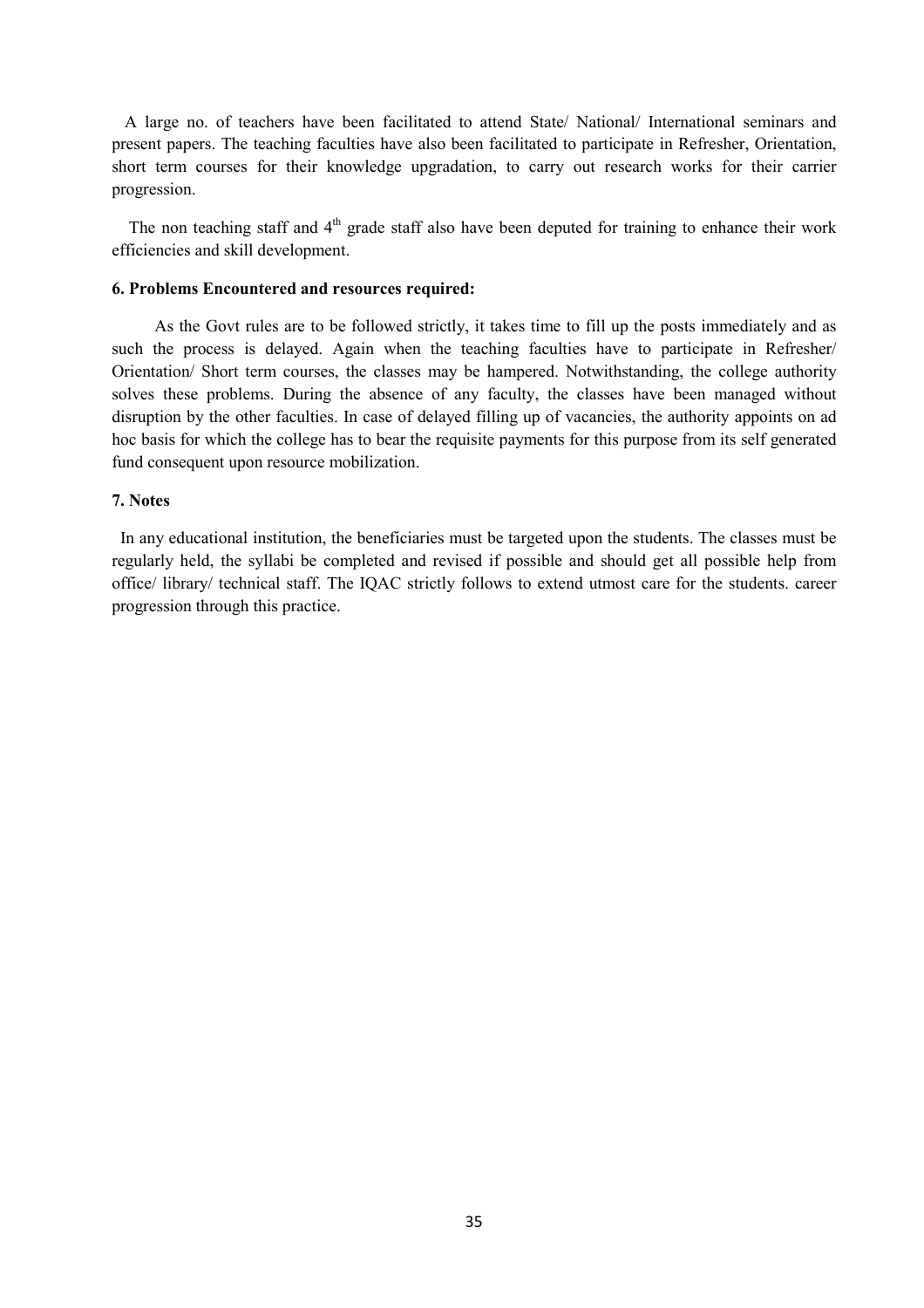A large no. of teachers have been facilitated to attend State/ National/ International seminars and present papers. The teaching faculties have also been facilitated to participate in Refresher, Orientation, short term courses for their knowledge upgradation, to carry out research works for their carrier progression.

The non teaching staff and  $4<sup>th</sup>$  grade staff also have been deputed for training to enhance their work efficiencies and skill development.

#### 6. Problems Encountered and resources required:

 As the Govt rules are to be followed strictly, it takes time to fill up the posts immediately and as such the process is delayed. Again when the teaching faculties have to participate in Refresher/ Orientation/ Short term courses, the classes may be hampered. Notwithstanding, the college authority solves these problems. During the absence of any faculty, the classes have been managed without disruption by the other faculties. In case of delayed filling up of vacancies, the authority appoints on ad hoc basis for which the college has to bear the requisite payments for this purpose from its self generated fund consequent upon resource mobilization.

#### 7. Notes

 In any educational institution, the beneficiaries must be targeted upon the students. The classes must be regularly held, the syllabi be completed and revised if possible and should get all possible help from office/ library/ technical staff. The IQAC strictly follows to extend utmost care for the students. career progression through this practice.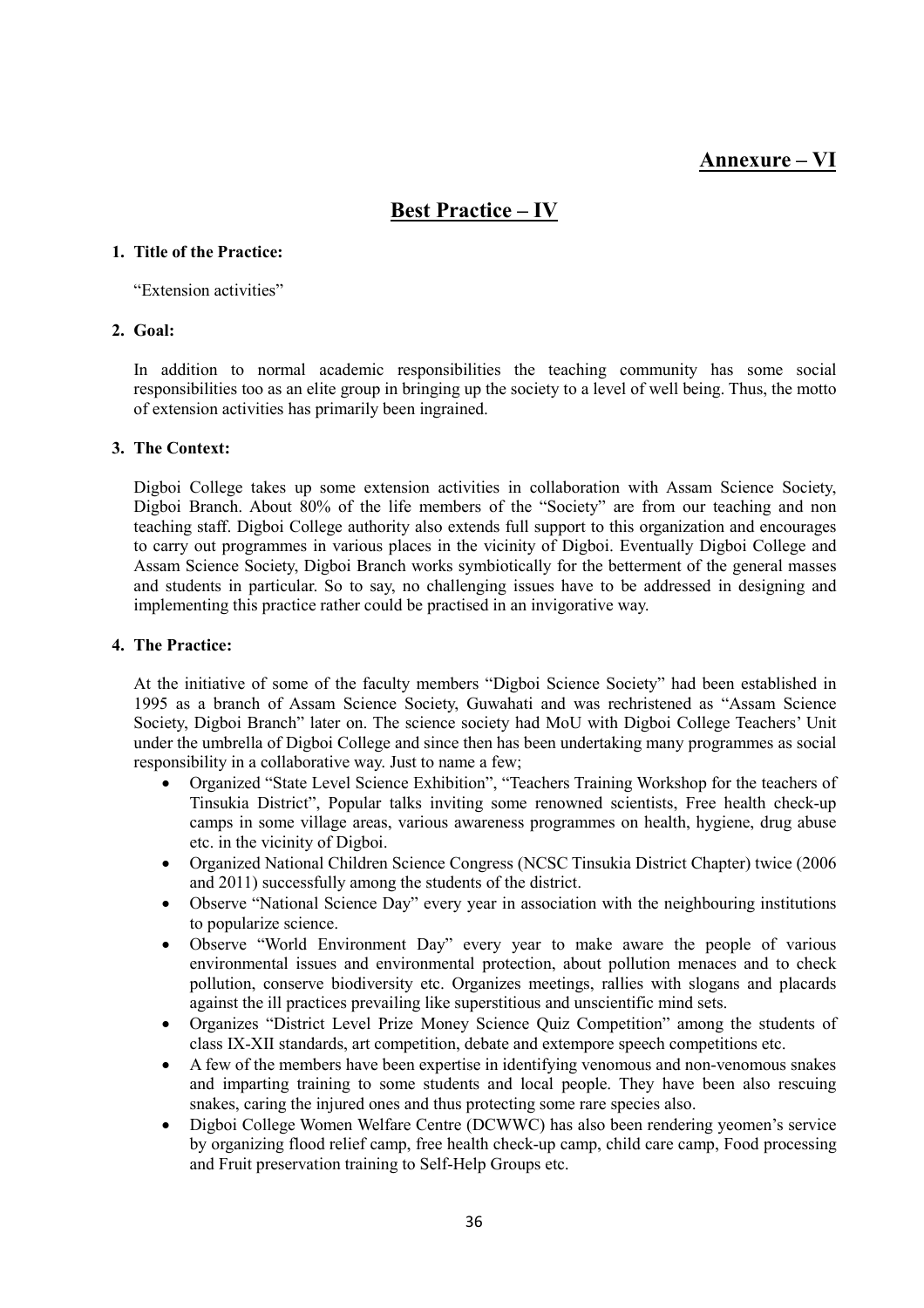### Annexure – VI

## Best Practice – IV

#### 1. Title of the Practice:

"Extension activities"

#### 2. Goal:

In addition to normal academic responsibilities the teaching community has some social responsibilities too as an elite group in bringing up the society to a level of well being. Thus, the motto of extension activities has primarily been ingrained.

#### 3. The Context:

Digboi College takes up some extension activities in collaboration with Assam Science Society, Digboi Branch. About 80% of the life members of the "Society" are from our teaching and non teaching staff. Digboi College authority also extends full support to this organization and encourages to carry out programmes in various places in the vicinity of Digboi. Eventually Digboi College and Assam Science Society, Digboi Branch works symbiotically for the betterment of the general masses and students in particular. So to say, no challenging issues have to be addressed in designing and implementing this practice rather could be practised in an invigorative way.

#### 4. The Practice:

At the initiative of some of the faculty members "Digboi Science Society" had been established in 1995 as a branch of Assam Science Society, Guwahati and was rechristened as "Assam Science Society, Digboi Branch" later on. The science society had MoU with Digboi College Teachers' Unit under the umbrella of Digboi College and since then has been undertaking many programmes as social responsibility in a collaborative way. Just to name a few;

- Organized "State Level Science Exhibition", "Teachers Training Workshop for the teachers of Tinsukia District", Popular talks inviting some renowned scientists, Free health check-up camps in some village areas, various awareness programmes on health, hygiene, drug abuse etc. in the vicinity of Digboi.
- Organized National Children Science Congress (NCSC Tinsukia District Chapter) twice (2006 and 2011) successfully among the students of the district.
- Observe "National Science Day" every year in association with the neighbouring institutions to popularize science.
- Observe "World Environment Day" every year to make aware the people of various environmental issues and environmental protection, about pollution menaces and to check pollution, conserve biodiversity etc. Organizes meetings, rallies with slogans and placards against the ill practices prevailing like superstitious and unscientific mind sets.
- Organizes "District Level Prize Money Science Quiz Competition" among the students of class IX-XII standards, art competition, debate and extempore speech competitions etc.
- A few of the members have been expertise in identifying venomous and non-venomous snakes and imparting training to some students and local people. They have been also rescuing snakes, caring the injured ones and thus protecting some rare species also.
- Digboi College Women Welfare Centre (DCWWC) has also been rendering yeomen's service by organizing flood relief camp, free health check-up camp, child care camp, Food processing and Fruit preservation training to Self-Help Groups etc.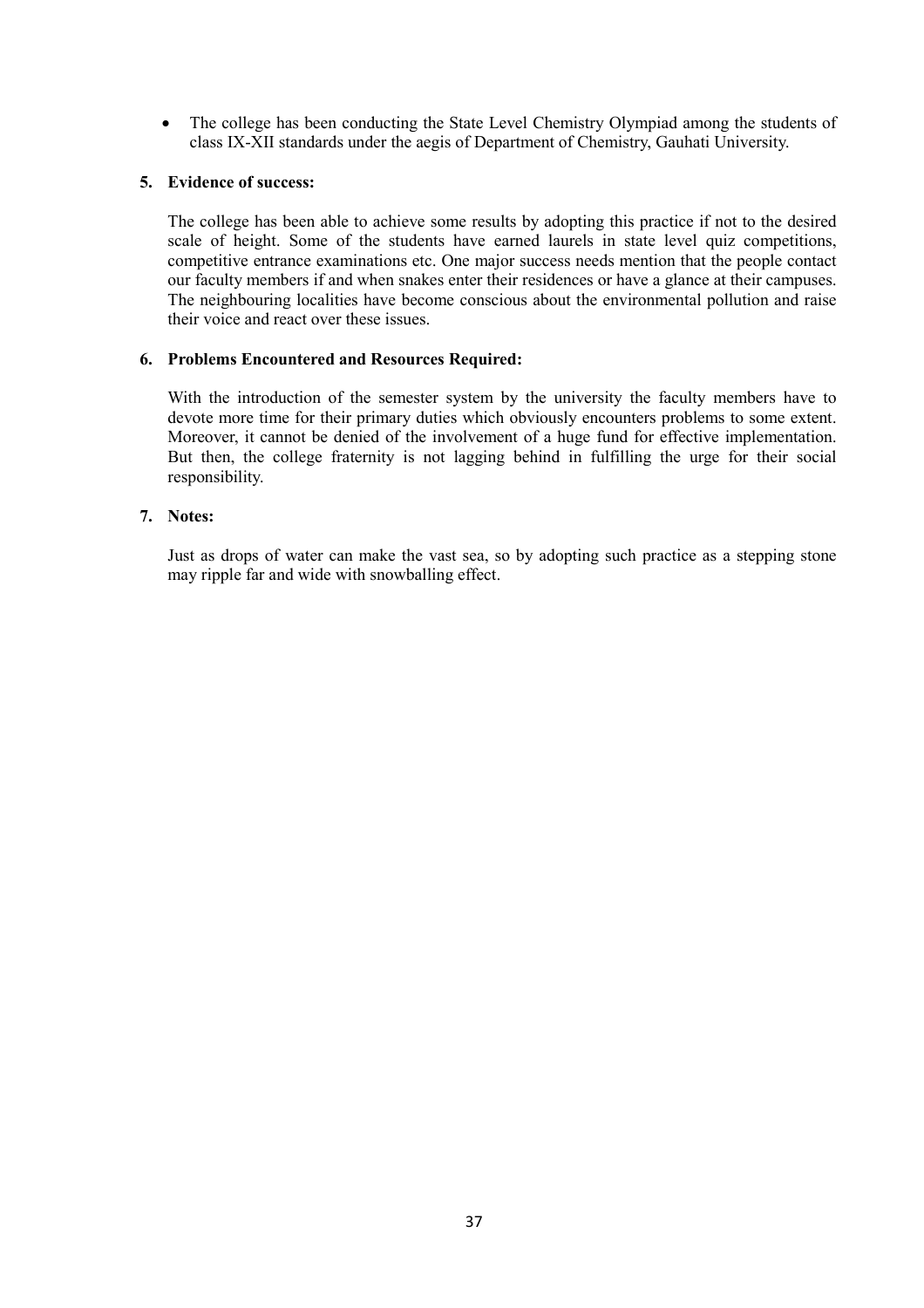• The college has been conducting the State Level Chemistry Olympiad among the students of class IX-XII standards under the aegis of Department of Chemistry, Gauhati University.

#### 5. Evidence of success:

The college has been able to achieve some results by adopting this practice if not to the desired scale of height. Some of the students have earned laurels in state level quiz competitions, competitive entrance examinations etc. One major success needs mention that the people contact our faculty members if and when snakes enter their residences or have a glance at their campuses. The neighbouring localities have become conscious about the environmental pollution and raise their voice and react over these issues.

#### 6. Problems Encountered and Resources Required:

With the introduction of the semester system by the university the faculty members have to devote more time for their primary duties which obviously encounters problems to some extent. Moreover, it cannot be denied of the involvement of a huge fund for effective implementation. But then, the college fraternity is not lagging behind in fulfilling the urge for their social responsibility.

#### 7. Notes:

Just as drops of water can make the vast sea, so by adopting such practice as a stepping stone may ripple far and wide with snowballing effect.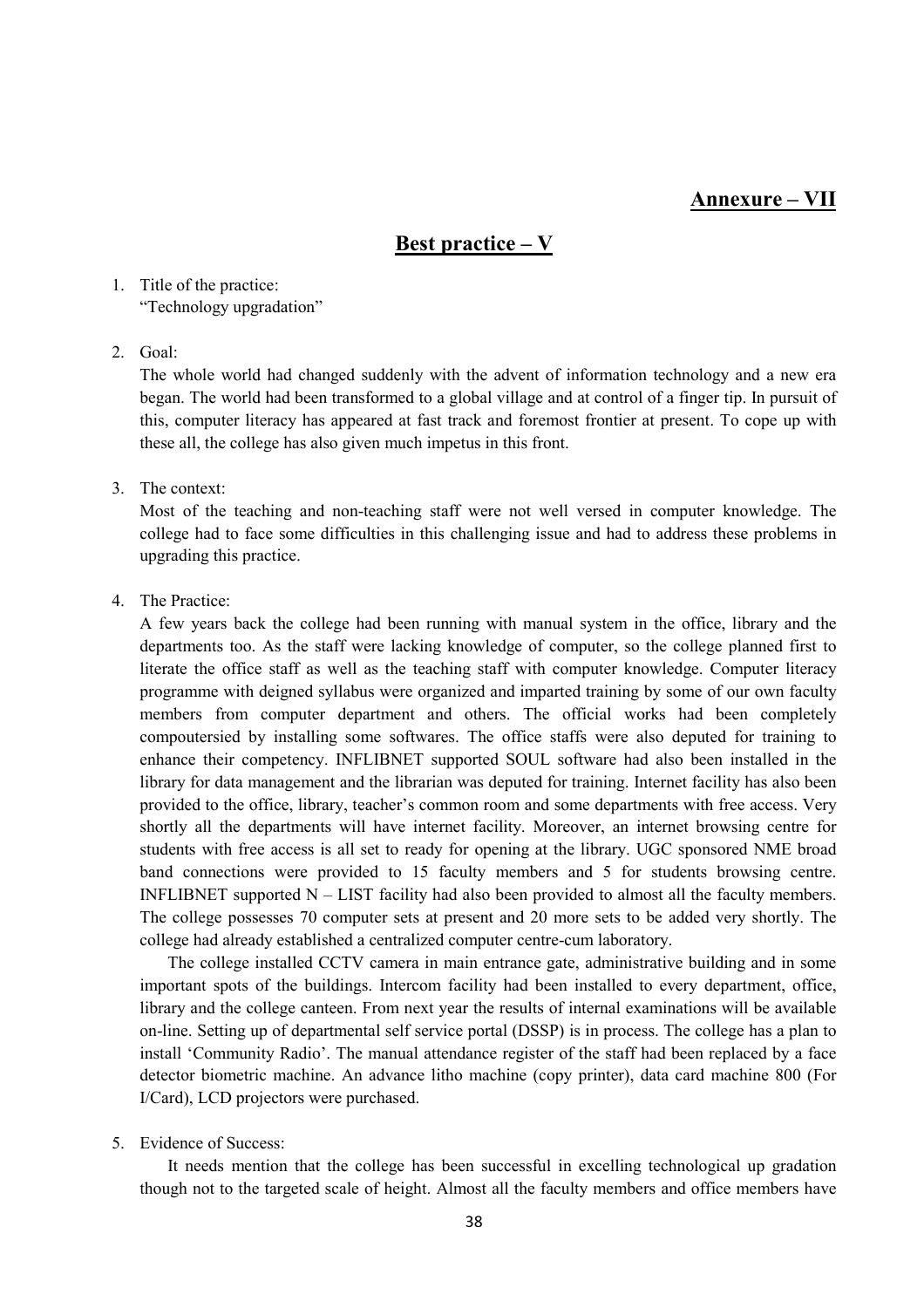### Annexure – VII

## Best practice – V

1. Title of the practice: "Technology upgradation"

#### 2. Goal:

The whole world had changed suddenly with the advent of information technology and a new era began. The world had been transformed to a global village and at control of a finger tip. In pursuit of this, computer literacy has appeared at fast track and foremost frontier at present. To cope up with these all, the college has also given much impetus in this front.

#### 3. The context:

Most of the teaching and non-teaching staff were not well versed in computer knowledge. The college had to face some difficulties in this challenging issue and had to address these problems in upgrading this practice.

#### 4. The Practice:

A few years back the college had been running with manual system in the office, library and the departments too. As the staff were lacking knowledge of computer, so the college planned first to literate the office staff as well as the teaching staff with computer knowledge. Computer literacy programme with deigned syllabus were organized and imparted training by some of our own faculty members from computer department and others. The official works had been completely compoutersied by installing some softwares. The office staffs were also deputed for training to enhance their competency. INFLIBNET supported SOUL software had also been installed in the library for data management and the librarian was deputed for training. Internet facility has also been provided to the office, library, teacher's common room and some departments with free access. Very shortly all the departments will have internet facility. Moreover, an internet browsing centre for students with free access is all set to ready for opening at the library. UGC sponsored NME broad band connections were provided to 15 faculty members and 5 for students browsing centre. INFLIBNET supported N – LIST facility had also been provided to almost all the faculty members. The college possesses 70 computer sets at present and 20 more sets to be added very shortly. The college had already established a centralized computer centre-cum laboratory.

 The college installed CCTV camera in main entrance gate, administrative building and in some important spots of the buildings. Intercom facility had been installed to every department, office, library and the college canteen. From next year the results of internal examinations will be available on-line. Setting up of departmental self service portal (DSSP) is in process. The college has a plan to install 'Community Radio'. The manual attendance register of the staff had been replaced by a face detector biometric machine. An advance litho machine (copy printer), data card machine 800 (For I/Card), LCD projectors were purchased.

#### 5. Evidence of Success:

It needs mention that the college has been successful in excelling technological up gradation though not to the targeted scale of height. Almost all the faculty members and office members have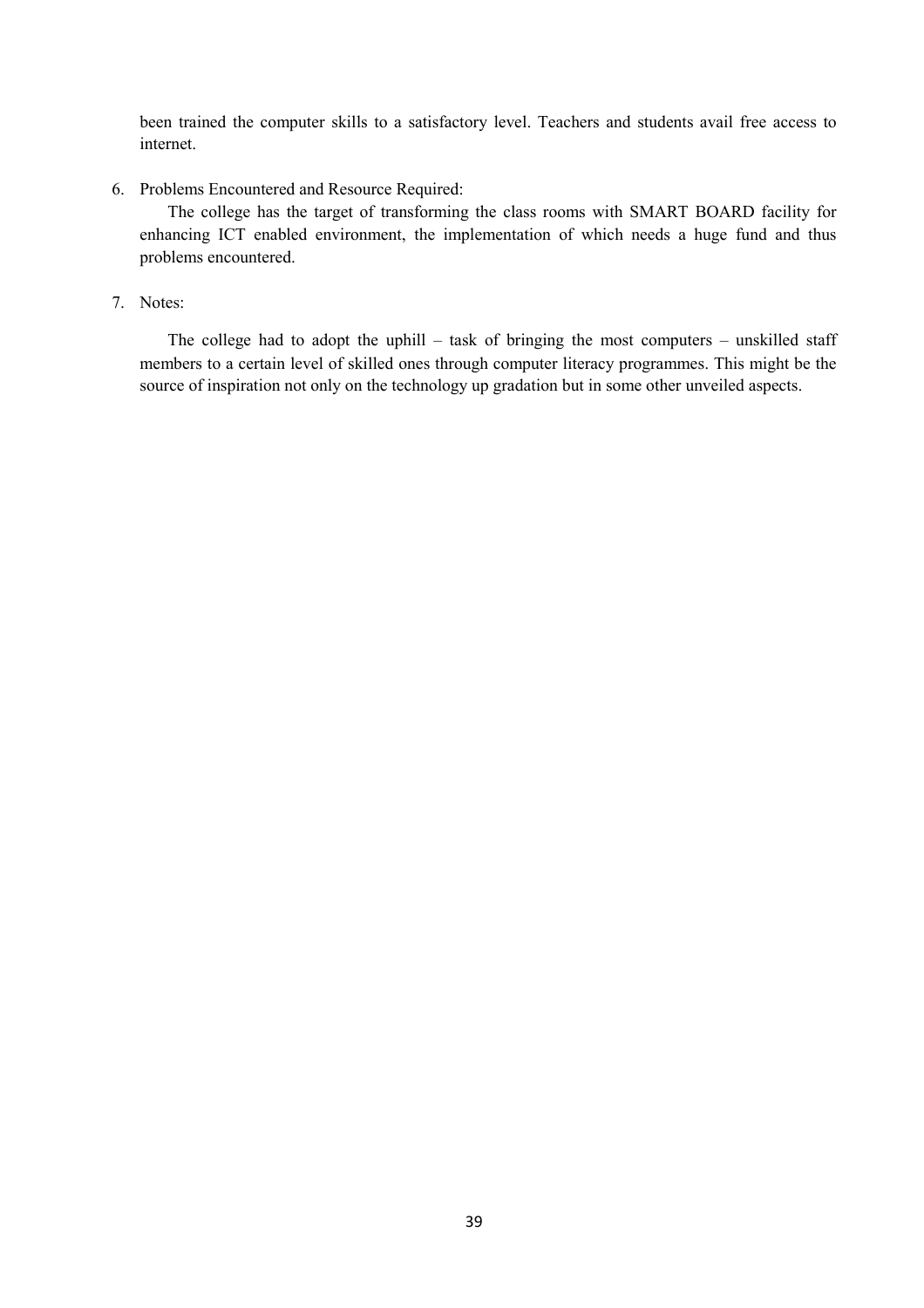been trained the computer skills to a satisfactory level. Teachers and students avail free access to internet.

6. Problems Encountered and Resource Required:

The college has the target of transforming the class rooms with SMART BOARD facility for enhancing ICT enabled environment, the implementation of which needs a huge fund and thus problems encountered.

7. Notes:

The college had to adopt the uphill – task of bringing the most computers – unskilled staff members to a certain level of skilled ones through computer literacy programmes. This might be the source of inspiration not only on the technology up gradation but in some other unveiled aspects.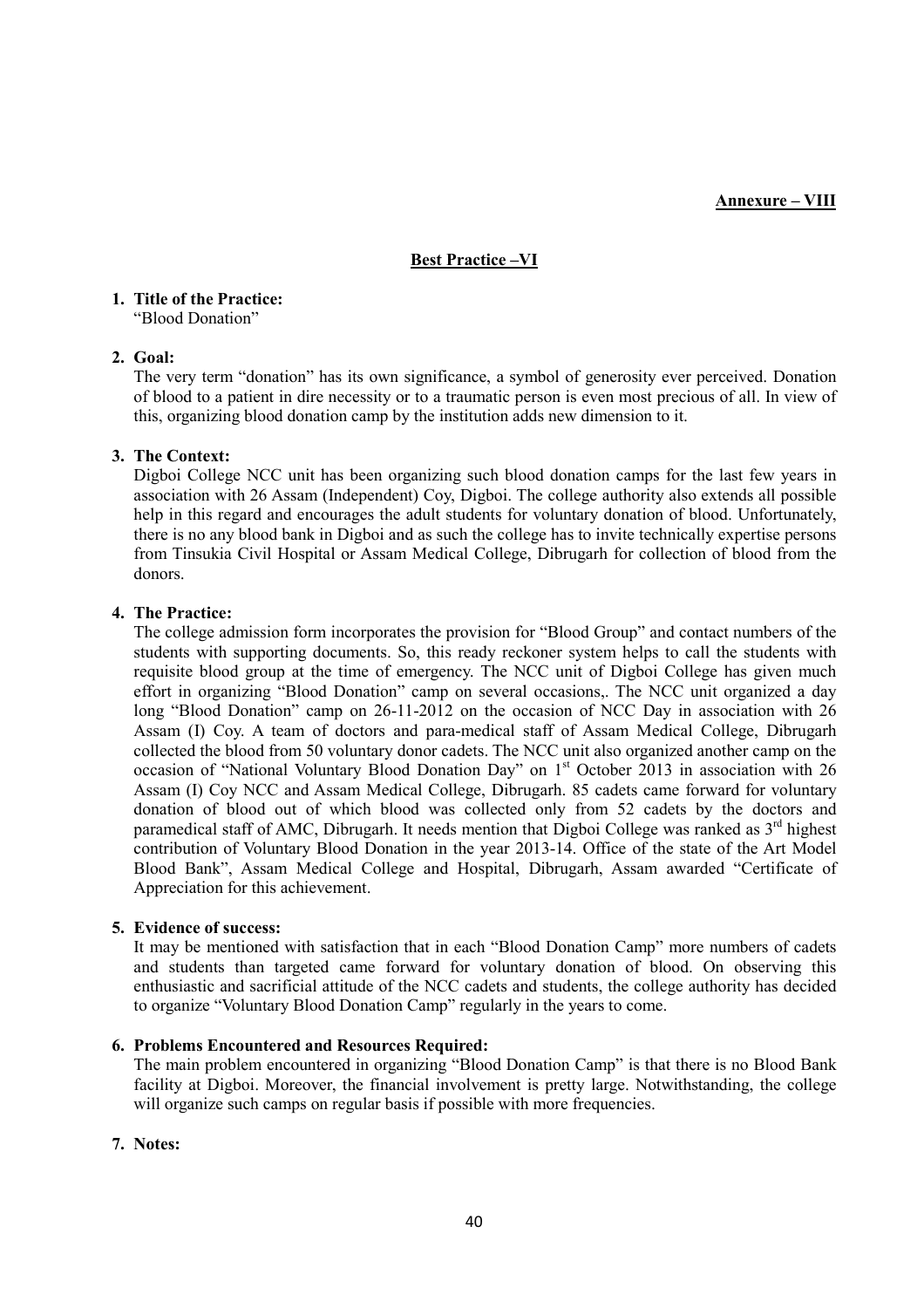#### Annexure – VIII

#### Best Practice –VI

### 1. Title of the Practice:

"Blood Donation"

#### 2. Goal:

The very term "donation" has its own significance, a symbol of generosity ever perceived. Donation of blood to a patient in dire necessity or to a traumatic person is even most precious of all. In view of this, organizing blood donation camp by the institution adds new dimension to it.

#### 3. The Context:

 Digboi College NCC unit has been organizing such blood donation camps for the last few years in association with 26 Assam (Independent) Coy, Digboi. The college authority also extends all possible help in this regard and encourages the adult students for voluntary donation of blood. Unfortunately, there is no any blood bank in Digboi and as such the college has to invite technically expertise persons from Tinsukia Civil Hospital or Assam Medical College, Dibrugarh for collection of blood from the donors.

#### 4. The Practice:

The college admission form incorporates the provision for "Blood Group" and contact numbers of the students with supporting documents. So, this ready reckoner system helps to call the students with requisite blood group at the time of emergency. The NCC unit of Digboi College has given much effort in organizing "Blood Donation" camp on several occasions,. The NCC unit organized a day long "Blood Donation" camp on 26-11-2012 on the occasion of NCC Day in association with 26 Assam (I) Coy. A team of doctors and para-medical staff of Assam Medical College, Dibrugarh collected the blood from 50 voluntary donor cadets. The NCC unit also organized another camp on the occasion of "National Voluntary Blood Donation Day" on 1<sup>st</sup> October 2013 in association with 26 Assam (I) Coy NCC and Assam Medical College, Dibrugarh. 85 cadets came forward for voluntary donation of blood out of which blood was collected only from 52 cadets by the doctors and paramedical staff of AMC, Dibrugarh. It needs mention that Digboi College was ranked as  $3<sup>rd</sup>$  highest contribution of Voluntary Blood Donation in the year 2013-14. Office of the state of the Art Model Blood Bank", Assam Medical College and Hospital, Dibrugarh, Assam awarded "Certificate of Appreciation for this achievement.

#### 5. Evidence of success:

It may be mentioned with satisfaction that in each "Blood Donation Camp" more numbers of cadets and students than targeted came forward for voluntary donation of blood. On observing this enthusiastic and sacrificial attitude of the NCC cadets and students, the college authority has decided to organize "Voluntary Blood Donation Camp" regularly in the years to come.

#### 6. Problems Encountered and Resources Required:

The main problem encountered in organizing "Blood Donation Camp" is that there is no Blood Bank facility at Digboi. Moreover, the financial involvement is pretty large. Notwithstanding, the college will organize such camps on regular basis if possible with more frequencies.

#### 7. Notes: